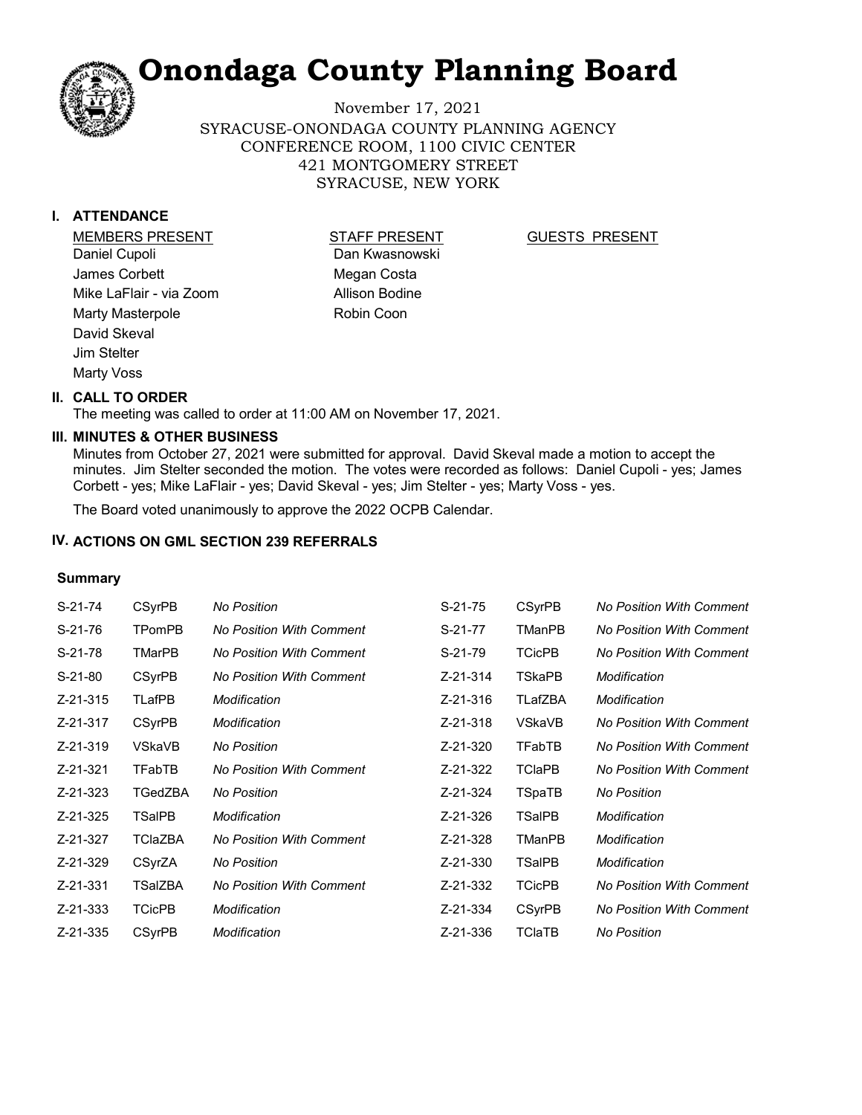November 17, 2021 SYRACUSE-ONONDAGA COUNTY PLANNING AGENCY CONFERENCE ROOM, 1100 CIVIC CENTER 421 MONTGOMERY STREET SYRACUSE, NEW YORK

#### **I. ATTENDANCE**

MEMBERS PRESENT STAFF PRESENT Daniel Cupoli James Corbett Mike LaFlair - via Zoom Marty Masterpole David Skeval Jim Stelter Marty Voss

Dan Kwasnowski Megan Costa Allison Bodine Robin Coon

#### GUESTS PRESENT

#### **II. CALL TO ORDER**

The meeting was called to order at 11:00 AM on November 17, 2021.

#### **MINUTES & OTHER BUSINESS III.**

Minutes from October 27, 2021 were submitted for approval. David Skeval made a motion to accept the minutes. Jim Stelter seconded the motion. The votes were recorded as follows: Daniel Cupoli - yes; James Corbett - yes; Mike LaFlair - yes; David Skeval - yes; Jim Stelter - yes; Marty Voss - yes.

The Board voted unanimously to approve the 2022 OCPB Calendar.

#### **IV. ACTIONS ON GML SECTION 239 REFERRALS**

#### **Summary**

| S-21-74   | <b>CSyrPB</b>  | <b>No Position</b>              | $S-21-75$ | <b>CSyrPB</b> | <b>No Position With Comment</b> |
|-----------|----------------|---------------------------------|-----------|---------------|---------------------------------|
| S-21-76   | TPomPB         | <b>No Position With Comment</b> | S-21-77   | TManPB        | <b>No Position With Comment</b> |
| $S-21-78$ | <b>TMarPB</b>  | <b>No Position With Comment</b> | $S-21-79$ | <b>TCicPB</b> | <b>No Position With Comment</b> |
| $S-21-80$ | <b>CSyrPB</b>  | <b>No Position With Comment</b> | Z-21-314  | TSkaPB        | Modification                    |
| Z-21-315  | TLafPB         | Modification                    | Z-21-316  | TLafZBA       | Modification                    |
| Z-21-317  | <b>CSyrPB</b>  | Modification                    | Z-21-318  | VSkaVB        | <b>No Position With Comment</b> |
| Z-21-319  | VSkaVB         | <b>No Position</b>              | Z-21-320  | <b>TFabTB</b> | <b>No Position With Comment</b> |
| Z-21-321  | TFabTB         | No Position With Comment        | Z-21-322  | <b>TCIaPB</b> | <b>No Position With Comment</b> |
| Z-21-323  | TGedZBA        | <b>No Position</b>              | Z-21-324  | TSpaTB        | <b>No Position</b>              |
| Z-21-325  | TSalPB         | Modification                    | Z-21-326  | TSalPB        | Modification                    |
| Z-21-327  | <b>TClaZBA</b> | <b>No Position With Comment</b> | Z-21-328  | <b>TManPB</b> | Modification                    |
| Z-21-329  | CSyrZA         | <b>No Position</b>              | Z-21-330  | <b>TSalPB</b> | Modification                    |
| Z-21-331  | TSalZBA        | <b>No Position With Comment</b> | Z-21-332  | <b>TCicPB</b> | <b>No Position With Comment</b> |
| Z-21-333  | <b>TCicPB</b>  | Modification                    | Z-21-334  | <b>CSyrPB</b> | <b>No Position With Comment</b> |
| Z-21-335  | <b>CSyrPB</b>  | Modification                    | Z-21-336  | TClaTB        | <b>No Position</b>              |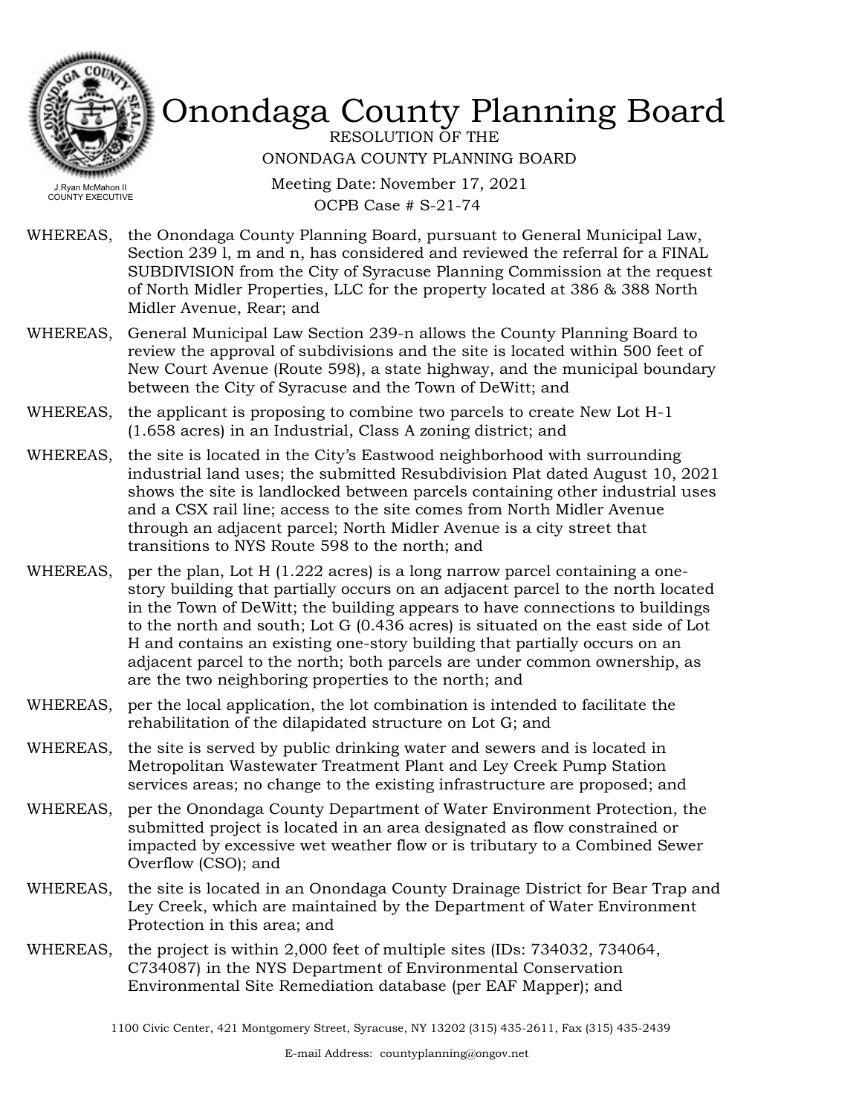

RESOLUTION OF THE ONONDAGA COUNTY PLANNING BOARD

Meeting Date: November 17, 2021 OCPB Case # S-21-74

- WHEREAS, the Onondaga County Planning Board, pursuant to General Municipal Law, Section 239 l, m and n, has considered and reviewed the referral for a FINAL SUBDIVISION from the City of Syracuse Planning Commission at the request of North Midler Properties, LLC for the property located at 386 & 388 North Midler Avenue, Rear; and
- WHEREAS, General Municipal Law Section 239-n allows the County Planning Board to review the approval of subdivisions and the site is located within 500 feet of New Court Avenue (Route 598), a state highway, and the municipal boundary between the City of Syracuse and the Town of DeWitt; and
- WHEREAS, the applicant is proposing to combine two parcels to create New Lot H-1 (1.658 acres) in an Industrial, Class A zoning district; and
- WHEREAS, the site is located in the City's Eastwood neighborhood with surrounding industrial land uses; the submitted Resubdivision Plat dated August 10, 2021 shows the site is landlocked between parcels containing other industrial uses and a CSX rail line; access to the site comes from North Midler Avenue through an adjacent parcel; North Midler Avenue is a city street that transitions to NYS Route 598 to the north; and
- WHEREAS, per the plan, Lot H  $(1.222 \text{ acres})$  is a long narrow parcel containing a onestory building that partially occurs on an adjacent parcel to the north located in the Town of DeWitt; the building appears to have connections to buildings to the north and south; Lot G (0.436 acres) is situated on the east side of Lot H and contains an existing one-story building that partially occurs on an adjacent parcel to the north; both parcels are under common ownership, as are the two neighboring properties to the north; and
- WHEREAS, per the local application, the lot combination is intended to facilitate the rehabilitation of the dilapidated structure on Lot G; and
- WHEREAS, the site is served by public drinking water and sewers and is located in Metropolitan Wastewater Treatment Plant and Ley Creek Pump Station services areas; no change to the existing infrastructure are proposed; and
- WHEREAS, per the Onondaga County Department of Water Environment Protection, the submitted project is located in an area designated as flow constrained or impacted by excessive wet weather flow or is tributary to a Combined Sewer Overflow (CSO); and
- the site is located in an Onondaga County Drainage District for Bear Trap and Ley Creek, which are maintained by the Department of Water Environment Protection in this area; and WHEREAS,
- WHEREAS, the project is within 2,000 feet of multiple sites (IDs: 734032, 734064, C734087) in the NYS Department of Environmental Conservation Environmental Site Remediation database (per EAF Mapper); and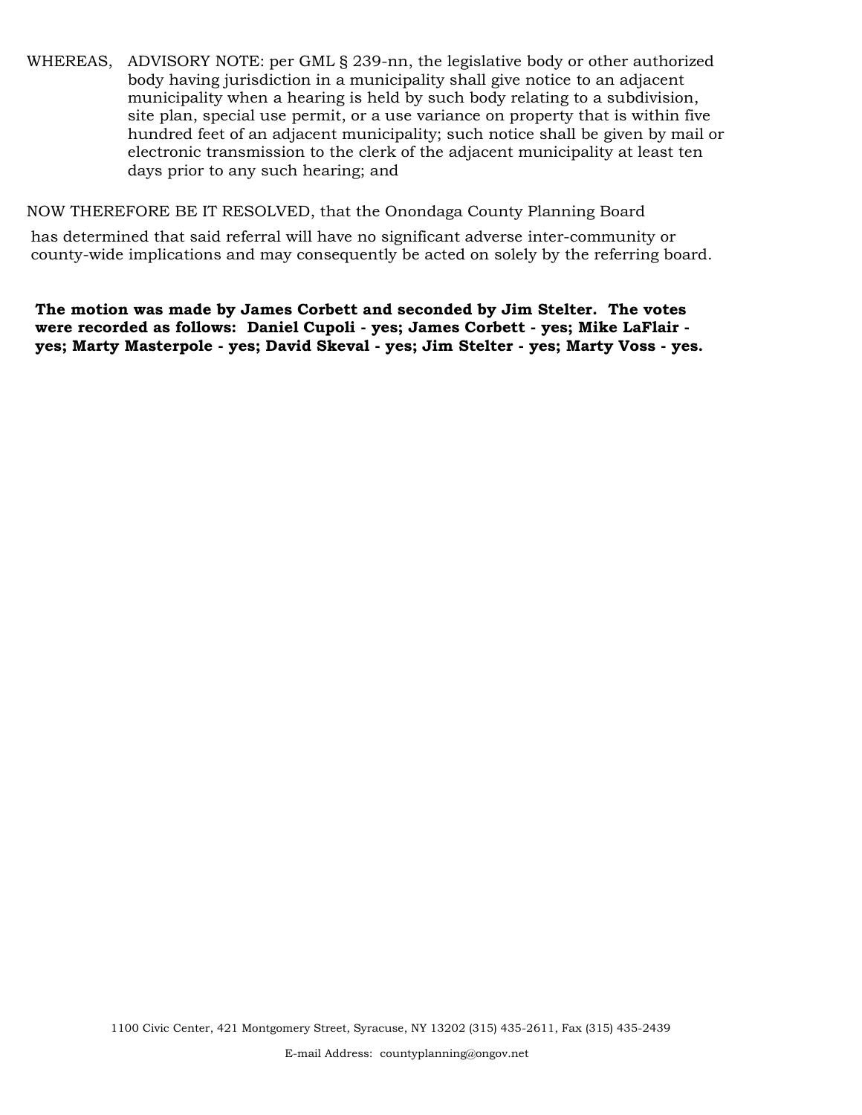WHEREAS, ADVISORY NOTE: per GML § 239-nn, the legislative body or other authorized body having jurisdiction in a municipality shall give notice to an adjacent municipality when a hearing is held by such body relating to a subdivision, site plan, special use permit, or a use variance on property that is within five hundred feet of an adjacent municipality; such notice shall be given by mail or electronic transmission to the clerk of the adjacent municipality at least ten days prior to any such hearing; and

NOW THEREFORE BE IT RESOLVED, that the Onondaga County Planning Board

has determined that said referral will have no significant adverse inter-community or county-wide implications and may consequently be acted on solely by the referring board.

**The motion was made by James Corbett and seconded by Jim Stelter. The votes were recorded as follows: Daniel Cupoli - yes; James Corbett - yes; Mike LaFlair yes; Marty Masterpole - yes; David Skeval - yes; Jim Stelter - yes; Marty Voss - yes.**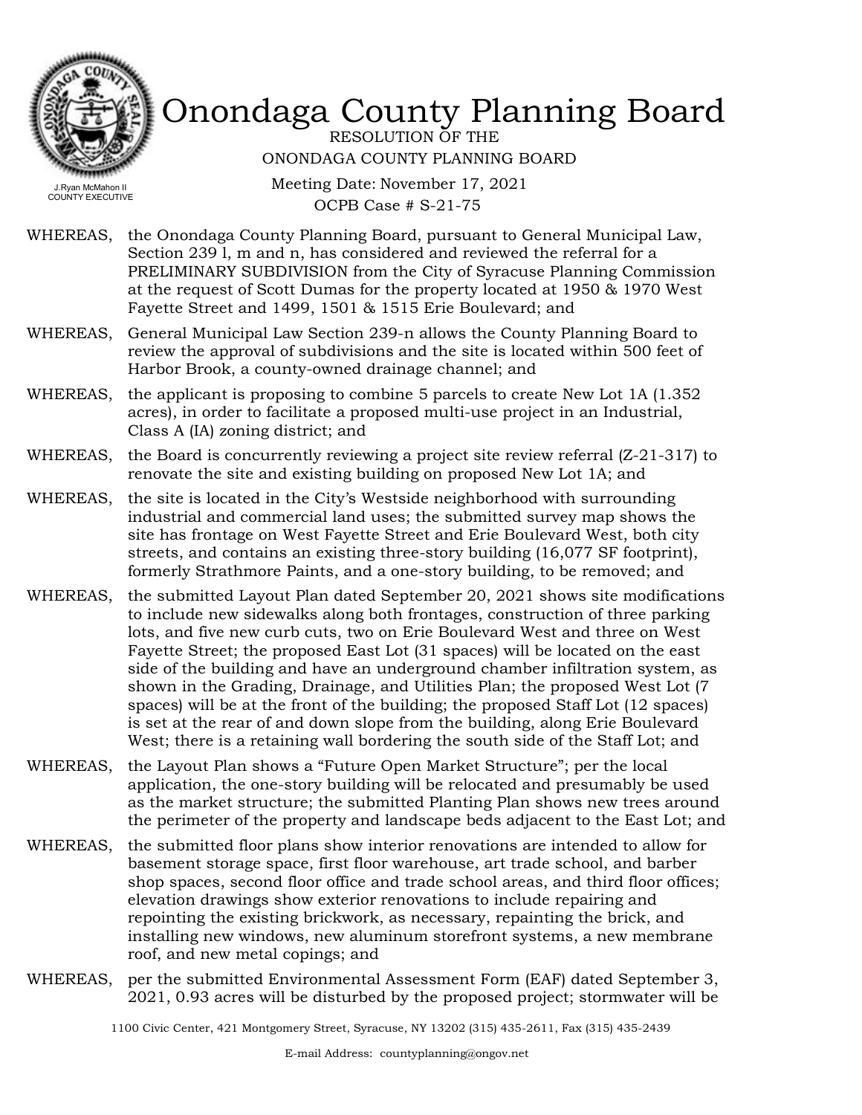

RESOLUTION OF THE ONONDAGA COUNTY PLANNING BOARD

Meeting Date: November 17, 2021 OCPB Case # S-21-75

- WHEREAS, the Onondaga County Planning Board, pursuant to General Municipal Law, Section 239 l, m and n, has considered and reviewed the referral for a PRELIMINARY SUBDIVISION from the City of Syracuse Planning Commission at the request of Scott Dumas for the property located at 1950 & 1970 West Fayette Street and 1499, 1501 & 1515 Erie Boulevard; and
- WHEREAS, General Municipal Law Section 239-n allows the County Planning Board to review the approval of subdivisions and the site is located within 500 feet of Harbor Brook, a county-owned drainage channel; and
- WHEREAS, the applicant is proposing to combine 5 parcels to create New Lot 1A (1.352) acres), in order to facilitate a proposed multi-use project in an Industrial, Class A (IA) zoning district; and
- WHEREAS, the Board is concurrently reviewing a project site review referral (Z-21-317) to renovate the site and existing building on proposed New Lot 1A; and
- WHEREAS, the site is located in the City's Westside neighborhood with surrounding industrial and commercial land uses; the submitted survey map shows the site has frontage on West Fayette Street and Erie Boulevard West, both city streets, and contains an existing three-story building (16,077 SF footprint), formerly Strathmore Paints, and a one-story building, to be removed; and
- WHEREAS, the submitted Layout Plan dated September 20, 2021 shows site modifications to include new sidewalks along both frontages, construction of three parking lots, and five new curb cuts, two on Erie Boulevard West and three on West Fayette Street; the proposed East Lot (31 spaces) will be located on the east side of the building and have an underground chamber infiltration system, as shown in the Grading, Drainage, and Utilities Plan; the proposed West Lot (7 spaces) will be at the front of the building; the proposed Staff Lot (12 spaces) is set at the rear of and down slope from the building, along Erie Boulevard West; there is a retaining wall bordering the south side of the Staff Lot; and
- WHEREAS, the Layout Plan shows a "Future Open Market Structure"; per the local application, the one-story building will be relocated and presumably be used as the market structure; the submitted Planting Plan shows new trees around the perimeter of the property and landscape beds adjacent to the East Lot; and
- the submitted floor plans show interior renovations are intended to allow for basement storage space, first floor warehouse, art trade school, and barber shop spaces, second floor office and trade school areas, and third floor offices; elevation drawings show exterior renovations to include repairing and repointing the existing brickwork, as necessary, repainting the brick, and installing new windows, new aluminum storefront systems, a new membrane roof, and new metal copings; and WHEREAS,
- WHEREAS, per the submitted Environmental Assessment Form (EAF) dated September 3, 2021, 0.93 acres will be disturbed by the proposed project; stormwater will be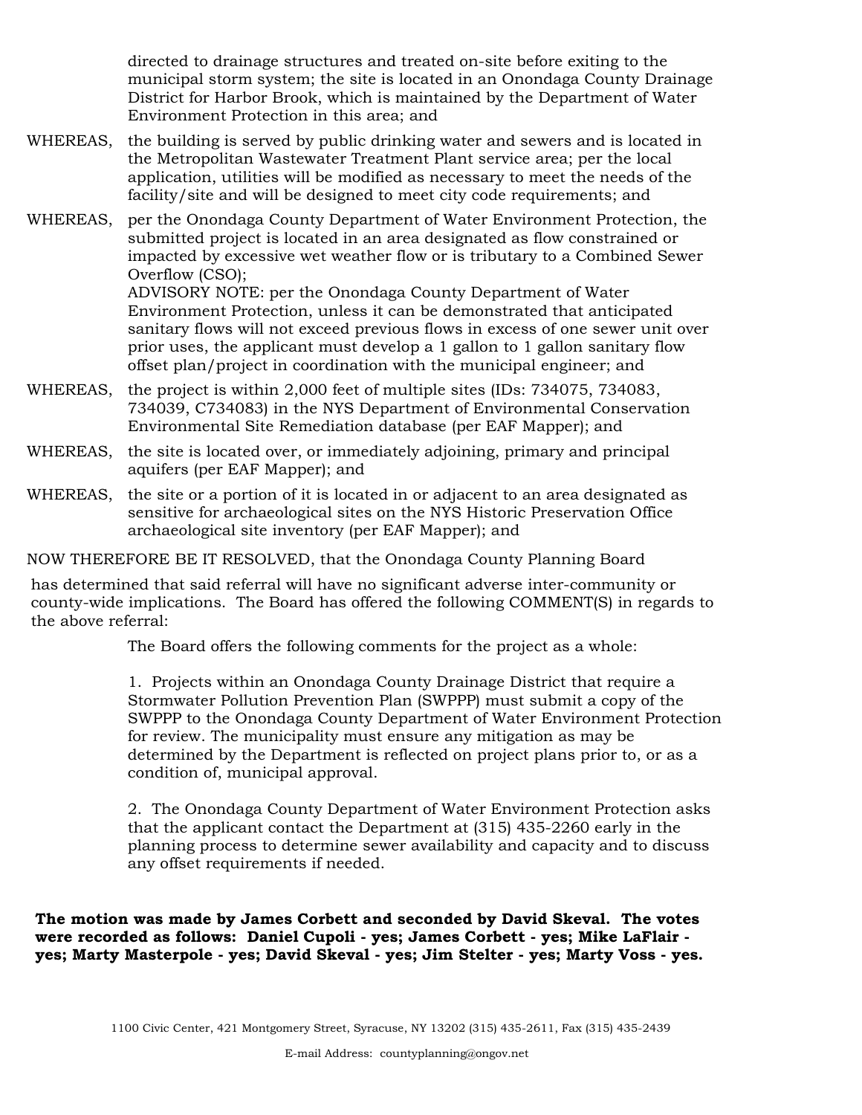directed to drainage structures and treated on-site before exiting to the municipal storm system; the site is located in an Onondaga County Drainage District for Harbor Brook, which is maintained by the Department of Water Environment Protection in this area; and

- WHEREAS, the building is served by public drinking water and sewers and is located in the Metropolitan Wastewater Treatment Plant service area; per the local application, utilities will be modified as necessary to meet the needs of the facility/site and will be designed to meet city code requirements; and
- WHEREAS, per the Onondaga County Department of Water Environment Protection, the submitted project is located in an area designated as flow constrained or impacted by excessive wet weather flow or is tributary to a Combined Sewer Overflow (CSO); ADVISORY NOTE: per the Onondaga County Department of Water Environment Protection, unless it can be demonstrated that anticipated

sanitary flows will not exceed previous flows in excess of one sewer unit over prior uses, the applicant must develop a 1 gallon to 1 gallon sanitary flow offset plan/project in coordination with the municipal engineer; and

- WHEREAS, the project is within 2,000 feet of multiple sites (IDs: 734075, 734083, 734039, C734083) in the NYS Department of Environmental Conservation Environmental Site Remediation database (per EAF Mapper); and
- WHEREAS, the site is located over, or immediately adjoining, primary and principal aquifers (per EAF Mapper); and
- WHEREAS, the site or a portion of it is located in or adjacent to an area designated as sensitive for archaeological sites on the NYS Historic Preservation Office archaeological site inventory (per EAF Mapper); and

NOW THEREFORE BE IT RESOLVED, that the Onondaga County Planning Board

has determined that said referral will have no significant adverse inter-community or county-wide implications. The Board has offered the following COMMENT(S) in regards to the above referral:

The Board offers the following comments for the project as a whole:

1. Projects within an Onondaga County Drainage District that require a Stormwater Pollution Prevention Plan (SWPPP) must submit a copy of the SWPPP to the Onondaga County Department of Water Environment Protection for review. The municipality must ensure any mitigation as may be determined by the Department is reflected on project plans prior to, or as a condition of, municipal approval.

2. The Onondaga County Department of Water Environment Protection asks that the applicant contact the Department at (315) 435-2260 early in the planning process to determine sewer availability and capacity and to discuss any offset requirements if needed.

**The motion was made by James Corbett and seconded by David Skeval. The votes were recorded as follows: Daniel Cupoli - yes; James Corbett - yes; Mike LaFlair yes; Marty Masterpole - yes; David Skeval - yes; Jim Stelter - yes; Marty Voss - yes.**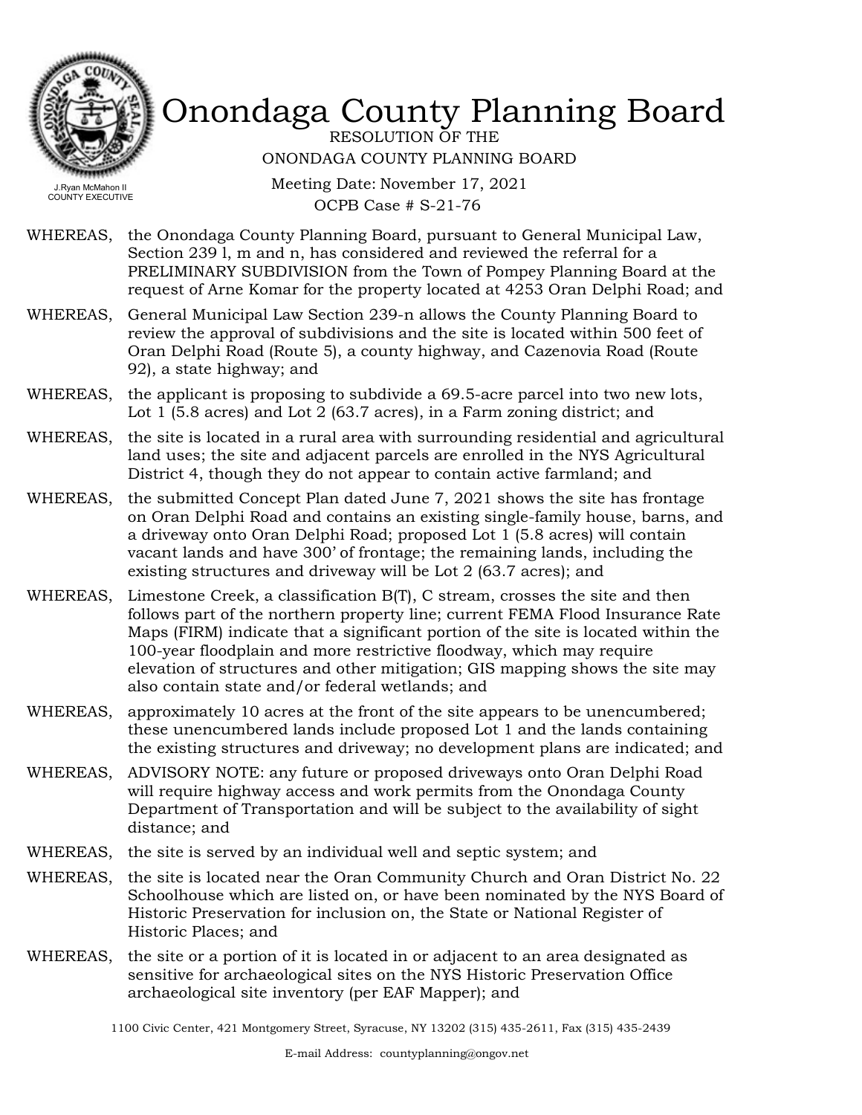

RESOLUTION OF THE ONONDAGA COUNTY PLANNING BOARD

Meeting Date: November 17, 2021 OCPB Case # S-21-76

- WHEREAS, the Onondaga County Planning Board, pursuant to General Municipal Law, Section 239 l, m and n, has considered and reviewed the referral for a PRELIMINARY SUBDIVISION from the Town of Pompey Planning Board at the request of Arne Komar for the property located at 4253 Oran Delphi Road; and
- WHEREAS, General Municipal Law Section 239-n allows the County Planning Board to review the approval of subdivisions and the site is located within 500 feet of Oran Delphi Road (Route 5), a county highway, and Cazenovia Road (Route 92), a state highway; and
- WHEREAS, the applicant is proposing to subdivide a 69.5-acre parcel into two new lots, Lot 1 (5.8 acres) and Lot 2 (63.7 acres), in a Farm zoning district; and
- WHEREAS, the site is located in a rural area with surrounding residential and agricultural land uses; the site and adjacent parcels are enrolled in the NYS Agricultural District 4, though they do not appear to contain active farmland; and
- the submitted Concept Plan dated June 7, 2021 shows the site has frontage on Oran Delphi Road and contains an existing single-family house, barns, and a driveway onto Oran Delphi Road; proposed Lot 1 (5.8 acres) will contain vacant lands and have 300' of frontage; the remaining lands, including the existing structures and driveway will be Lot 2 (63.7 acres); and WHEREAS,
- WHEREAS, Limestone Creek, a classification B(T), C stream, crosses the site and then follows part of the northern property line; current FEMA Flood Insurance Rate Maps (FIRM) indicate that a significant portion of the site is located within the 100-year floodplain and more restrictive floodway, which may require elevation of structures and other mitigation; GIS mapping shows the site may also contain state and/or federal wetlands; and
- WHEREAS, approximately 10 acres at the front of the site appears to be unencumbered; these unencumbered lands include proposed Lot 1 and the lands containing the existing structures and driveway; no development plans are indicated; and
- ADVISORY NOTE: any future or proposed driveways onto Oran Delphi Road will require highway access and work permits from the Onondaga County Department of Transportation and will be subject to the availability of sight distance; and WHEREAS,
- WHEREAS, the site is served by an individual well and septic system; and
- WHEREAS, the site is located near the Oran Community Church and Oran District No. 22 Schoolhouse which are listed on, or have been nominated by the NYS Board of Historic Preservation for inclusion on, the State or National Register of Historic Places; and
- WHEREAS, the site or a portion of it is located in or adjacent to an area designated as sensitive for archaeological sites on the NYS Historic Preservation Office archaeological site inventory (per EAF Mapper); and

<sup>1100</sup> Civic Center, 421 Montgomery Street, Syracuse, NY 13202 (315) 435-2611, Fax (315) 435-2439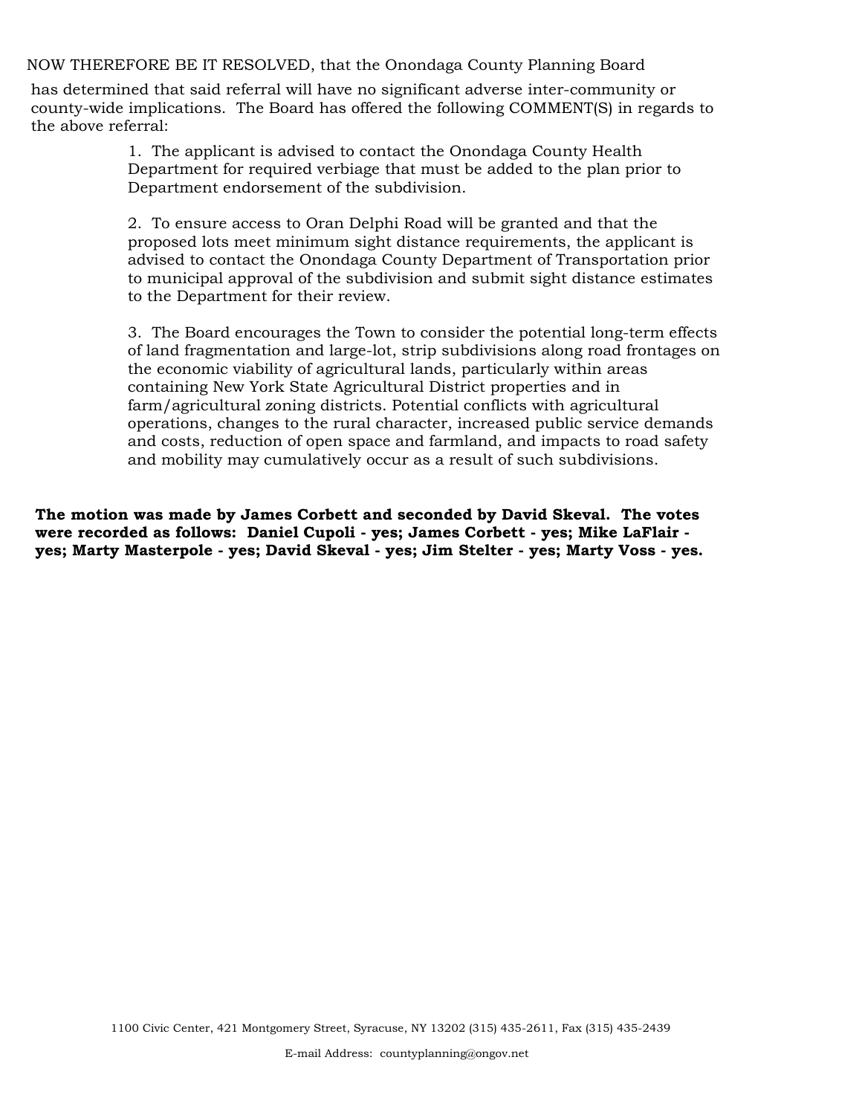NOW THEREFORE BE IT RESOLVED, that the Onondaga County Planning Board

has determined that said referral will have no significant adverse inter-community or county-wide implications. The Board has offered the following COMMENT(S) in regards to the above referral:

> 1. The applicant is advised to contact the Onondaga County Health Department for required verbiage that must be added to the plan prior to Department endorsement of the subdivision.

2. To ensure access to Oran Delphi Road will be granted and that the proposed lots meet minimum sight distance requirements, the applicant is advised to contact the Onondaga County Department of Transportation prior to municipal approval of the subdivision and submit sight distance estimates to the Department for their review.

3. The Board encourages the Town to consider the potential long-term effects of land fragmentation and large-lot, strip subdivisions along road frontages on the economic viability of agricultural lands, particularly within areas containing New York State Agricultural District properties and in farm/agricultural zoning districts. Potential conflicts with agricultural operations, changes to the rural character, increased public service demands and costs, reduction of open space and farmland, and impacts to road safety and mobility may cumulatively occur as a result of such subdivisions.

**The motion was made by James Corbett and seconded by David Skeval. The votes were recorded as follows: Daniel Cupoli - yes; James Corbett - yes; Mike LaFlair yes; Marty Masterpole - yes; David Skeval - yes; Jim Stelter - yes; Marty Voss - yes.**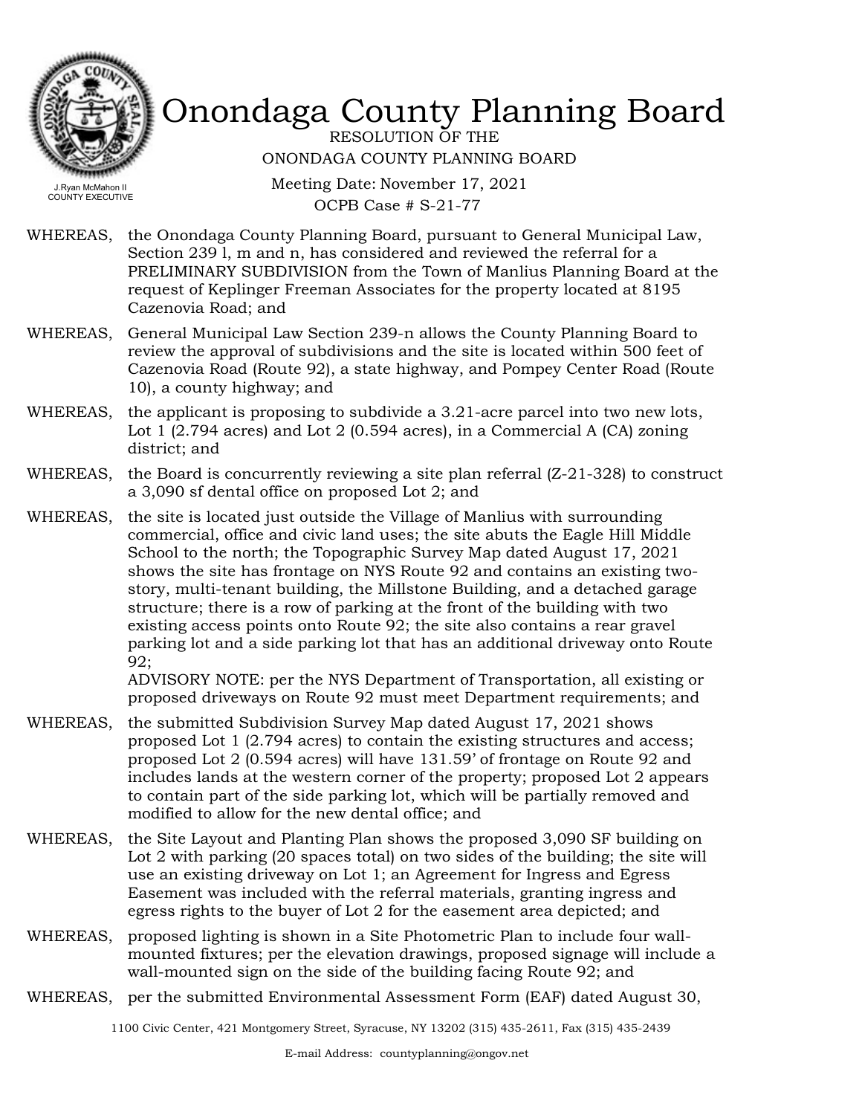

RESOLUTION OF THE ONONDAGA COUNTY PLANNING BOARD

Meeting Date: November 17, 2021 OCPB Case # S-21-77

- WHEREAS, the Onondaga County Planning Board, pursuant to General Municipal Law, Section 239 l, m and n, has considered and reviewed the referral for a PRELIMINARY SUBDIVISION from the Town of Manlius Planning Board at the request of Keplinger Freeman Associates for the property located at 8195 Cazenovia Road; and
- WHEREAS, General Municipal Law Section 239-n allows the County Planning Board to review the approval of subdivisions and the site is located within 500 feet of Cazenovia Road (Route 92), a state highway, and Pompey Center Road (Route 10), a county highway; and
- the applicant is proposing to subdivide a 3.21-acre parcel into two new lots, Lot 1 (2.794 acres) and Lot 2 (0.594 acres), in a Commercial A (CA) zoning district; and WHEREAS,
- WHEREAS, the Board is concurrently reviewing a site plan referral  $(Z-21-328)$  to construct a 3,090 sf dental office on proposed Lot 2; and
- WHEREAS, the site is located just outside the Village of Manlius with surrounding commercial, office and civic land uses; the site abuts the Eagle Hill Middle School to the north; the Topographic Survey Map dated August 17, 2021 shows the site has frontage on NYS Route 92 and contains an existing twostory, multi-tenant building, the Millstone Building, and a detached garage structure; there is a row of parking at the front of the building with two existing access points onto Route 92; the site also contains a rear gravel parking lot and a side parking lot that has an additional driveway onto Route 92;

ADVISORY NOTE: per the NYS Department of Transportation, all existing or proposed driveways on Route 92 must meet Department requirements; and

- WHEREAS, the submitted Subdivision Survey Map dated August 17, 2021 shows proposed Lot 1 (2.794 acres) to contain the existing structures and access; proposed Lot 2 (0.594 acres) will have 131.59' of frontage on Route 92 and includes lands at the western corner of the property; proposed Lot 2 appears to contain part of the side parking lot, which will be partially removed and modified to allow for the new dental office; and
- WHEREAS, the Site Layout and Planting Plan shows the proposed 3,090 SF building on Lot 2 with parking (20 spaces total) on two sides of the building; the site will use an existing driveway on Lot 1; an Agreement for Ingress and Egress Easement was included with the referral materials, granting ingress and egress rights to the buyer of Lot 2 for the easement area depicted; and
- WHEREAS, proposed lighting is shown in a Site Photometric Plan to include four wallmounted fixtures; per the elevation drawings, proposed signage will include a wall-mounted sign on the side of the building facing Route 92; and
- WHEREAS, per the submitted Environmental Assessment Form (EAF) dated August 30,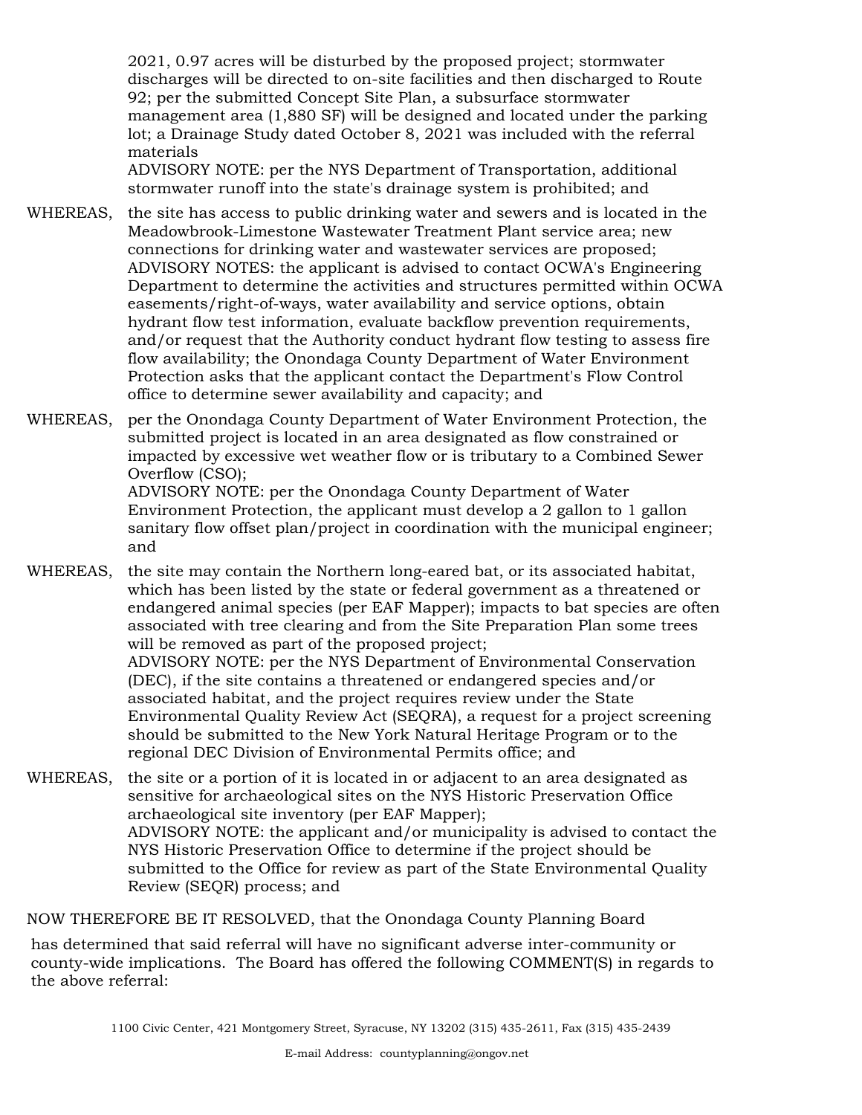2021, 0.97 acres will be disturbed by the proposed project; stormwater discharges will be directed to on-site facilities and then discharged to Route 92; per the submitted Concept Site Plan, a subsurface stormwater management area (1,880 SF) will be designed and located under the parking lot; a Drainage Study dated October 8, 2021 was included with the referral materials

ADVISORY NOTE: per the NYS Department of Transportation, additional stormwater runoff into the state's drainage system is prohibited; and

- WHEREAS, the site has access to public drinking water and sewers and is located in the Meadowbrook-Limestone Wastewater Treatment Plant service area; new connections for drinking water and wastewater services are proposed; ADVISORY NOTES: the applicant is advised to contact OCWA's Engineering Department to determine the activities and structures permitted within OCWA easements/right-of-ways, water availability and service options, obtain hydrant flow test information, evaluate backflow prevention requirements, and/or request that the Authority conduct hydrant flow testing to assess fire flow availability; the Onondaga County Department of Water Environment Protection asks that the applicant contact the Department's Flow Control office to determine sewer availability and capacity; and
- WHEREAS, per the Onondaga County Department of Water Environment Protection, the submitted project is located in an area designated as flow constrained or impacted by excessive wet weather flow or is tributary to a Combined Sewer Overflow (CSO);

ADVISORY NOTE: per the Onondaga County Department of Water Environment Protection, the applicant must develop a 2 gallon to 1 gallon sanitary flow offset plan/project in coordination with the municipal engineer; and

WHEREAS, the site may contain the Northern long-eared bat, or its associated habitat, which has been listed by the state or federal government as a threatened or endangered animal species (per EAF Mapper); impacts to bat species are often associated with tree clearing and from the Site Preparation Plan some trees will be removed as part of the proposed project; ADVISORY NOTE: per the NYS Department of Environmental Conservation (DEC), if the site contains a threatened or endangered species and/or associated habitat, and the project requires review under the State Environmental Quality Review Act (SEQRA), a request for a project screening should be submitted to the New York Natural Heritage Program or to the regional DEC Division of Environmental Permits office; and

WHEREAS, the site or a portion of it is located in or adjacent to an area designated as sensitive for archaeological sites on the NYS Historic Preservation Office archaeological site inventory (per EAF Mapper); ADVISORY NOTE: the applicant and/or municipality is advised to contact the NYS Historic Preservation Office to determine if the project should be submitted to the Office for review as part of the State Environmental Quality Review (SEQR) process; and

NOW THEREFORE BE IT RESOLVED, that the Onondaga County Planning Board

has determined that said referral will have no significant adverse inter-community or county-wide implications. The Board has offered the following COMMENT(S) in regards to the above referral: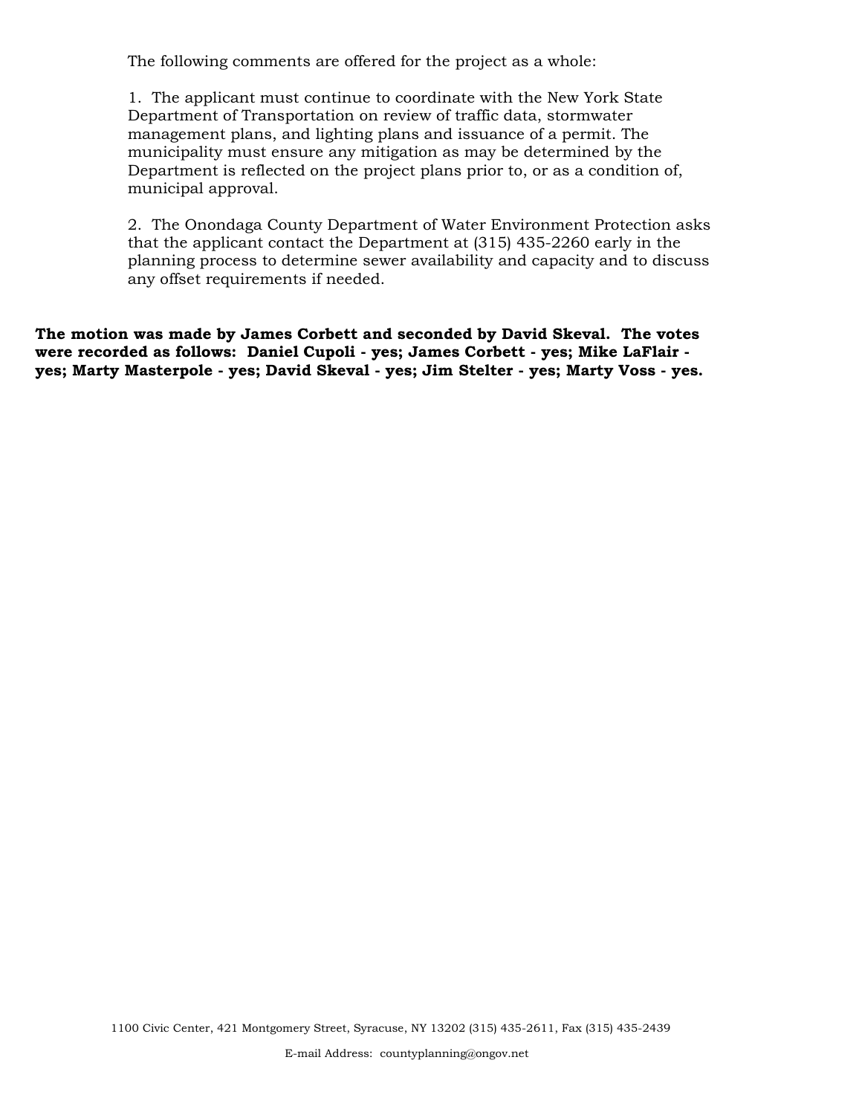The following comments are offered for the project as a whole:

1. The applicant must continue to coordinate with the New York State Department of Transportation on review of traffic data, stormwater management plans, and lighting plans and issuance of a permit. The municipality must ensure any mitigation as may be determined by the Department is reflected on the project plans prior to, or as a condition of, municipal approval.

2. The Onondaga County Department of Water Environment Protection asks that the applicant contact the Department at (315) 435-2260 early in the planning process to determine sewer availability and capacity and to discuss any offset requirements if needed.

**The motion was made by James Corbett and seconded by David Skeval. The votes were recorded as follows: Daniel Cupoli - yes; James Corbett - yes; Mike LaFlair yes; Marty Masterpole - yes; David Skeval - yes; Jim Stelter - yes; Marty Voss - yes.**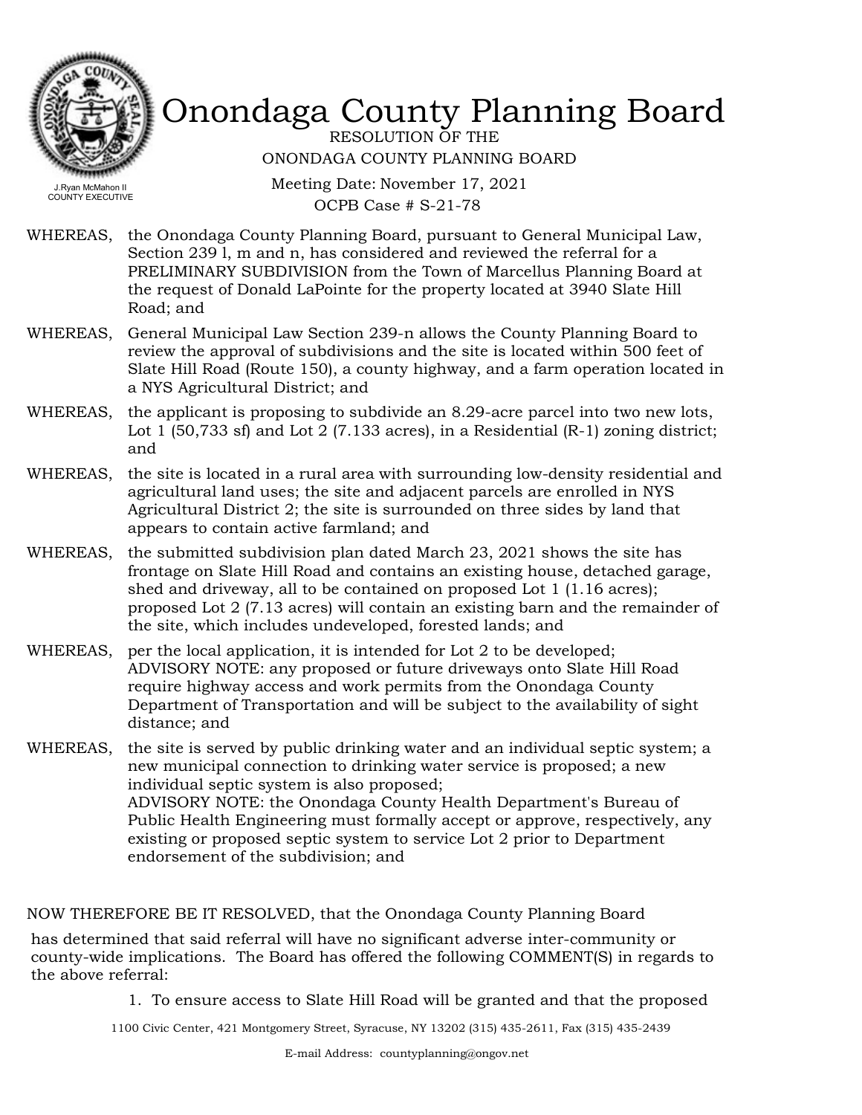

RESOLUTION OF THE ONONDAGA COUNTY PLANNING BOARD

Meeting Date: November 17, 2021 OCPB Case # S-21-78

- WHEREAS, the Onondaga County Planning Board, pursuant to General Municipal Law, Section 239 l, m and n, has considered and reviewed the referral for a PRELIMINARY SUBDIVISION from the Town of Marcellus Planning Board at the request of Donald LaPointe for the property located at 3940 Slate Hill Road; and
- WHEREAS, General Municipal Law Section 239-n allows the County Planning Board to review the approval of subdivisions and the site is located within 500 feet of Slate Hill Road (Route 150), a county highway, and a farm operation located in a NYS Agricultural District; and
- the applicant is proposing to subdivide an 8.29-acre parcel into two new lots, Lot 1 (50,733 sf) and Lot 2 (7.133 acres), in a Residential (R-1) zoning district; and WHEREAS,
- WHEREAS, the site is located in a rural area with surrounding low-density residential and agricultural land uses; the site and adjacent parcels are enrolled in NYS Agricultural District 2; the site is surrounded on three sides by land that appears to contain active farmland; and
- WHEREAS, the submitted subdivision plan dated March 23, 2021 shows the site has frontage on Slate Hill Road and contains an existing house, detached garage, shed and driveway, all to be contained on proposed Lot 1 (1.16 acres); proposed Lot 2 (7.13 acres) will contain an existing barn and the remainder of the site, which includes undeveloped, forested lands; and
- WHEREAS, per the local application, it is intended for Lot 2 to be developed; ADVISORY NOTE: any proposed or future driveways onto Slate Hill Road require highway access and work permits from the Onondaga County Department of Transportation and will be subject to the availability of sight distance; and
- WHEREAS, the site is served by public drinking water and an individual septic system; a new municipal connection to drinking water service is proposed; a new individual septic system is also proposed; ADVISORY NOTE: the Onondaga County Health Department's Bureau of Public Health Engineering must formally accept or approve, respectively, any existing or proposed septic system to service Lot 2 prior to Department endorsement of the subdivision; and

NOW THEREFORE BE IT RESOLVED, that the Onondaga County Planning Board

has determined that said referral will have no significant adverse inter-community or county-wide implications. The Board has offered the following COMMENT(S) in regards to the above referral:

1. To ensure access to Slate Hill Road will be granted and that the proposed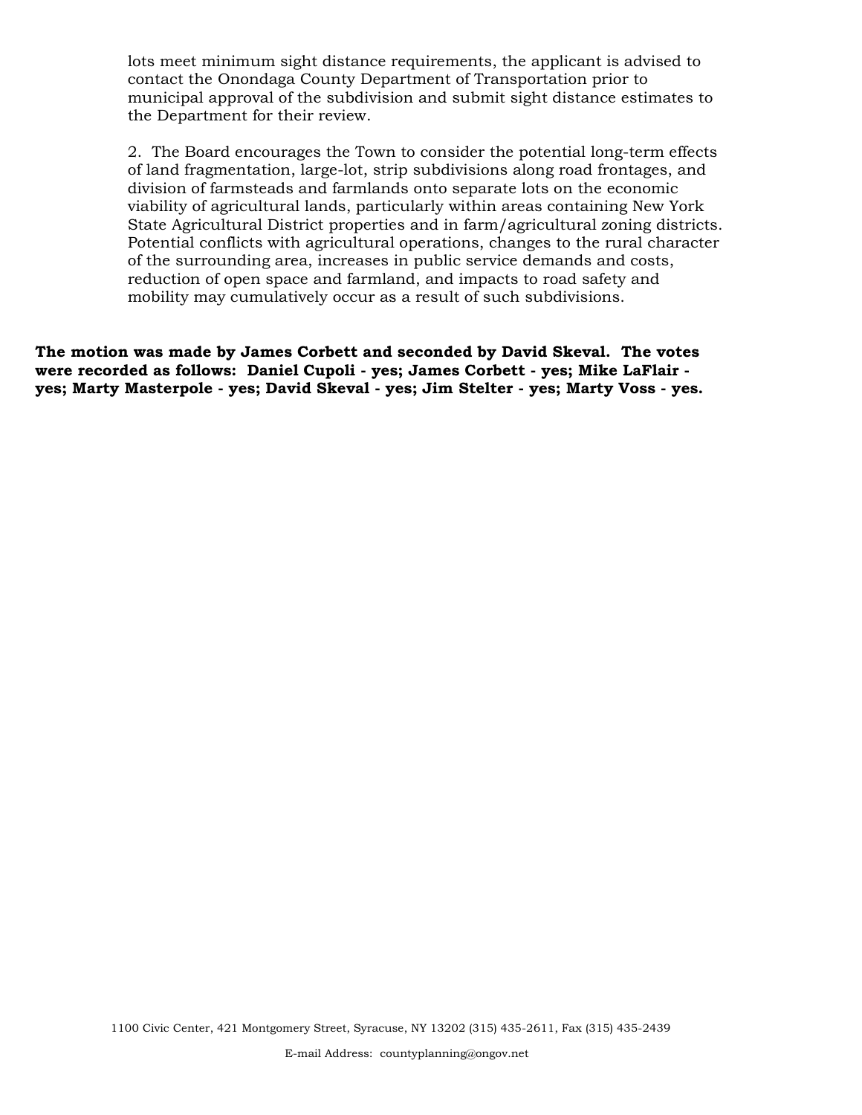lots meet minimum sight distance requirements, the applicant is advised to contact the Onondaga County Department of Transportation prior to municipal approval of the subdivision and submit sight distance estimates to the Department for their review.

2. The Board encourages the Town to consider the potential long-term effects of land fragmentation, large-lot, strip subdivisions along road frontages, and division of farmsteads and farmlands onto separate lots on the economic viability of agricultural lands, particularly within areas containing New York State Agricultural District properties and in farm/agricultural zoning districts. Potential conflicts with agricultural operations, changes to the rural character of the surrounding area, increases in public service demands and costs, reduction of open space and farmland, and impacts to road safety and mobility may cumulatively occur as a result of such subdivisions.

**The motion was made by James Corbett and seconded by David Skeval. The votes were recorded as follows: Daniel Cupoli - yes; James Corbett - yes; Mike LaFlair yes; Marty Masterpole - yes; David Skeval - yes; Jim Stelter - yes; Marty Voss - yes.**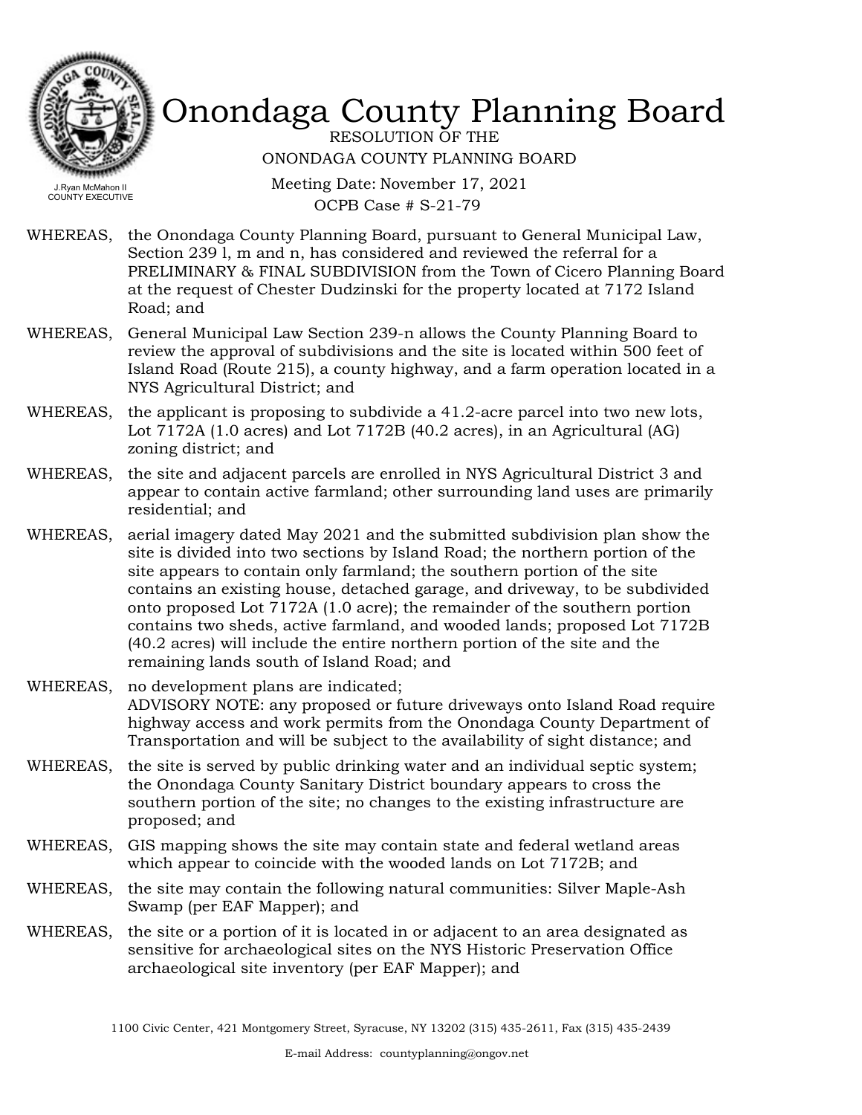

RESOLUTION OF THE ONONDAGA COUNTY PLANNING BOARD

Meeting Date: November 17, 2021 OCPB Case # S-21-79

- WHEREAS, the Onondaga County Planning Board, pursuant to General Municipal Law, Section 239 l, m and n, has considered and reviewed the referral for a PRELIMINARY & FINAL SUBDIVISION from the Town of Cicero Planning Board at the request of Chester Dudzinski for the property located at 7172 Island Road; and
- WHEREAS, General Municipal Law Section 239-n allows the County Planning Board to review the approval of subdivisions and the site is located within 500 feet of Island Road (Route 215), a county highway, and a farm operation located in a NYS Agricultural District; and
- the applicant is proposing to subdivide a 41.2-acre parcel into two new lots, Lot 7172A (1.0 acres) and Lot 7172B (40.2 acres), in an Agricultural (AG) zoning district; and WHEREAS,
- WHEREAS, the site and adjacent parcels are enrolled in NYS Agricultural District 3 and appear to contain active farmland; other surrounding land uses are primarily residential; and
- WHEREAS, aerial imagery dated May 2021 and the submitted subdivision plan show the site is divided into two sections by Island Road; the northern portion of the site appears to contain only farmland; the southern portion of the site contains an existing house, detached garage, and driveway, to be subdivided onto proposed Lot 7172A (1.0 acre); the remainder of the southern portion contains two sheds, active farmland, and wooded lands; proposed Lot 7172B (40.2 acres) will include the entire northern portion of the site and the remaining lands south of Island Road; and
- WHEREAS, no development plans are indicated; ADVISORY NOTE: any proposed or future driveways onto Island Road require highway access and work permits from the Onondaga County Department of Transportation and will be subject to the availability of sight distance; and
- the site is served by public drinking water and an individual septic system; the Onondaga County Sanitary District boundary appears to cross the southern portion of the site; no changes to the existing infrastructure are proposed; and WHEREAS,
- WHEREAS, GIS mapping shows the site may contain state and federal wetland areas which appear to coincide with the wooded lands on Lot 7172B; and
- WHEREAS, the site may contain the following natural communities: Silver Maple-Ash Swamp (per EAF Mapper); and
- WHEREAS, the site or a portion of it is located in or adjacent to an area designated as sensitive for archaeological sites on the NYS Historic Preservation Office archaeological site inventory (per EAF Mapper); and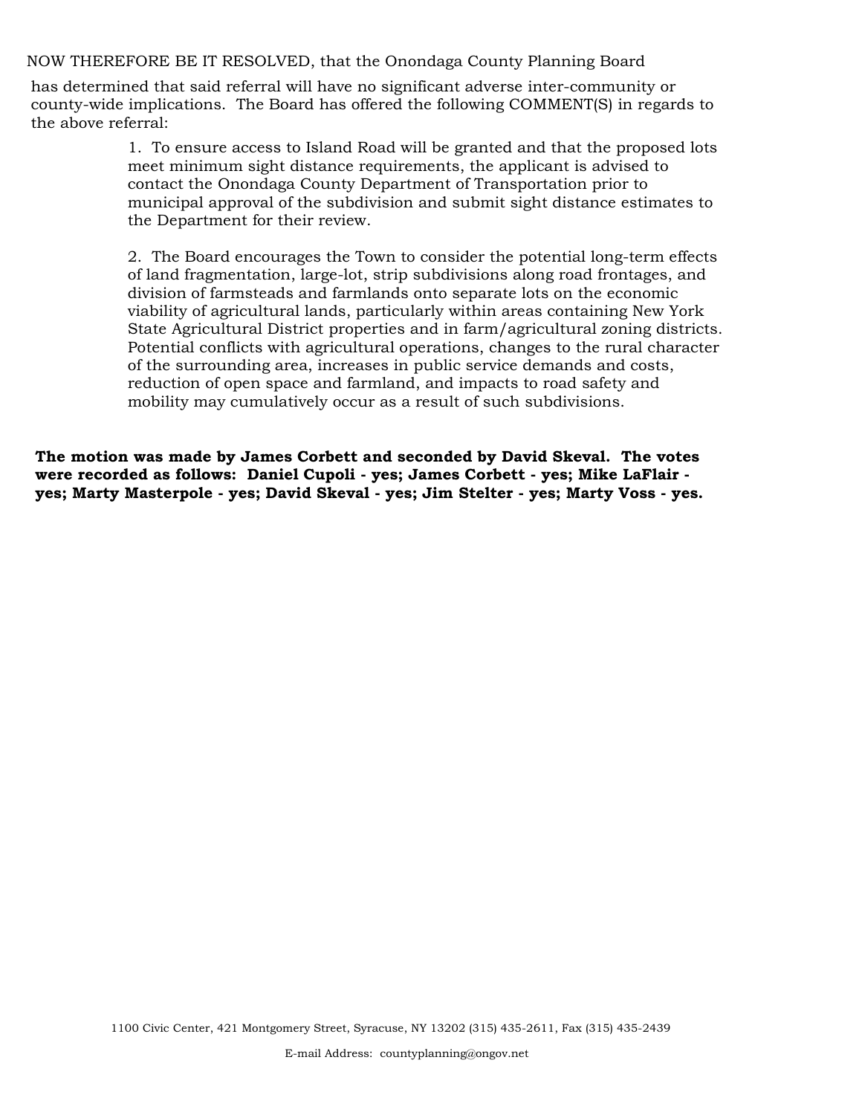NOW THEREFORE BE IT RESOLVED, that the Onondaga County Planning Board

has determined that said referral will have no significant adverse inter-community or county-wide implications. The Board has offered the following COMMENT(S) in regards to the above referral:

> 1. To ensure access to Island Road will be granted and that the proposed lots meet minimum sight distance requirements, the applicant is advised to contact the Onondaga County Department of Transportation prior to municipal approval of the subdivision and submit sight distance estimates to the Department for their review.

> 2. The Board encourages the Town to consider the potential long-term effects of land fragmentation, large-lot, strip subdivisions along road frontages, and division of farmsteads and farmlands onto separate lots on the economic viability of agricultural lands, particularly within areas containing New York State Agricultural District properties and in farm/agricultural zoning districts. Potential conflicts with agricultural operations, changes to the rural character of the surrounding area, increases in public service demands and costs, reduction of open space and farmland, and impacts to road safety and mobility may cumulatively occur as a result of such subdivisions.

**The motion was made by James Corbett and seconded by David Skeval. The votes were recorded as follows: Daniel Cupoli - yes; James Corbett - yes; Mike LaFlair yes; Marty Masterpole - yes; David Skeval - yes; Jim Stelter - yes; Marty Voss - yes.**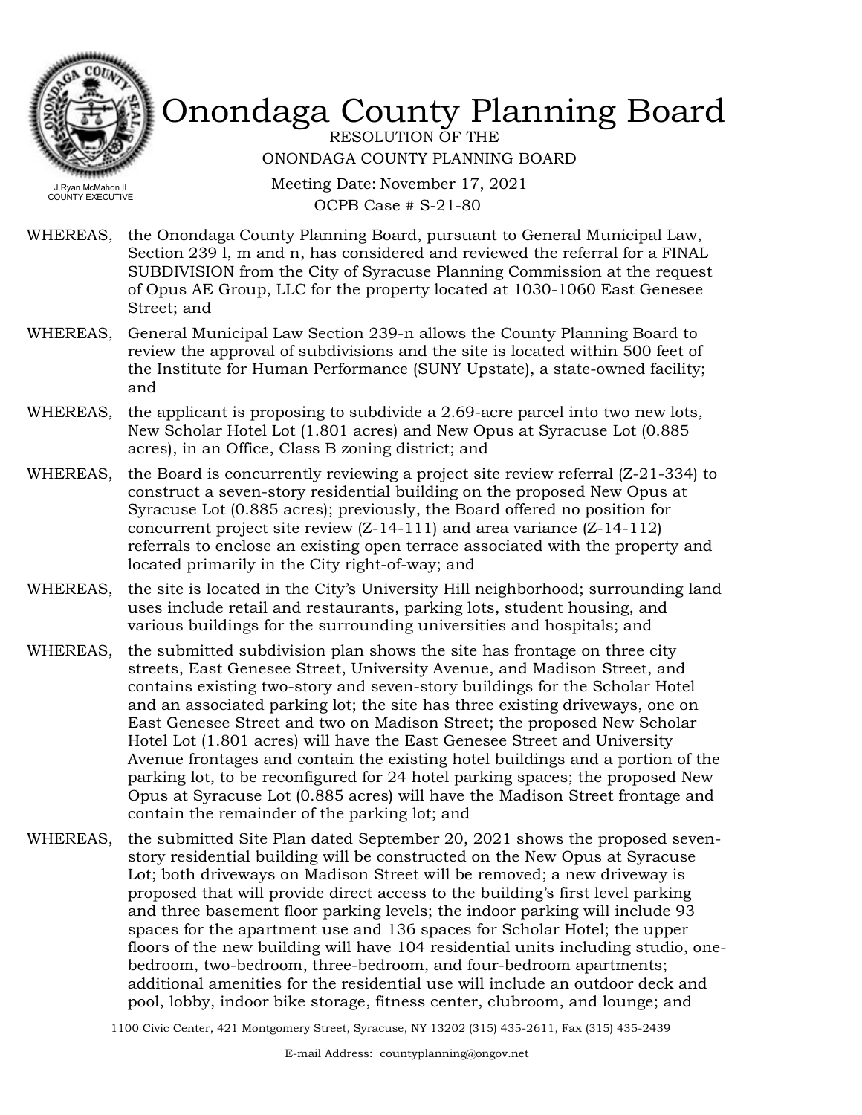

RESOLUTION OF THE ONONDAGA COUNTY PLANNING BOARD

Meeting Date: November 17, 2021 OCPB Case # S-21-80

WHEREAS, the Onondaga County Planning Board, pursuant to General Municipal Law, Section 239 l, m and n, has considered and reviewed the referral for a FINAL SUBDIVISION from the City of Syracuse Planning Commission at the request of Opus AE Group, LLC for the property located at 1030-1060 East Genesee Street; and

- WHEREAS, General Municipal Law Section 239-n allows the County Planning Board to review the approval of subdivisions and the site is located within 500 feet of the Institute for Human Performance (SUNY Upstate), a state-owned facility; and
- the applicant is proposing to subdivide a 2.69-acre parcel into two new lots, New Scholar Hotel Lot (1.801 acres) and New Opus at Syracuse Lot (0.885 acres), in an Office, Class B zoning district; and WHEREAS,
- WHEREAS, the Board is concurrently reviewing a project site review referral (Z-21-334) to construct a seven-story residential building on the proposed New Opus at Syracuse Lot (0.885 acres); previously, the Board offered no position for concurrent project site review  $(Z-14-111)$  and area variance  $(Z-14-112)$ referrals to enclose an existing open terrace associated with the property and located primarily in the City right-of-way; and
- the site is located in the City's University Hill neighborhood; surrounding land uses include retail and restaurants, parking lots, student housing, and various buildings for the surrounding universities and hospitals; and WHEREAS,
- WHEREAS, the submitted subdivision plan shows the site has frontage on three city streets, East Genesee Street, University Avenue, and Madison Street, and contains existing two-story and seven-story buildings for the Scholar Hotel and an associated parking lot; the site has three existing driveways, one on East Genesee Street and two on Madison Street; the proposed New Scholar Hotel Lot (1.801 acres) will have the East Genesee Street and University Avenue frontages and contain the existing hotel buildings and a portion of the parking lot, to be reconfigured for 24 hotel parking spaces; the proposed New Opus at Syracuse Lot (0.885 acres) will have the Madison Street frontage and contain the remainder of the parking lot; and
- WHEREAS, the submitted Site Plan dated September 20, 2021 shows the proposed sevenstory residential building will be constructed on the New Opus at Syracuse Lot; both driveways on Madison Street will be removed; a new driveway is proposed that will provide direct access to the building's first level parking and three basement floor parking levels; the indoor parking will include 93 spaces for the apartment use and 136 spaces for Scholar Hotel; the upper floors of the new building will have 104 residential units including studio, onebedroom, two-bedroom, three-bedroom, and four-bedroom apartments; additional amenities for the residential use will include an outdoor deck and pool, lobby, indoor bike storage, fitness center, clubroom, and lounge; and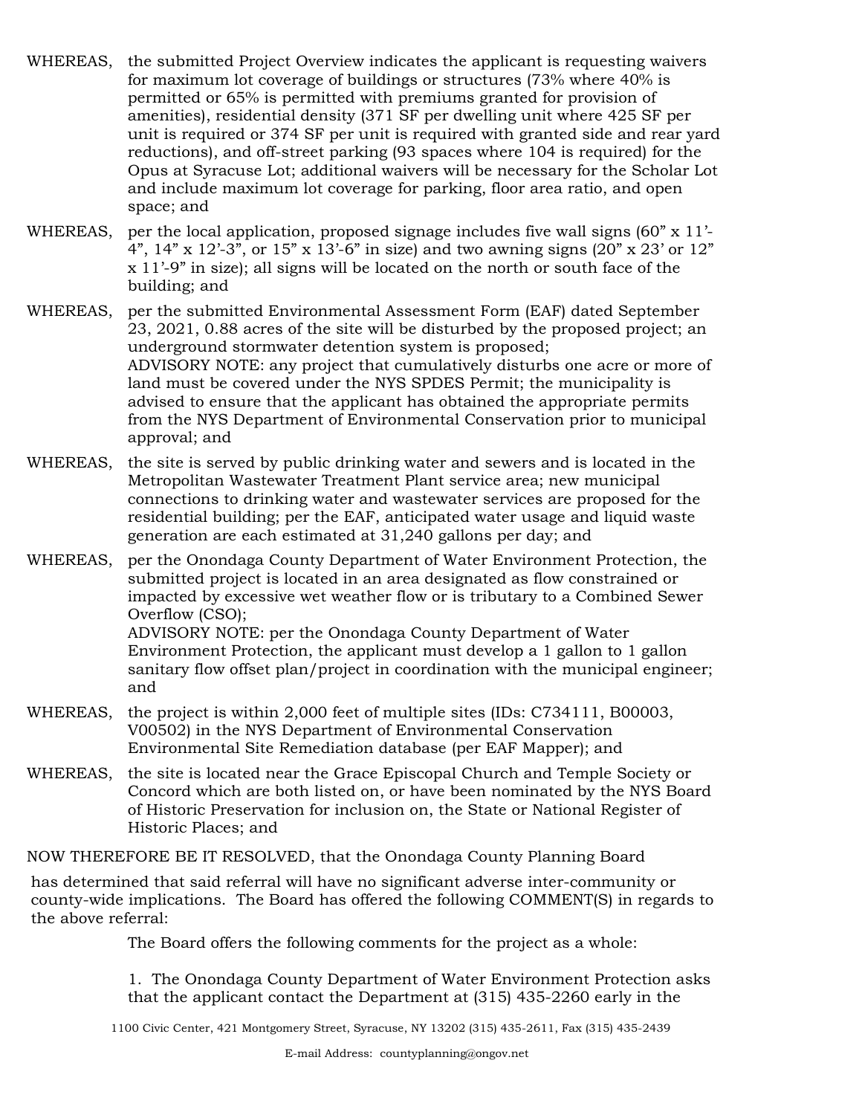- WHEREAS, the submitted Project Overview indicates the applicant is requesting waivers for maximum lot coverage of buildings or structures (73% where 40% is permitted or 65% is permitted with premiums granted for provision of amenities), residential density (371 SF per dwelling unit where 425 SF per unit is required or 374 SF per unit is required with granted side and rear yard reductions), and off-street parking (93 spaces where 104 is required) for the Opus at Syracuse Lot; additional waivers will be necessary for the Scholar Lot and include maximum lot coverage for parking, floor area ratio, and open space; and
- WHEREAS, per the local application, proposed signage includes five wall signs  $(60" \times 11'$ -4",  $14$ " x  $12'$ -3", or  $15$ " x  $13'$ -6" in size) and two awning signs (20" x 23' or  $12$ " x 11'-9" in size); all signs will be located on the north or south face of the building; and
- WHEREAS, per the submitted Environmental Assessment Form (EAF) dated September 23, 2021, 0.88 acres of the site will be disturbed by the proposed project; an underground stormwater detention system is proposed; ADVISORY NOTE: any project that cumulatively disturbs one acre or more of land must be covered under the NYS SPDES Permit; the municipality is advised to ensure that the applicant has obtained the appropriate permits from the NYS Department of Environmental Conservation prior to municipal approval; and
- WHEREAS, the site is served by public drinking water and sewers and is located in the Metropolitan Wastewater Treatment Plant service area; new municipal connections to drinking water and wastewater services are proposed for the residential building; per the EAF, anticipated water usage and liquid waste generation are each estimated at 31,240 gallons per day; and
- WHEREAS, per the Onondaga County Department of Water Environment Protection, the submitted project is located in an area designated as flow constrained or impacted by excessive wet weather flow or is tributary to a Combined Sewer Overflow (CSO); ADVISORY NOTE: per the Onondaga County Department of Water Environment Protection, the applicant must develop a 1 gallon to 1 gallon sanitary flow offset plan/project in coordination with the municipal engineer; and
- WHEREAS, the project is within 2,000 feet of multiple sites (IDs: C734111, B00003, V00502) in the NYS Department of Environmental Conservation Environmental Site Remediation database (per EAF Mapper); and
- WHEREAS, the site is located near the Grace Episcopal Church and Temple Society or Concord which are both listed on, or have been nominated by the NYS Board of Historic Preservation for inclusion on, the State or National Register of Historic Places; and

NOW THEREFORE BE IT RESOLVED, that the Onondaga County Planning Board

has determined that said referral will have no significant adverse inter-community or county-wide implications. The Board has offered the following COMMENT(S) in regards to the above referral:

The Board offers the following comments for the project as a whole:

1. The Onondaga County Department of Water Environment Protection asks that the applicant contact the Department at (315) 435-2260 early in the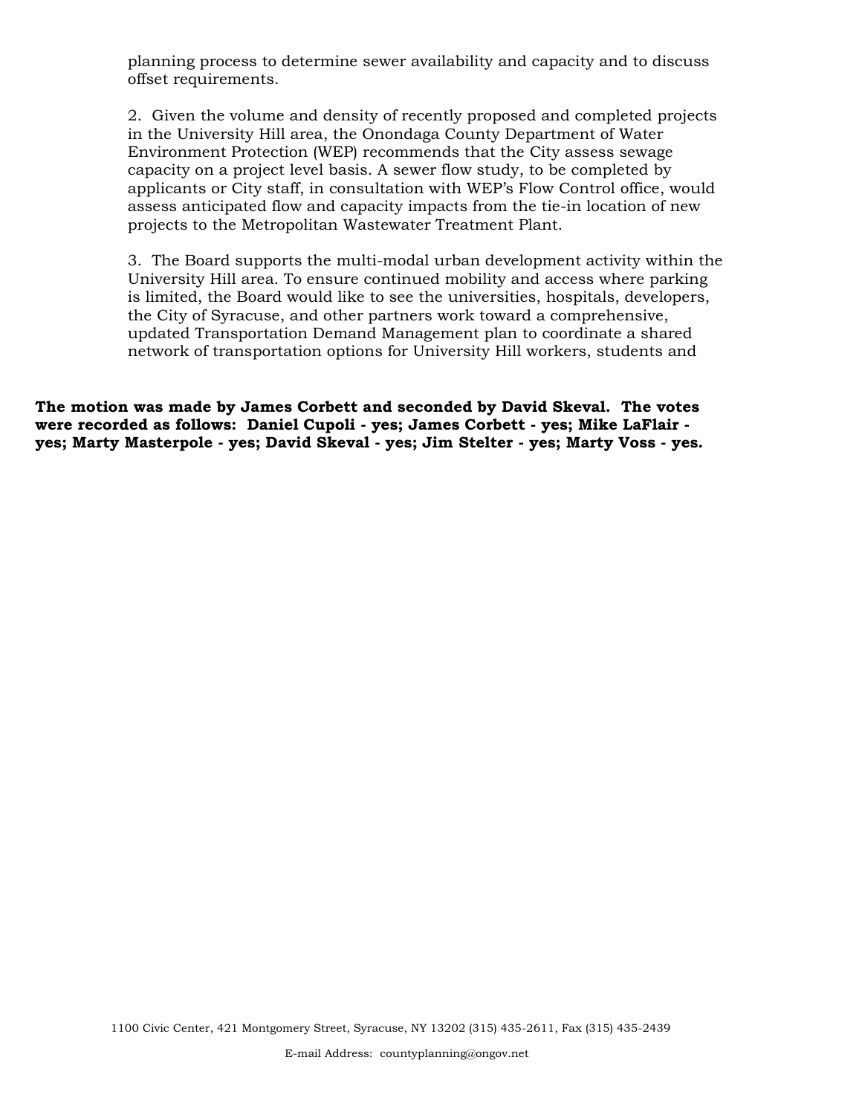planning process to determine sewer availability and capacity and to discuss offset requirements.

2. Given the volume and density of recently proposed and completed projects in the University Hill area, the Onondaga County Department of Water Environment Protection (WEP) recommends that the City assess sewage capacity on a project level basis. A sewer flow study, to be completed by applicants or City staff, in consultation with WEP's Flow Control office, would assess anticipated flow and capacity impacts from the tie-in location of new projects to the Metropolitan Wastewater Treatment Plant.

3. The Board supports the multi-modal urban development activity within the University Hill area. To ensure continued mobility and access where parking is limited, the Board would like to see the universities, hospitals, developers, the City of Syracuse, and other partners work toward a comprehensive, updated Transportation Demand Management plan to coordinate a shared network of transportation options for University Hill workers, students and

**The motion was made by James Corbett and seconded by David Skeval. The votes were recorded as follows: Daniel Cupoli - yes; James Corbett - yes; Mike LaFlair yes; Marty Masterpole - yes; David Skeval - yes; Jim Stelter - yes; Marty Voss - yes.**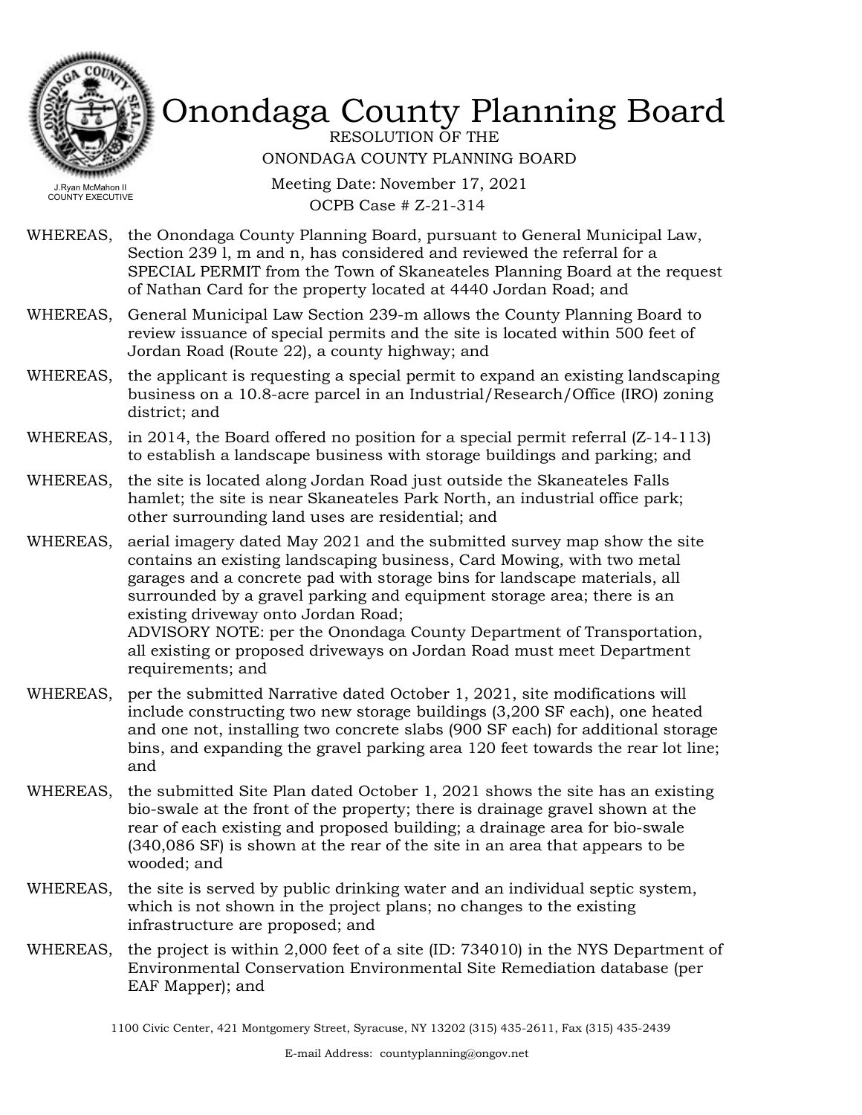

RESOLUTION OF THE ONONDAGA COUNTY PLANNING BOARD

Meeting Date: November 17, 2021 OCPB Case # Z-21-314

- WHEREAS, the Onondaga County Planning Board, pursuant to General Municipal Law, Section 239 l, m and n, has considered and reviewed the referral for a SPECIAL PERMIT from the Town of Skaneateles Planning Board at the request of Nathan Card for the property located at 4440 Jordan Road; and
- WHEREAS, General Municipal Law Section 239-m allows the County Planning Board to review issuance of special permits and the site is located within 500 feet of Jordan Road (Route 22), a county highway; and
- WHEREAS, the applicant is requesting a special permit to expand an existing landscaping business on a 10.8-acre parcel in an Industrial/Research/Office (IRO) zoning district; and
- WHEREAS, in 2014, the Board offered no position for a special permit referral (Z-14-113) to establish a landscape business with storage buildings and parking; and
- WHEREAS, the site is located along Jordan Road just outside the Skaneateles Falls hamlet; the site is near Skaneateles Park North, an industrial office park; other surrounding land uses are residential; and
- WHEREAS, aerial imagery dated May 2021 and the submitted survey map show the site contains an existing landscaping business, Card Mowing, with two metal garages and a concrete pad with storage bins for landscape materials, all surrounded by a gravel parking and equipment storage area; there is an existing driveway onto Jordan Road; ADVISORY NOTE: per the Onondaga County Department of Transportation, all existing or proposed driveways on Jordan Road must meet Department requirements; and
- WHEREAS, per the submitted Narrative dated October 1, 2021, site modifications will include constructing two new storage buildings (3,200 SF each), one heated and one not, installing two concrete slabs (900 SF each) for additional storage bins, and expanding the gravel parking area 120 feet towards the rear lot line; and
- the submitted Site Plan dated October 1, 2021 shows the site has an existing bio-swale at the front of the property; there is drainage gravel shown at the rear of each existing and proposed building; a drainage area for bio-swale (340,086 SF) is shown at the rear of the site in an area that appears to be wooded; and WHEREAS,
- WHEREAS, the site is served by public drinking water and an individual septic system, which is not shown in the project plans; no changes to the existing infrastructure are proposed; and
- WHEREAS, the project is within 2,000 feet of a site (ID: 734010) in the NYS Department of Environmental Conservation Environmental Site Remediation database (per EAF Mapper); and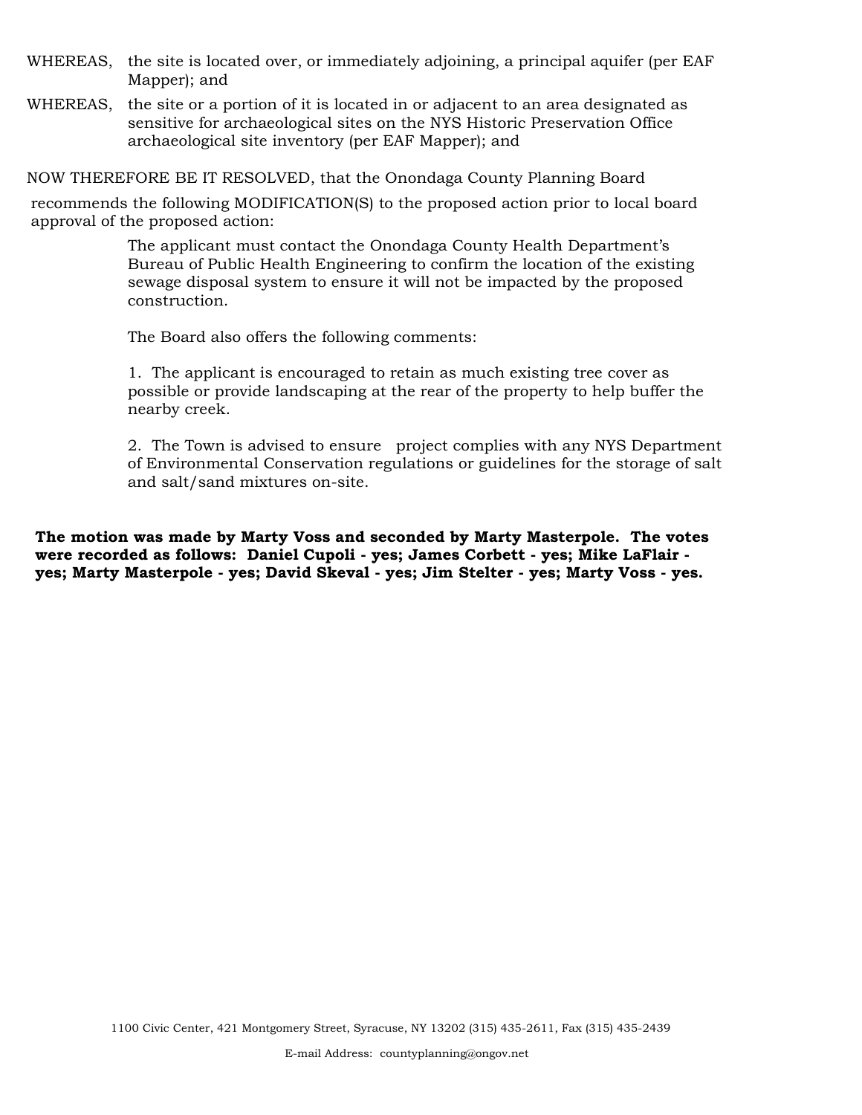- WHEREAS, the site is located over, or immediately adjoining, a principal aquifer (per EAF Mapper); and
- WHEREAS, the site or a portion of it is located in or adjacent to an area designated as sensitive for archaeological sites on the NYS Historic Preservation Office archaeological site inventory (per EAF Mapper); and

NOW THEREFORE BE IT RESOLVED, that the Onondaga County Planning Board

recommends the following MODIFICATION(S) to the proposed action prior to local board approval of the proposed action:

> The applicant must contact the Onondaga County Health Department's Bureau of Public Health Engineering to confirm the location of the existing sewage disposal system to ensure it will not be impacted by the proposed construction.

The Board also offers the following comments:

1. The applicant is encouraged to retain as much existing tree cover as possible or provide landscaping at the rear of the property to help buffer the nearby creek.

2. The Town is advised to ensure project complies with any NYS Department of Environmental Conservation regulations or guidelines for the storage of salt and salt/sand mixtures on-site.

**The motion was made by Marty Voss and seconded by Marty Masterpole. The votes were recorded as follows: Daniel Cupoli - yes; James Corbett - yes; Mike LaFlair yes; Marty Masterpole - yes; David Skeval - yes; Jim Stelter - yes; Marty Voss - yes.**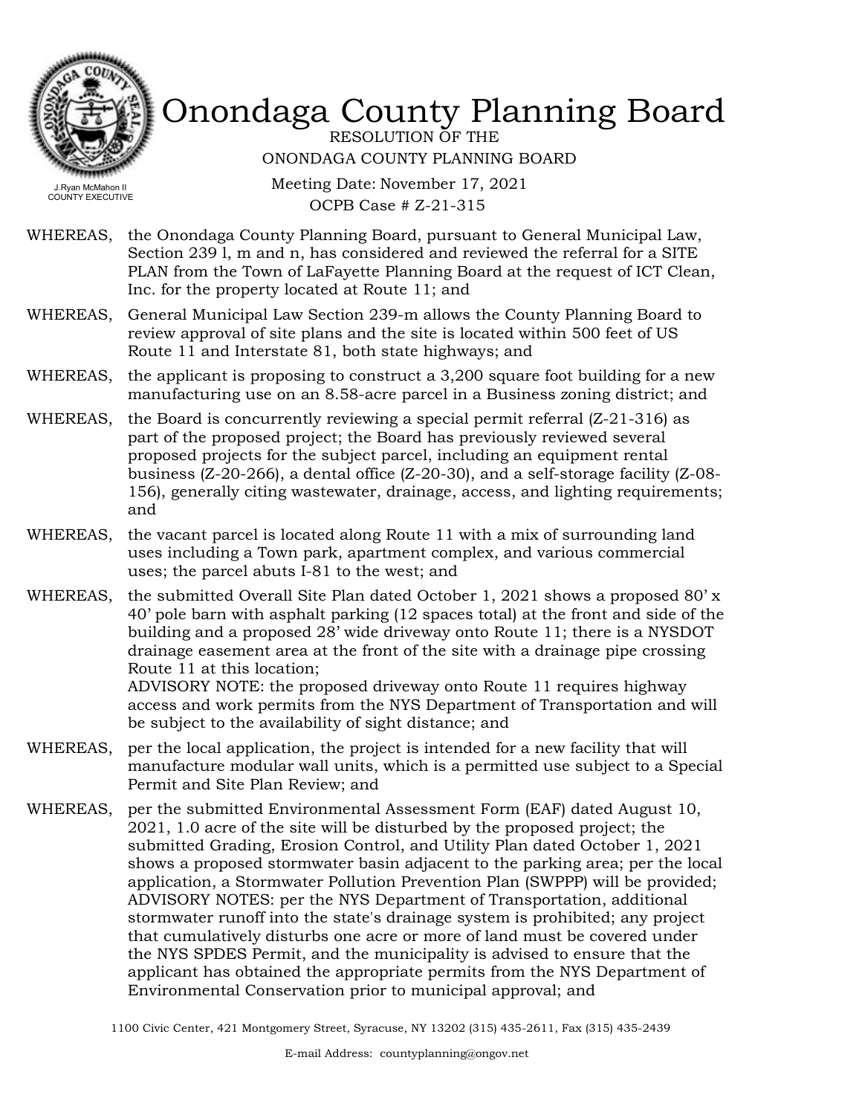

RESOLUTION OF THE ONONDAGA COUNTY PLANNING BOARD

Meeting Date: November 17, 2021 OCPB Case # Z-21-315

- WHEREAS, the Onondaga County Planning Board, pursuant to General Municipal Law, Section 239 l, m and n, has considered and reviewed the referral for a SITE PLAN from the Town of LaFayette Planning Board at the request of ICT Clean, Inc. for the property located at Route 11; and
- WHEREAS, General Municipal Law Section 239-m allows the County Planning Board to review approval of site plans and the site is located within 500 feet of US Route 11 and Interstate 81, both state highways; and
- WHEREAS, the applicant is proposing to construct a  $3,200$  square foot building for a new manufacturing use on an 8.58-acre parcel in a Business zoning district; and
- WHEREAS, the Board is concurrently reviewing a special permit referral  $(Z-21-316)$  as part of the proposed project; the Board has previously reviewed several proposed projects for the subject parcel, including an equipment rental business (Z-20-266), a dental office (Z-20-30), and a self-storage facility (Z-08- 156), generally citing wastewater, drainage, access, and lighting requirements; and
- WHEREAS, the vacant parcel is located along Route 11 with a mix of surrounding land uses including a Town park, apartment complex, and various commercial uses; the parcel abuts I-81 to the west; and
- WHEREAS, the submitted Overall Site Plan dated October 1, 2021 shows a proposed 80' x 40' pole barn with asphalt parking (12 spaces total) at the front and side of the building and a proposed 28' wide driveway onto Route 11; there is a NYSDOT drainage easement area at the front of the site with a drainage pipe crossing Route 11 at this location;

ADVISORY NOTE: the proposed driveway onto Route 11 requires highway access and work permits from the NYS Department of Transportation and will be subject to the availability of sight distance; and

- WHEREAS, per the local application, the project is intended for a new facility that will manufacture modular wall units, which is a permitted use subject to a Special Permit and Site Plan Review; and
- WHEREAS, per the submitted Environmental Assessment Form (EAF) dated August 10, 2021, 1.0 acre of the site will be disturbed by the proposed project; the submitted Grading, Erosion Control, and Utility Plan dated October 1, 2021 shows a proposed stormwater basin adjacent to the parking area; per the local application, a Stormwater Pollution Prevention Plan (SWPPP) will be provided; ADVISORY NOTES: per the NYS Department of Transportation, additional stormwater runoff into the state's drainage system is prohibited; any project that cumulatively disturbs one acre or more of land must be covered under the NYS SPDES Permit, and the municipality is advised to ensure that the applicant has obtained the appropriate permits from the NYS Department of Environmental Conservation prior to municipal approval; and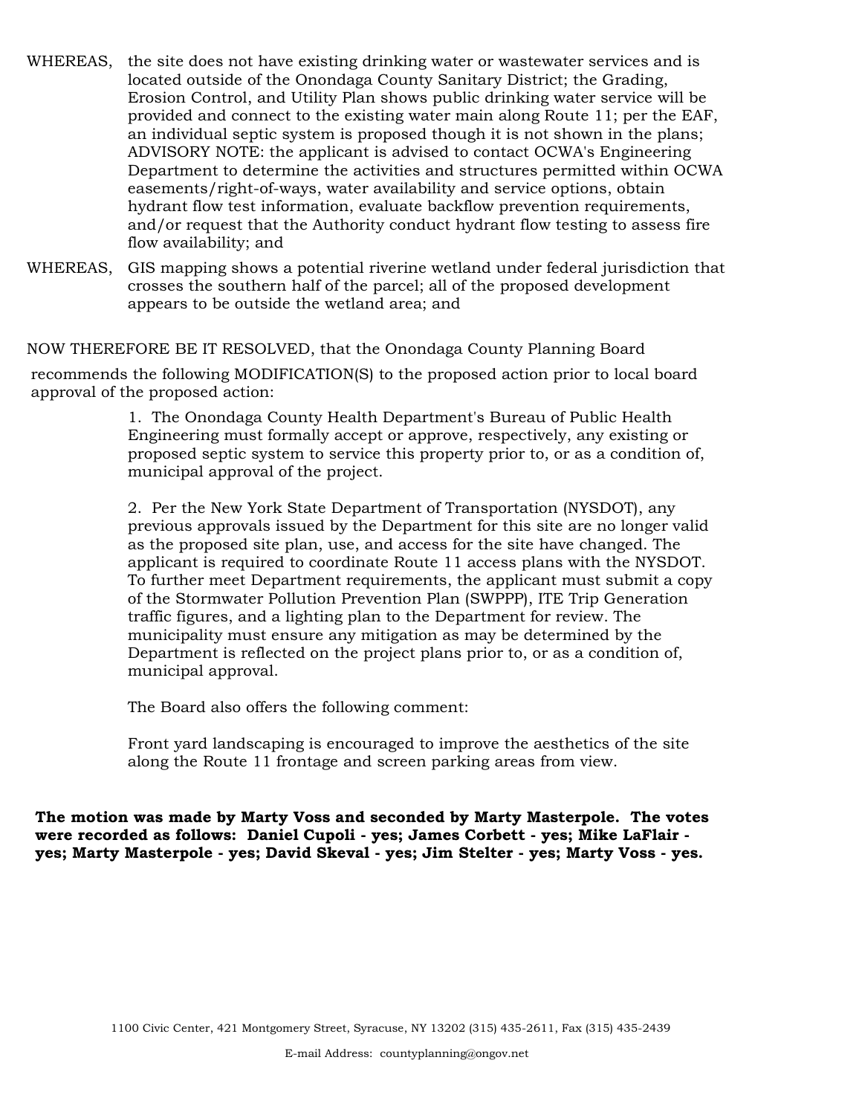- WHEREAS, the site does not have existing drinking water or wastewater services and is located outside of the Onondaga County Sanitary District; the Grading, Erosion Control, and Utility Plan shows public drinking water service will be provided and connect to the existing water main along Route 11; per the EAF, an individual septic system is proposed though it is not shown in the plans; ADVISORY NOTE: the applicant is advised to contact OCWA's Engineering Department to determine the activities and structures permitted within OCWA easements/right-of-ways, water availability and service options, obtain hydrant flow test information, evaluate backflow prevention requirements, and/or request that the Authority conduct hydrant flow testing to assess fire flow availability; and
- WHEREAS, GIS mapping shows a potential riverine wetland under federal jurisdiction that crosses the southern half of the parcel; all of the proposed development appears to be outside the wetland area; and

NOW THEREFORE BE IT RESOLVED, that the Onondaga County Planning Board

recommends the following MODIFICATION(S) to the proposed action prior to local board approval of the proposed action:

> 1. The Onondaga County Health Department's Bureau of Public Health Engineering must formally accept or approve, respectively, any existing or proposed septic system to service this property prior to, or as a condition of, municipal approval of the project.

2. Per the New York State Department of Transportation (NYSDOT), any previous approvals issued by the Department for this site are no longer valid as the proposed site plan, use, and access for the site have changed. The applicant is required to coordinate Route 11 access plans with the NYSDOT. To further meet Department requirements, the applicant must submit a copy of the Stormwater Pollution Prevention Plan (SWPPP), ITE Trip Generation traffic figures, and a lighting plan to the Department for review. The municipality must ensure any mitigation as may be determined by the Department is reflected on the project plans prior to, or as a condition of, municipal approval.

The Board also offers the following comment:

Front yard landscaping is encouraged to improve the aesthetics of the site along the Route 11 frontage and screen parking areas from view.

**The motion was made by Marty Voss and seconded by Marty Masterpole. The votes were recorded as follows: Daniel Cupoli - yes; James Corbett - yes; Mike LaFlair yes; Marty Masterpole - yes; David Skeval - yes; Jim Stelter - yes; Marty Voss - yes.**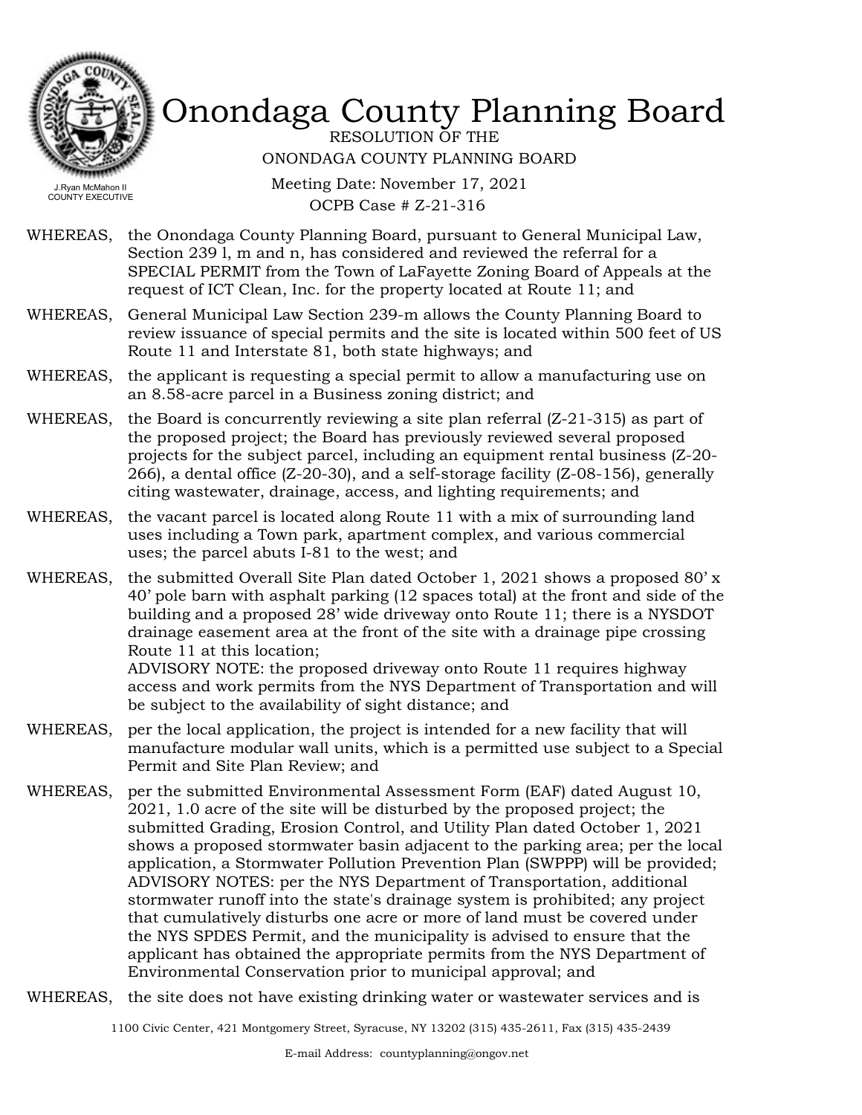

RESOLUTION OF THE ONONDAGA COUNTY PLANNING BOARD

Meeting Date: November 17, 2021 OCPB Case # Z-21-316

- WHEREAS, the Onondaga County Planning Board, pursuant to General Municipal Law, Section 239 l, m and n, has considered and reviewed the referral for a SPECIAL PERMIT from the Town of LaFayette Zoning Board of Appeals at the request of ICT Clean, Inc. for the property located at Route 11; and
- WHEREAS, General Municipal Law Section 239-m allows the County Planning Board to review issuance of special permits and the site is located within 500 feet of US Route 11 and Interstate 81, both state highways; and
- WHEREAS, the applicant is requesting a special permit to allow a manufacturing use on an 8.58-acre parcel in a Business zoning district; and
- WHEREAS, the Board is concurrently reviewing a site plan referral  $(Z-21-315)$  as part of the proposed project; the Board has previously reviewed several proposed projects for the subject parcel, including an equipment rental business (Z-20- 266), a dental office (Z-20-30), and a self-storage facility (Z-08-156), generally citing wastewater, drainage, access, and lighting requirements; and
- WHEREAS, the vacant parcel is located along Route 11 with a mix of surrounding land uses including a Town park, apartment complex, and various commercial uses; the parcel abuts I-81 to the west; and
- WHEREAS, the submitted Overall Site Plan dated October 1, 2021 shows a proposed 80' x 40' pole barn with asphalt parking (12 spaces total) at the front and side of the building and a proposed 28' wide driveway onto Route 11; there is a NYSDOT drainage easement area at the front of the site with a drainage pipe crossing Route 11 at this location;

ADVISORY NOTE: the proposed driveway onto Route 11 requires highway access and work permits from the NYS Department of Transportation and will be subject to the availability of sight distance; and

- WHEREAS, per the local application, the project is intended for a new facility that will manufacture modular wall units, which is a permitted use subject to a Special Permit and Site Plan Review; and
- WHEREAS, per the submitted Environmental Assessment Form (EAF) dated August 10, 2021, 1.0 acre of the site will be disturbed by the proposed project; the submitted Grading, Erosion Control, and Utility Plan dated October 1, 2021 shows a proposed stormwater basin adjacent to the parking area; per the local application, a Stormwater Pollution Prevention Plan (SWPPP) will be provided; ADVISORY NOTES: per the NYS Department of Transportation, additional stormwater runoff into the state's drainage system is prohibited; any project that cumulatively disturbs one acre or more of land must be covered under the NYS SPDES Permit, and the municipality is advised to ensure that the applicant has obtained the appropriate permits from the NYS Department of Environmental Conservation prior to municipal approval; and
- WHEREAS, the site does not have existing drinking water or wastewater services and is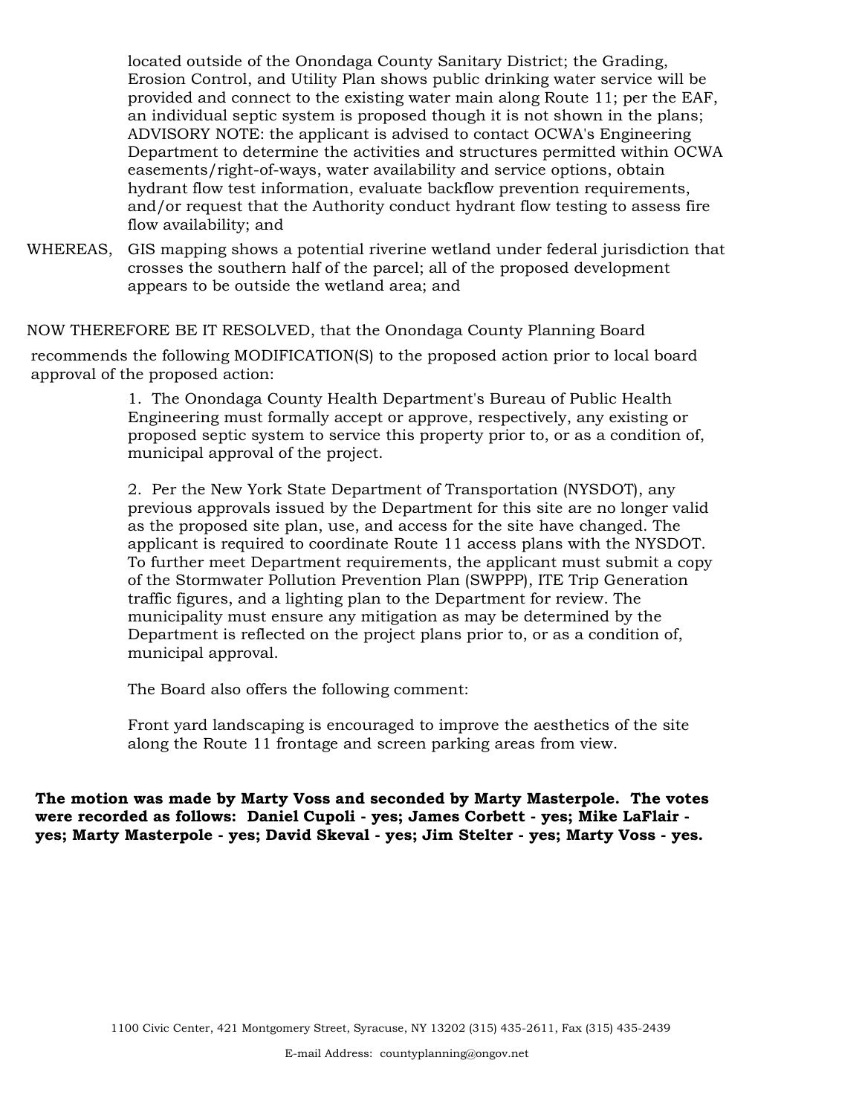located outside of the Onondaga County Sanitary District; the Grading, Erosion Control, and Utility Plan shows public drinking water service will be provided and connect to the existing water main along Route 11; per the EAF, an individual septic system is proposed though it is not shown in the plans; ADVISORY NOTE: the applicant is advised to contact OCWA's Engineering Department to determine the activities and structures permitted within OCWA easements/right-of-ways, water availability and service options, obtain hydrant flow test information, evaluate backflow prevention requirements, and/or request that the Authority conduct hydrant flow testing to assess fire flow availability; and

WHEREAS, GIS mapping shows a potential riverine wetland under federal jurisdiction that crosses the southern half of the parcel; all of the proposed development appears to be outside the wetland area; and

NOW THEREFORE BE IT RESOLVED, that the Onondaga County Planning Board

recommends the following MODIFICATION(S) to the proposed action prior to local board approval of the proposed action:

> 1. The Onondaga County Health Department's Bureau of Public Health Engineering must formally accept or approve, respectively, any existing or proposed septic system to service this property prior to, or as a condition of, municipal approval of the project.

2. Per the New York State Department of Transportation (NYSDOT), any previous approvals issued by the Department for this site are no longer valid as the proposed site plan, use, and access for the site have changed. The applicant is required to coordinate Route 11 access plans with the NYSDOT. To further meet Department requirements, the applicant must submit a copy of the Stormwater Pollution Prevention Plan (SWPPP), ITE Trip Generation traffic figures, and a lighting plan to the Department for review. The municipality must ensure any mitigation as may be determined by the Department is reflected on the project plans prior to, or as a condition of, municipal approval.

The Board also offers the following comment:

Front yard landscaping is encouraged to improve the aesthetics of the site along the Route 11 frontage and screen parking areas from view.

**The motion was made by Marty Voss and seconded by Marty Masterpole. The votes were recorded as follows: Daniel Cupoli - yes; James Corbett - yes; Mike LaFlair yes; Marty Masterpole - yes; David Skeval - yes; Jim Stelter - yes; Marty Voss - yes.**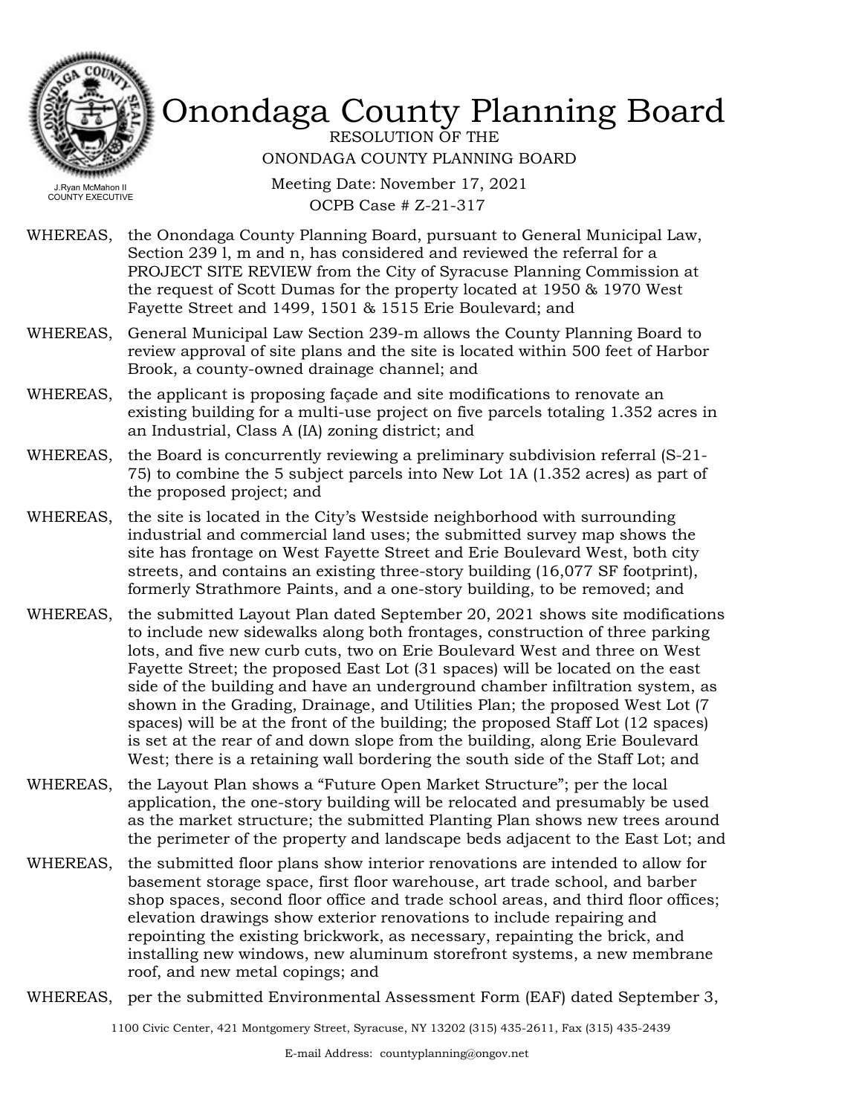

RESOLUTION OF THE ONONDAGA COUNTY PLANNING BOARD

Meeting Date: November 17, 2021 OCPB Case # Z-21-317

- WHEREAS, the Onondaga County Planning Board, pursuant to General Municipal Law, Section 239 l, m and n, has considered and reviewed the referral for a PROJECT SITE REVIEW from the City of Syracuse Planning Commission at the request of Scott Dumas for the property located at 1950 & 1970 West Fayette Street and 1499, 1501 & 1515 Erie Boulevard; and
- WHEREAS, General Municipal Law Section 239-m allows the County Planning Board to review approval of site plans and the site is located within 500 feet of Harbor Brook, a county-owned drainage channel; and
- WHEREAS, the applicant is proposing façade and site modifications to renovate an existing building for a multi-use project on five parcels totaling 1.352 acres in an Industrial, Class A (IA) zoning district; and
- WHEREAS, the Board is concurrently reviewing a preliminary subdivision referral (S-21-75) to combine the 5 subject parcels into New Lot 1A (1.352 acres) as part of the proposed project; and
- WHEREAS, the site is located in the City's Westside neighborhood with surrounding industrial and commercial land uses; the submitted survey map shows the site has frontage on West Fayette Street and Erie Boulevard West, both city streets, and contains an existing three-story building (16,077 SF footprint), formerly Strathmore Paints, and a one-story building, to be removed; and
- WHEREAS, the submitted Layout Plan dated September 20, 2021 shows site modifications to include new sidewalks along both frontages, construction of three parking lots, and five new curb cuts, two on Erie Boulevard West and three on West Fayette Street; the proposed East Lot (31 spaces) will be located on the east side of the building and have an underground chamber infiltration system, as shown in the Grading, Drainage, and Utilities Plan; the proposed West Lot (7 spaces) will be at the front of the building; the proposed Staff Lot (12 spaces) is set at the rear of and down slope from the building, along Erie Boulevard West; there is a retaining wall bordering the south side of the Staff Lot; and
- WHEREAS, the Layout Plan shows a "Future Open Market Structure"; per the local application, the one-story building will be relocated and presumably be used as the market structure; the submitted Planting Plan shows new trees around the perimeter of the property and landscape beds adjacent to the East Lot; and
- WHEREAS, the submitted floor plans show interior renovations are intended to allow for basement storage space, first floor warehouse, art trade school, and barber shop spaces, second floor office and trade school areas, and third floor offices; elevation drawings show exterior renovations to include repairing and repointing the existing brickwork, as necessary, repainting the brick, and installing new windows, new aluminum storefront systems, a new membrane roof, and new metal copings; and
- WHEREAS, per the submitted Environmental Assessment Form (EAF) dated September 3,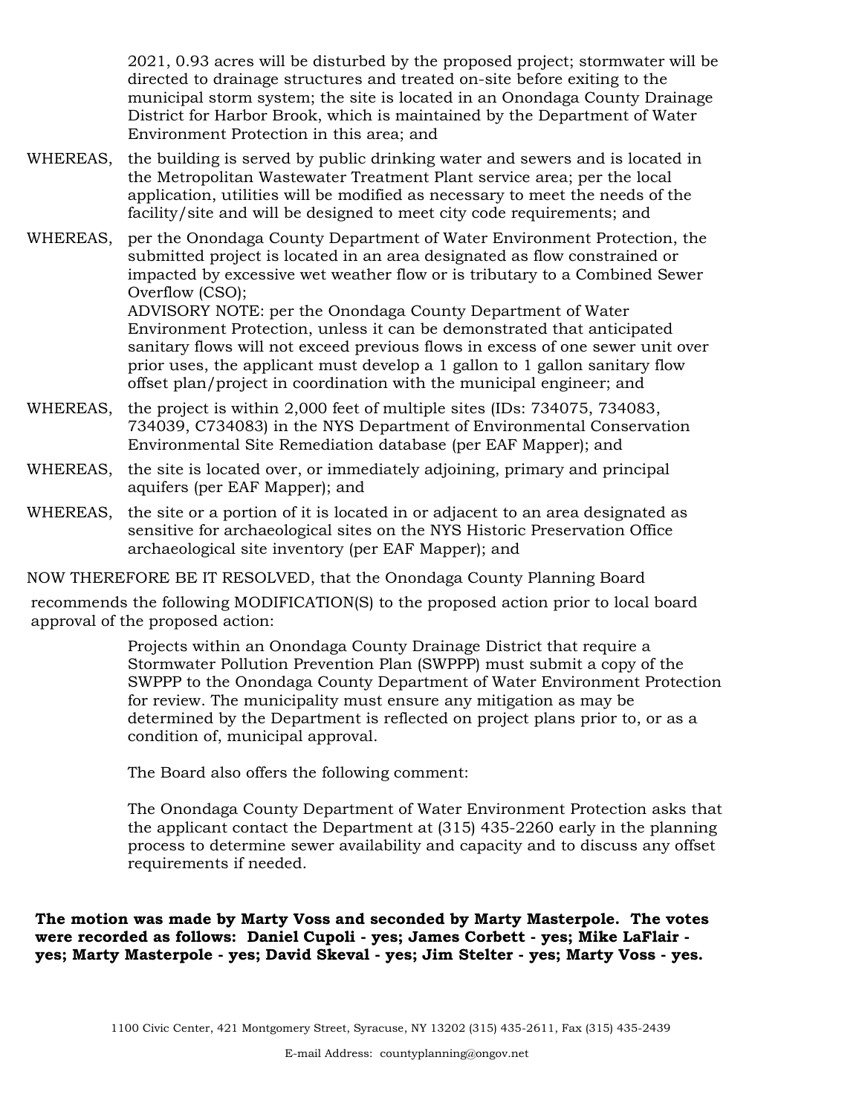2021, 0.93 acres will be disturbed by the proposed project; stormwater will be directed to drainage structures and treated on-site before exiting to the municipal storm system; the site is located in an Onondaga County Drainage District for Harbor Brook, which is maintained by the Department of Water Environment Protection in this area; and

- WHEREAS, the building is served by public drinking water and sewers and is located in the Metropolitan Wastewater Treatment Plant service area; per the local application, utilities will be modified as necessary to meet the needs of the facility/site and will be designed to meet city code requirements; and
- WHEREAS, per the Onondaga County Department of Water Environment Protection, the submitted project is located in an area designated as flow constrained or impacted by excessive wet weather flow or is tributary to a Combined Sewer Overflow (CSO);

ADVISORY NOTE: per the Onondaga County Department of Water Environment Protection, unless it can be demonstrated that anticipated sanitary flows will not exceed previous flows in excess of one sewer unit over prior uses, the applicant must develop a 1 gallon to 1 gallon sanitary flow offset plan/project in coordination with the municipal engineer; and

- WHEREAS, the project is within 2,000 feet of multiple sites (IDs: 734075, 734083, 734039, C734083) in the NYS Department of Environmental Conservation Environmental Site Remediation database (per EAF Mapper); and
- WHEREAS, the site is located over, or immediately adjoining, primary and principal aquifers (per EAF Mapper); and
- WHEREAS, the site or a portion of it is located in or adjacent to an area designated as sensitive for archaeological sites on the NYS Historic Preservation Office archaeological site inventory (per EAF Mapper); and

NOW THEREFORE BE IT RESOLVED, that the Onondaga County Planning Board

recommends the following MODIFICATION(S) to the proposed action prior to local board approval of the proposed action:

> Projects within an Onondaga County Drainage District that require a Stormwater Pollution Prevention Plan (SWPPP) must submit a copy of the SWPPP to the Onondaga County Department of Water Environment Protection for review. The municipality must ensure any mitigation as may be determined by the Department is reflected on project plans prior to, or as a condition of, municipal approval.

The Board also offers the following comment:

The Onondaga County Department of Water Environment Protection asks that the applicant contact the Department at (315) 435-2260 early in the planning process to determine sewer availability and capacity and to discuss any offset requirements if needed.

**The motion was made by Marty Voss and seconded by Marty Masterpole. The votes were recorded as follows: Daniel Cupoli - yes; James Corbett - yes; Mike LaFlair yes; Marty Masterpole - yes; David Skeval - yes; Jim Stelter - yes; Marty Voss - yes.**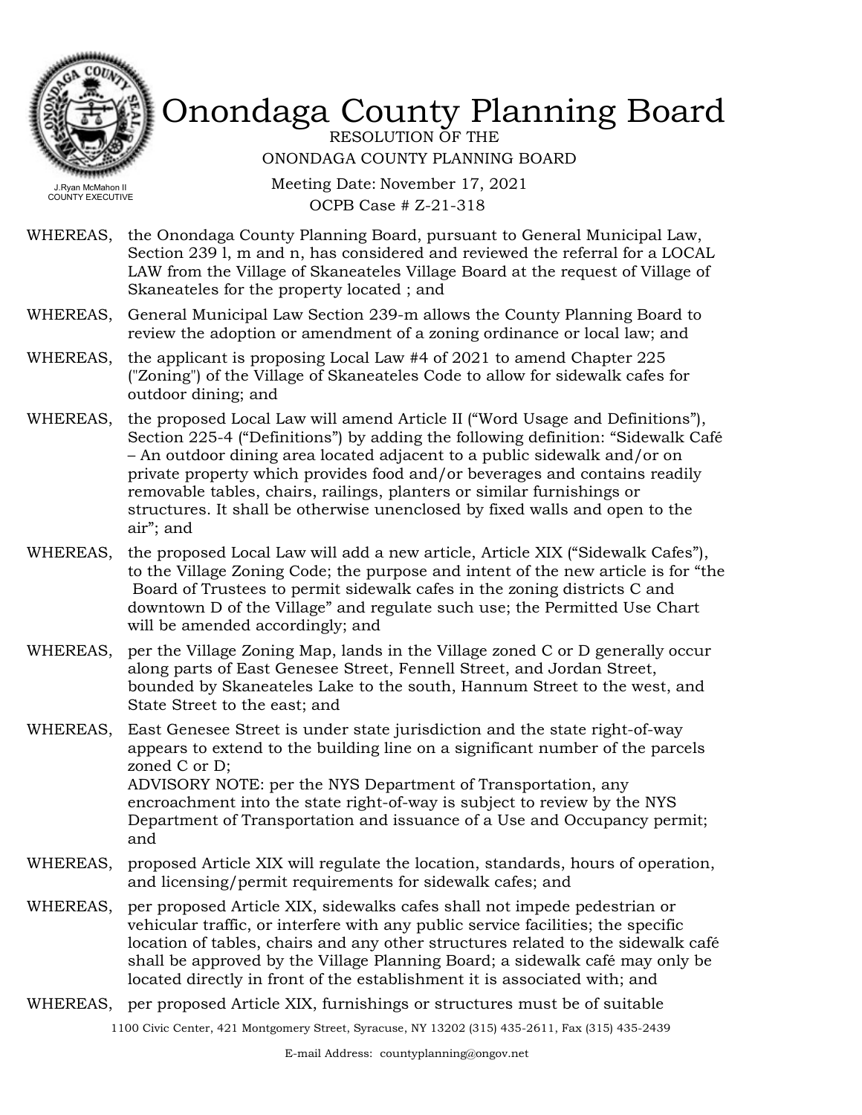

RESOLUTION OF THE ONONDAGA COUNTY PLANNING BOARD

Meeting Date: November 17, 2021 OCPB Case # Z-21-318

- WHEREAS, the Onondaga County Planning Board, pursuant to General Municipal Law, Section 239 l, m and n, has considered and reviewed the referral for a LOCAL LAW from the Village of Skaneateles Village Board at the request of Village of Skaneateles for the property located ; and
- WHEREAS, General Municipal Law Section 239-m allows the County Planning Board to review the adoption or amendment of a zoning ordinance or local law; and
- WHEREAS, the applicant is proposing Local Law  $#4$  of 2021 to amend Chapter 225 ("Zoning") of the Village of Skaneateles Code to allow for sidewalk cafes for outdoor dining; and
- WHEREAS, the proposed Local Law will amend Article II ("Word Usage and Definitions"), Section 225-4 ("Definitions") by adding the following definition: "Sidewalk Café – An outdoor dining area located adjacent to a public sidewalk and/or on private property which provides food and/or beverages and contains readily removable tables, chairs, railings, planters or similar furnishings or structures. It shall be otherwise unenclosed by fixed walls and open to the air"; and
- WHEREAS, the proposed Local Law will add a new article, Article XIX ("Sidewalk Cafes"), to the Village Zoning Code; the purpose and intent of the new article is for "the Board of Trustees to permit sidewalk cafes in the zoning districts C and downtown D of the Village" and regulate such use; the Permitted Use Chart will be amended accordingly; and

WHEREAS, per the Village Zoning Map, lands in the Village zoned C or D generally occur along parts of East Genesee Street, Fennell Street, and Jordan Street, bounded by Skaneateles Lake to the south, Hannum Street to the west, and State Street to the east; and

- WHEREAS, East Genesee Street is under state jurisdiction and the state right-of-way appears to extend to the building line on a significant number of the parcels zoned C or D; ADVISORY NOTE: per the NYS Department of Transportation, any encroachment into the state right-of-way is subject to review by the NYS Department of Transportation and issuance of a Use and Occupancy permit; and
- WHEREAS, proposed Article XIX will regulate the location, standards, hours of operation, and licensing/permit requirements for sidewalk cafes; and
- WHEREAS, per proposed Article XIX, sidewalks cafes shall not impede pedestrian or vehicular traffic, or interfere with any public service facilities; the specific location of tables, chairs and any other structures related to the sidewalk café shall be approved by the Village Planning Board; a sidewalk café may only be located directly in front of the establishment it is associated with; and
- WHEREAS, per proposed Article XIX, furnishings or structures must be of suitable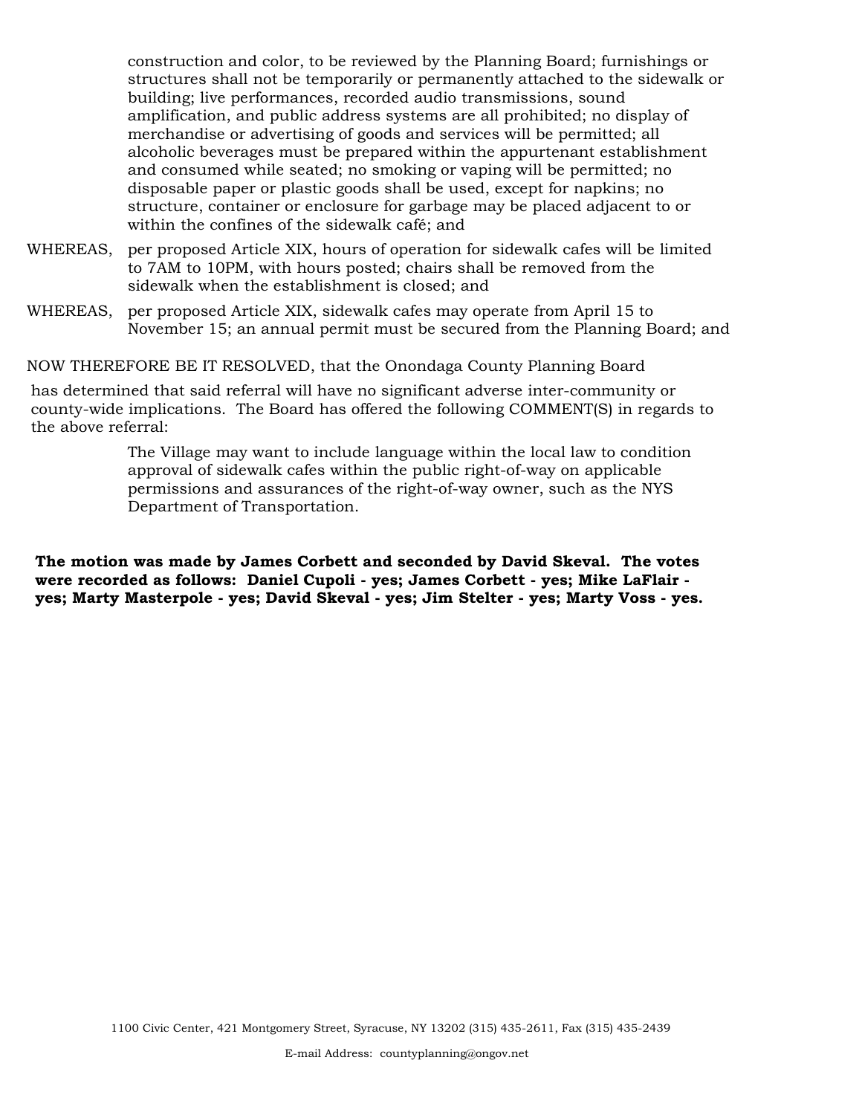construction and color, to be reviewed by the Planning Board; furnishings or structures shall not be temporarily or permanently attached to the sidewalk or building; live performances, recorded audio transmissions, sound amplification, and public address systems are all prohibited; no display of merchandise or advertising of goods and services will be permitted; all alcoholic beverages must be prepared within the appurtenant establishment and consumed while seated; no smoking or vaping will be permitted; no disposable paper or plastic goods shall be used, except for napkins; no structure, container or enclosure for garbage may be placed adjacent to or within the confines of the sidewalk café; and

- WHEREAS, per proposed Article XIX, hours of operation for sidewalk cafes will be limited to 7AM to 10PM, with hours posted; chairs shall be removed from the sidewalk when the establishment is closed; and
- WHEREAS, per proposed Article XIX, sidewalk cafes may operate from April 15 to November 15; an annual permit must be secured from the Planning Board; and

NOW THEREFORE BE IT RESOLVED, that the Onondaga County Planning Board

has determined that said referral will have no significant adverse inter-community or county-wide implications. The Board has offered the following COMMENT(S) in regards to the above referral:

> The Village may want to include language within the local law to condition approval of sidewalk cafes within the public right-of-way on applicable permissions and assurances of the right-of-way owner, such as the NYS Department of Transportation.

**The motion was made by James Corbett and seconded by David Skeval. The votes were recorded as follows: Daniel Cupoli - yes; James Corbett - yes; Mike LaFlair yes; Marty Masterpole - yes; David Skeval - yes; Jim Stelter - yes; Marty Voss - yes.**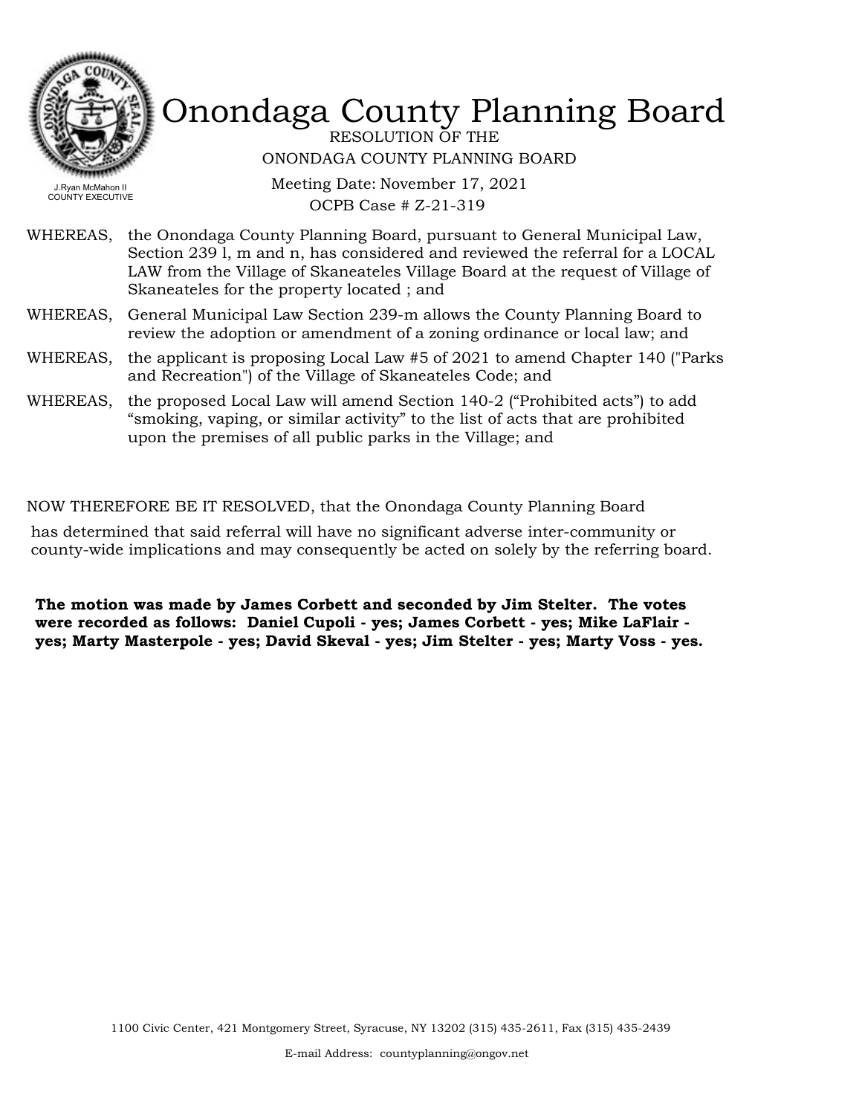

RESOLUTION OF THE ONONDAGA COUNTY PLANNING BOARD

Meeting Date: November 17, 2021 OCPB Case # Z-21-319

- WHEREAS, the Onondaga County Planning Board, pursuant to General Municipal Law, Section 239 l, m and n, has considered and reviewed the referral for a LOCAL LAW from the Village of Skaneateles Village Board at the request of Village of Skaneateles for the property located ; and
- WHEREAS, General Municipal Law Section 239-m allows the County Planning Board to review the adoption or amendment of a zoning ordinance or local law; and
- WHEREAS, the applicant is proposing Local Law #5 of 2021 to amend Chapter 140 ("Parks and Recreation") of the Village of Skaneateles Code; and
- WHEREAS, the proposed Local Law will amend Section 140-2 ("Prohibited acts") to add "smoking, vaping, or similar activity" to the list of acts that are prohibited upon the premises of all public parks in the Village; and

#### NOW THEREFORE BE IT RESOLVED, that the Onondaga County Planning Board

has determined that said referral will have no significant adverse inter-community or county-wide implications and may consequently be acted on solely by the referring board.

**The motion was made by James Corbett and seconded by Jim Stelter. The votes were recorded as follows: Daniel Cupoli - yes; James Corbett - yes; Mike LaFlair yes; Marty Masterpole - yes; David Skeval - yes; Jim Stelter - yes; Marty Voss - yes.**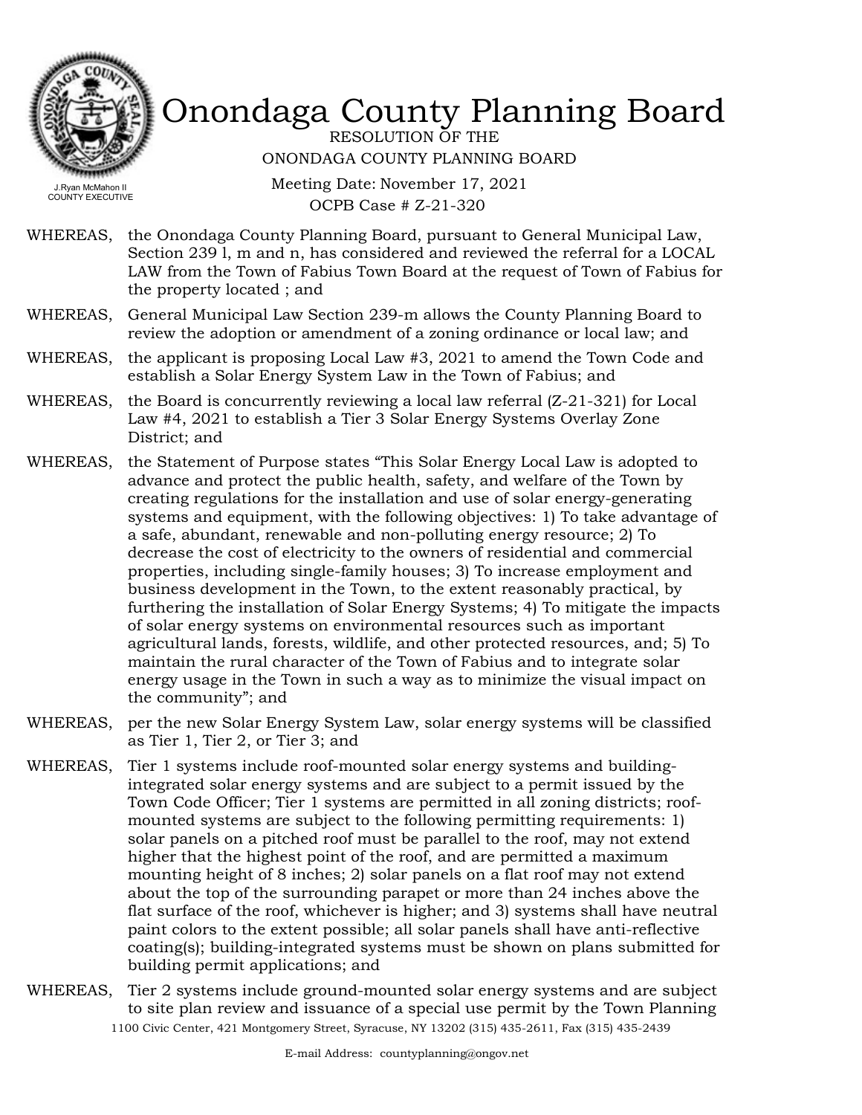

RESOLUTION OF THE ONONDAGA COUNTY PLANNING BOARD

COUNTY EXECUTIVE

Meeting Date: November 17, 2021 OCPB Case # Z-21-320

- WHEREAS, the Onondaga County Planning Board, pursuant to General Municipal Law, Section 239 l, m and n, has considered and reviewed the referral for a LOCAL LAW from the Town of Fabius Town Board at the request of Town of Fabius for the property located ; and
- WHEREAS, General Municipal Law Section 239-m allows the County Planning Board to review the adoption or amendment of a zoning ordinance or local law; and
- WHEREAS, the applicant is proposing Local Law #3, 2021 to amend the Town Code and establish a Solar Energy System Law in the Town of Fabius; and
- WHEREAS, the Board is concurrently reviewing a local law referral  $(Z-21-321)$  for Local Law #4, 2021 to establish a Tier 3 Solar Energy Systems Overlay Zone District; and
- WHEREAS, the Statement of Purpose states "This Solar Energy Local Law is adopted to advance and protect the public health, safety, and welfare of the Town by creating regulations for the installation and use of solar energy-generating systems and equipment, with the following objectives: 1) To take advantage of a safe, abundant, renewable and non-polluting energy resource; 2) To decrease the cost of electricity to the owners of residential and commercial properties, including single-family houses; 3) To increase employment and business development in the Town, to the extent reasonably practical, by furthering the installation of Solar Energy Systems; 4) To mitigate the impacts of solar energy systems on environmental resources such as important agricultural lands, forests, wildlife, and other protected resources, and; 5) To maintain the rural character of the Town of Fabius and to integrate solar energy usage in the Town in such a way as to minimize the visual impact on the community"; and
- WHEREAS, per the new Solar Energy System Law, solar energy systems will be classified as Tier 1, Tier 2, or Tier 3; and
- Tier 1 systems include roof-mounted solar energy systems and buildingintegrated solar energy systems and are subject to a permit issued by the Town Code Officer; Tier 1 systems are permitted in all zoning districts; roofmounted systems are subject to the following permitting requirements: 1) solar panels on a pitched roof must be parallel to the roof, may not extend higher that the highest point of the roof, and are permitted a maximum mounting height of 8 inches; 2) solar panels on a flat roof may not extend about the top of the surrounding parapet or more than 24 inches above the flat surface of the roof, whichever is higher; and 3) systems shall have neutral paint colors to the extent possible; all solar panels shall have anti-reflective coating(s); building-integrated systems must be shown on plans submitted for building permit applications; and WHEREAS,
- WHEREAS, Tier 2 systems include ground-mounted solar energy systems and are subject to site plan review and issuance of a special use permit by the Town Planning 1100 Civic Center, 421 Montgomery Street, Syracuse, NY 13202 (315) 435-2611, Fax (315) 435-2439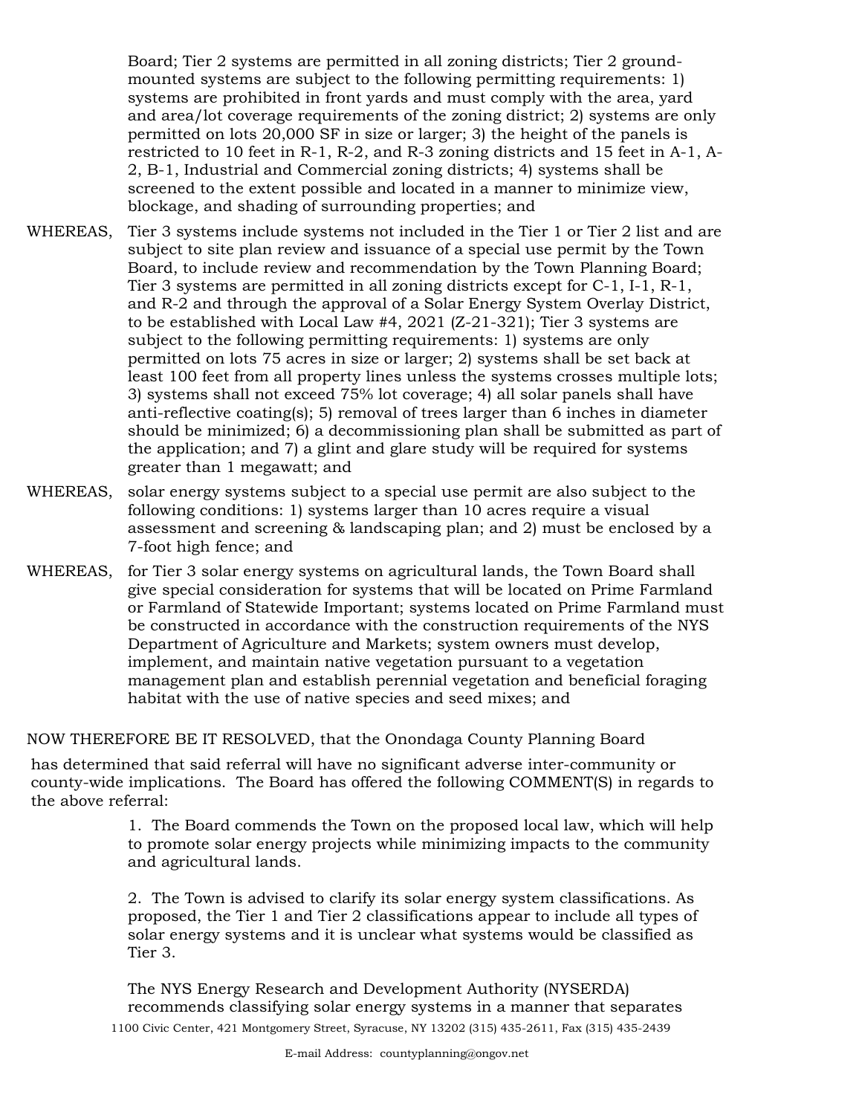Board; Tier 2 systems are permitted in all zoning districts; Tier 2 groundmounted systems are subject to the following permitting requirements: 1) systems are prohibited in front yards and must comply with the area, yard and area/lot coverage requirements of the zoning district; 2) systems are only permitted on lots 20,000 SF in size or larger; 3) the height of the panels is restricted to 10 feet in R-1, R-2, and R-3 zoning districts and 15 feet in A-1, A-2, B-1, Industrial and Commercial zoning districts; 4) systems shall be screened to the extent possible and located in a manner to minimize view, blockage, and shading of surrounding properties; and

- Tier 3 systems include systems not included in the Tier 1 or Tier 2 list and are subject to site plan review and issuance of a special use permit by the Town Board, to include review and recommendation by the Town Planning Board; Tier 3 systems are permitted in all zoning districts except for C-1, I-1, R-1, and R-2 and through the approval of a Solar Energy System Overlay District, to be established with Local Law #4, 2021 (Z-21-321); Tier 3 systems are subject to the following permitting requirements: 1) systems are only permitted on lots 75 acres in size or larger; 2) systems shall be set back at least 100 feet from all property lines unless the systems crosses multiple lots; 3) systems shall not exceed 75% lot coverage; 4) all solar panels shall have anti-reflective coating(s); 5) removal of trees larger than 6 inches in diameter should be minimized; 6) a decommissioning plan shall be submitted as part of the application; and 7) a glint and glare study will be required for systems greater than 1 megawatt; and WHEREAS,
- WHEREAS, solar energy systems subject to a special use permit are also subject to the following conditions: 1) systems larger than 10 acres require a visual assessment and screening & landscaping plan; and 2) must be enclosed by a 7-foot high fence; and
- WHEREAS, for Tier 3 solar energy systems on agricultural lands, the Town Board shall give special consideration for systems that will be located on Prime Farmland or Farmland of Statewide Important; systems located on Prime Farmland must be constructed in accordance with the construction requirements of the NYS Department of Agriculture and Markets; system owners must develop, implement, and maintain native vegetation pursuant to a vegetation management plan and establish perennial vegetation and beneficial foraging habitat with the use of native species and seed mixes; and

NOW THEREFORE BE IT RESOLVED, that the Onondaga County Planning Board

has determined that said referral will have no significant adverse inter-community or county-wide implications. The Board has offered the following COMMENT(S) in regards to the above referral:

> 1. The Board commends the Town on the proposed local law, which will help to promote solar energy projects while minimizing impacts to the community and agricultural lands.

2. The Town is advised to clarify its solar energy system classifications. As proposed, the Tier 1 and Tier 2 classifications appear to include all types of solar energy systems and it is unclear what systems would be classified as Tier 3.

The NYS Energy Research and Development Authority (NYSERDA) recommends classifying solar energy systems in a manner that separates 1100 Civic Center, 421 Montgomery Street, Syracuse, NY 13202 (315) 435-2611, Fax (315) 435-2439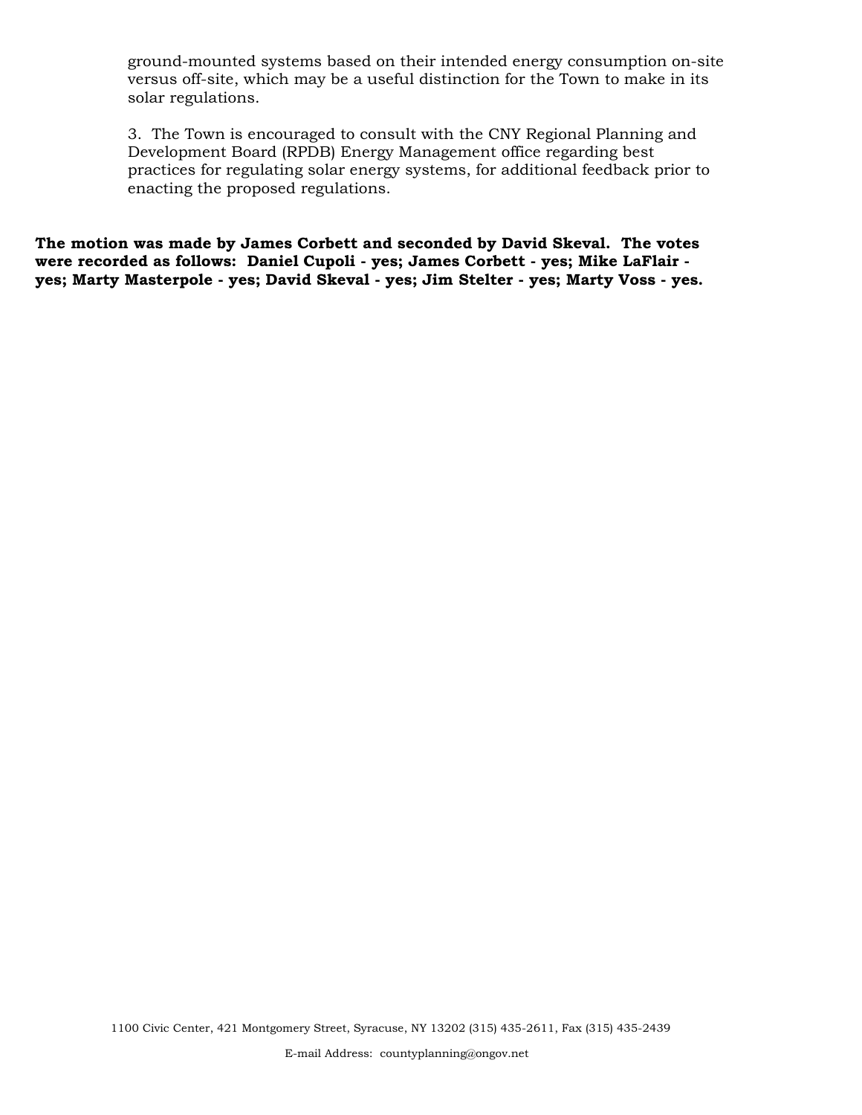ground-mounted systems based on their intended energy consumption on-site versus off-site, which may be a useful distinction for the Town to make in its solar regulations.

3. The Town is encouraged to consult with the CNY Regional Planning and Development Board (RPDB) Energy Management office regarding best practices for regulating solar energy systems, for additional feedback prior to enacting the proposed regulations.

**The motion was made by James Corbett and seconded by David Skeval. The votes were recorded as follows: Daniel Cupoli - yes; James Corbett - yes; Mike LaFlair yes; Marty Masterpole - yes; David Skeval - yes; Jim Stelter - yes; Marty Voss - yes.**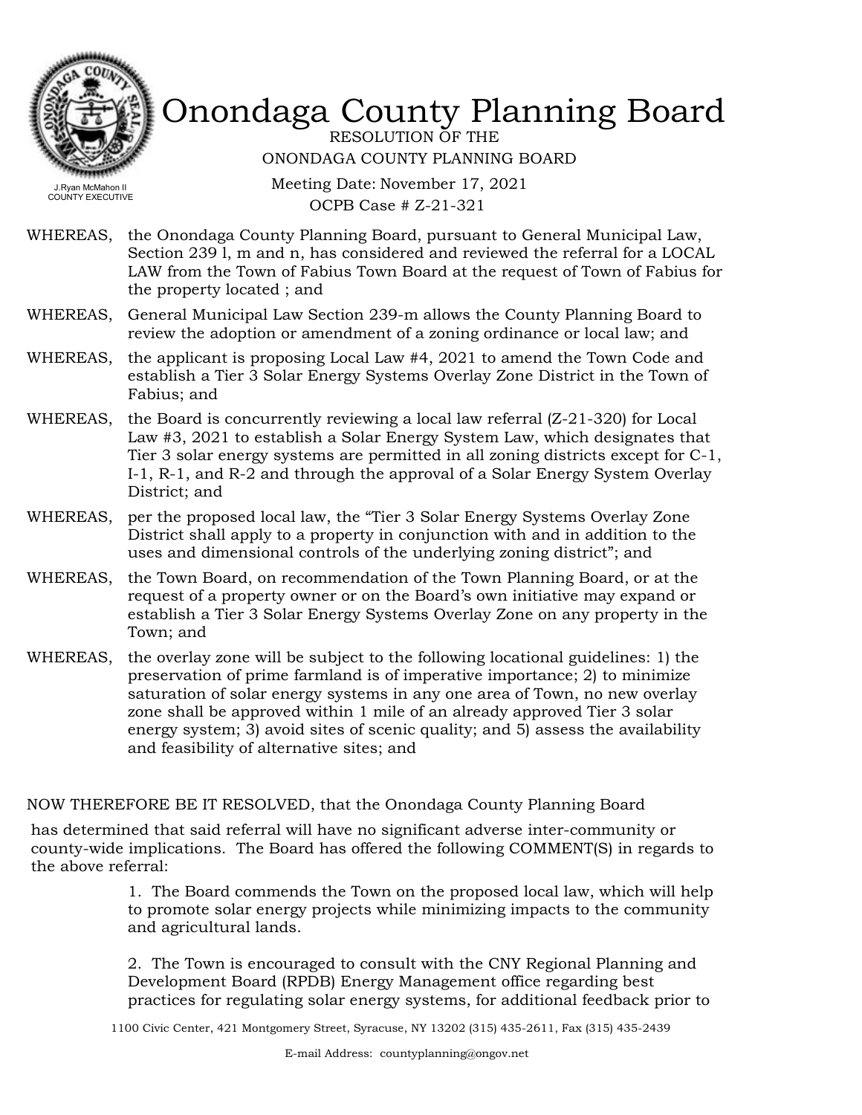

RESOLUTION OF THE ONONDAGA COUNTY PLANNING BOARD

COUNTY EXECUTIVE

Meeting Date: November 17, 2021 OCPB Case # Z-21-321

- WHEREAS, the Onondaga County Planning Board, pursuant to General Municipal Law, Section 239 l, m and n, has considered and reviewed the referral for a LOCAL LAW from the Town of Fabius Town Board at the request of Town of Fabius for the property located ; and
- WHEREAS, General Municipal Law Section 239-m allows the County Planning Board to review the adoption or amendment of a zoning ordinance or local law; and
- WHEREAS, the applicant is proposing Local Law #4, 2021 to amend the Town Code and establish a Tier 3 Solar Energy Systems Overlay Zone District in the Town of Fabius; and
- WHEREAS, the Board is concurrently reviewing a local law referral (Z-21-320) for Local Law #3, 2021 to establish a Solar Energy System Law, which designates that Tier 3 solar energy systems are permitted in all zoning districts except for C-1, I-1, R-1, and R-2 and through the approval of a Solar Energy System Overlay District; and
- WHEREAS, per the proposed local law, the "Tier 3 Solar Energy Systems Overlay Zone District shall apply to a property in conjunction with and in addition to the uses and dimensional controls of the underlying zoning district"; and
- WHEREAS, the Town Board, on recommendation of the Town Planning Board, or at the request of a property owner or on the Board's own initiative may expand or establish a Tier 3 Solar Energy Systems Overlay Zone on any property in the Town; and
- the overlay zone will be subject to the following locational guidelines: 1) the preservation of prime farmland is of imperative importance; 2) to minimize saturation of solar energy systems in any one area of Town, no new overlay zone shall be approved within 1 mile of an already approved Tier 3 solar energy system; 3) avoid sites of scenic quality; and 5) assess the availability and feasibility of alternative sites; and WHEREAS,

NOW THEREFORE BE IT RESOLVED, that the Onondaga County Planning Board

has determined that said referral will have no significant adverse inter-community or county-wide implications. The Board has offered the following COMMENT(S) in regards to the above referral:

> 1. The Board commends the Town on the proposed local law, which will help to promote solar energy projects while minimizing impacts to the community and agricultural lands.

> 2. The Town is encouraged to consult with the CNY Regional Planning and Development Board (RPDB) Energy Management office regarding best practices for regulating solar energy systems, for additional feedback prior to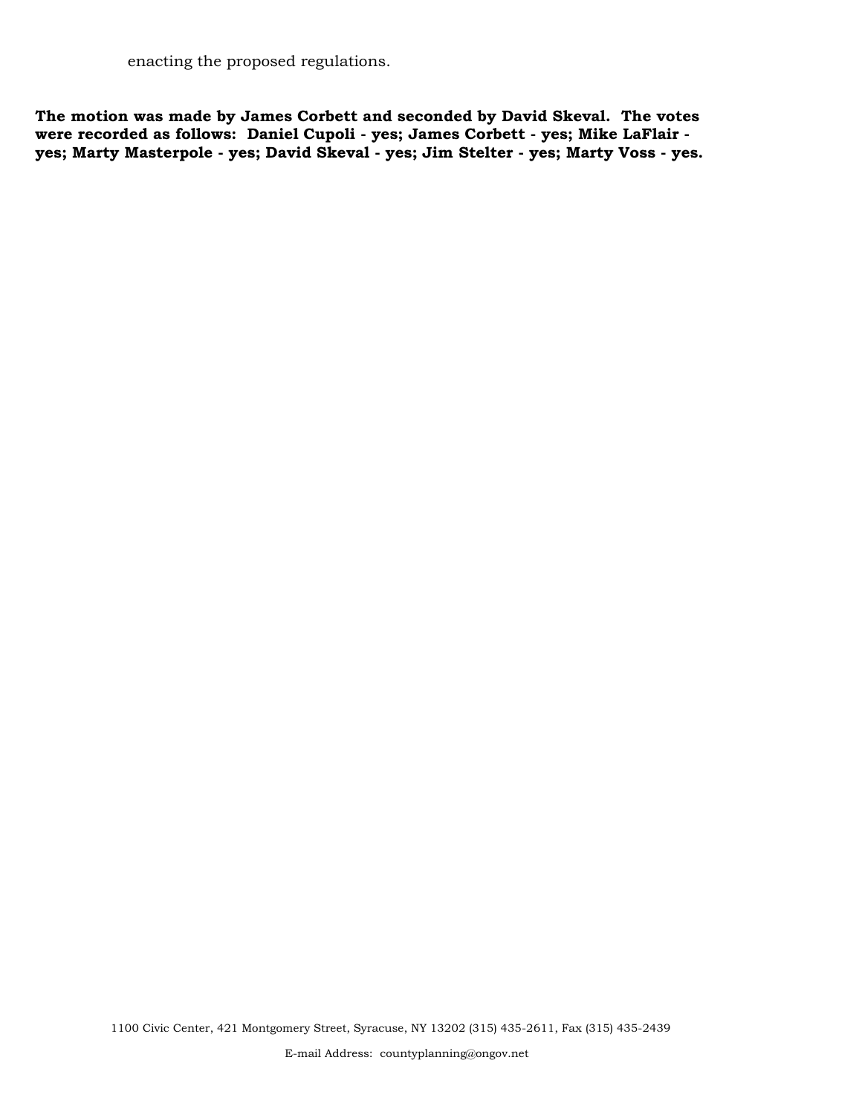enacting the proposed regulations.

**The motion was made by James Corbett and seconded by David Skeval. The votes were recorded as follows: Daniel Cupoli - yes; James Corbett - yes; Mike LaFlair yes; Marty Masterpole - yes; David Skeval - yes; Jim Stelter - yes; Marty Voss - yes.**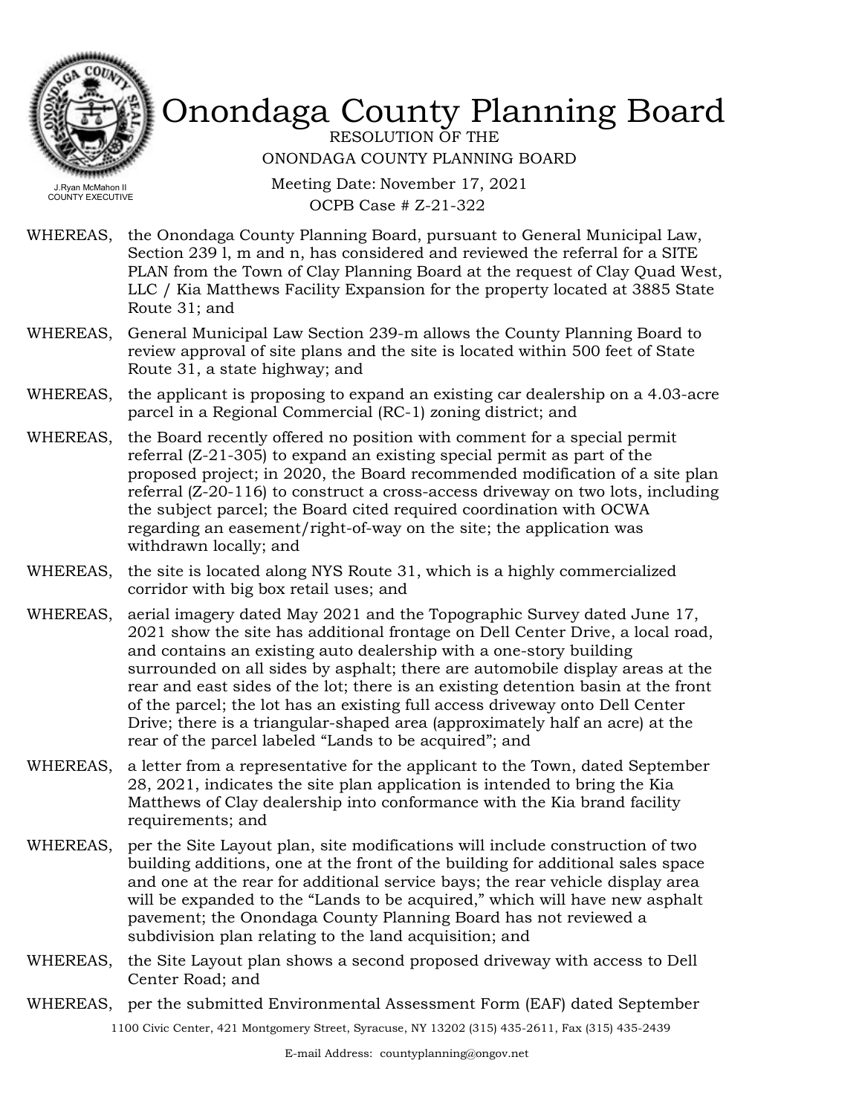

RESOLUTION OF THE ONONDAGA COUNTY PLANNING BOARD

Meeting Date: November 17, 2021 OCPB Case # Z-21-322

- WHEREAS, the Onondaga County Planning Board, pursuant to General Municipal Law, Section 239 l, m and n, has considered and reviewed the referral for a SITE PLAN from the Town of Clay Planning Board at the request of Clay Quad West, LLC / Kia Matthews Facility Expansion for the property located at 3885 State Route 31; and
- WHEREAS, General Municipal Law Section 239-m allows the County Planning Board to review approval of site plans and the site is located within 500 feet of State Route 31, a state highway; and
- WHEREAS, the applicant is proposing to expand an existing car dealership on a 4.03-acre parcel in a Regional Commercial (RC-1) zoning district; and
- WHEREAS, the Board recently offered no position with comment for a special permit referral (Z-21-305) to expand an existing special permit as part of the proposed project; in 2020, the Board recommended modification of a site plan referral (Z-20-116) to construct a cross-access driveway on two lots, including the subject parcel; the Board cited required coordination with OCWA regarding an easement/right-of-way on the site; the application was withdrawn locally; and
- WHEREAS, the site is located along NYS Route 31, which is a highly commercialized corridor with big box retail uses; and
- WHEREAS, aerial imagery dated May 2021 and the Topographic Survey dated June 17, 2021 show the site has additional frontage on Dell Center Drive, a local road, and contains an existing auto dealership with a one-story building surrounded on all sides by asphalt; there are automobile display areas at the rear and east sides of the lot; there is an existing detention basin at the front of the parcel; the lot has an existing full access driveway onto Dell Center Drive; there is a triangular-shaped area (approximately half an acre) at the rear of the parcel labeled "Lands to be acquired"; and
- a letter from a representative for the applicant to the Town, dated September 28, 2021, indicates the site plan application is intended to bring the Kia Matthews of Clay dealership into conformance with the Kia brand facility requirements; and WHEREAS,
- WHEREAS, per the Site Layout plan, site modifications will include construction of two building additions, one at the front of the building for additional sales space and one at the rear for additional service bays; the rear vehicle display area will be expanded to the "Lands to be acquired," which will have new asphalt pavement; the Onondaga County Planning Board has not reviewed a subdivision plan relating to the land acquisition; and
- WHEREAS, the Site Layout plan shows a second proposed driveway with access to Dell Center Road; and
- WHEREAS, per the submitted Environmental Assessment Form (EAF) dated September 1100 Civic Center, 421 Montgomery Street, Syracuse, NY 13202 (315) 435-2611, Fax (315) 435-2439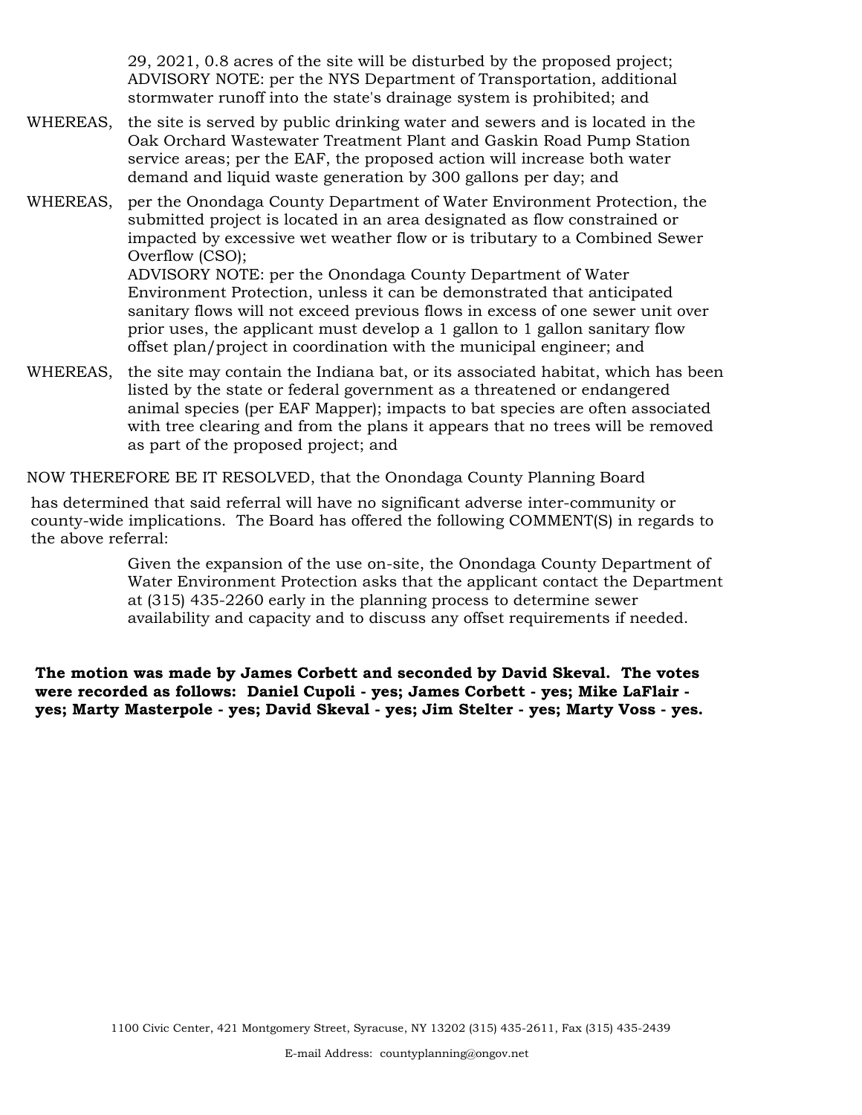29, 2021, 0.8 acres of the site will be disturbed by the proposed project; ADVISORY NOTE: per the NYS Department of Transportation, additional stormwater runoff into the state's drainage system is prohibited; and

- WHEREAS, the site is served by public drinking water and sewers and is located in the Oak Orchard Wastewater Treatment Plant and Gaskin Road Pump Station service areas; per the EAF, the proposed action will increase both water demand and liquid waste generation by 300 gallons per day; and
- WHEREAS, per the Onondaga County Department of Water Environment Protection, the submitted project is located in an area designated as flow constrained or impacted by excessive wet weather flow or is tributary to a Combined Sewer Overflow (CSO);

ADVISORY NOTE: per the Onondaga County Department of Water Environment Protection, unless it can be demonstrated that anticipated sanitary flows will not exceed previous flows in excess of one sewer unit over prior uses, the applicant must develop a 1 gallon to 1 gallon sanitary flow offset plan/project in coordination with the municipal engineer; and

WHEREAS, the site may contain the Indiana bat, or its associated habitat, which has been listed by the state or federal government as a threatened or endangered animal species (per EAF Mapper); impacts to bat species are often associated with tree clearing and from the plans it appears that no trees will be removed as part of the proposed project; and

NOW THEREFORE BE IT RESOLVED, that the Onondaga County Planning Board

has determined that said referral will have no significant adverse inter-community or county-wide implications. The Board has offered the following COMMENT(S) in regards to the above referral:

> Given the expansion of the use on-site, the Onondaga County Department of Water Environment Protection asks that the applicant contact the Department at (315) 435-2260 early in the planning process to determine sewer availability and capacity and to discuss any offset requirements if needed.

**The motion was made by James Corbett and seconded by David Skeval. The votes were recorded as follows: Daniel Cupoli - yes; James Corbett - yes; Mike LaFlair yes; Marty Masterpole - yes; David Skeval - yes; Jim Stelter - yes; Marty Voss - yes.**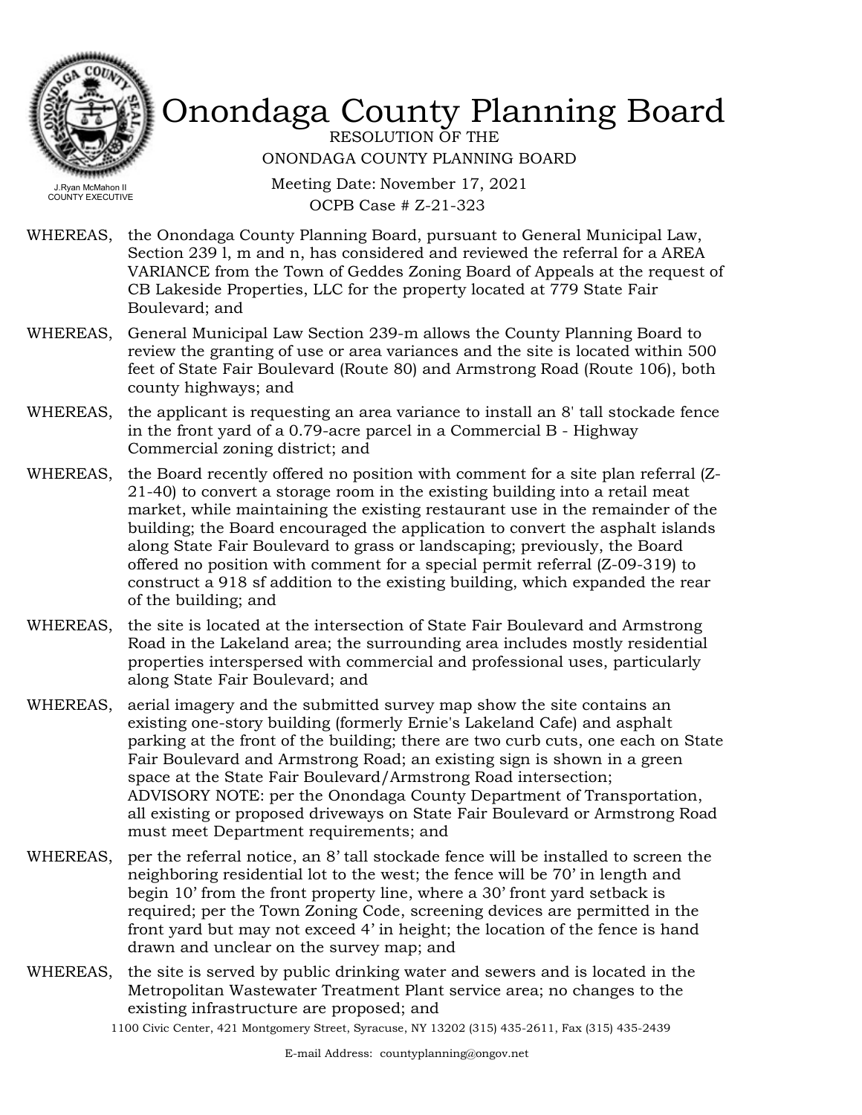

RESOLUTION OF THE ONONDAGA COUNTY PLANNING BOARD

Meeting Date: November 17, 2021 OCPB Case # Z-21-323

- WHEREAS, the Onondaga County Planning Board, pursuant to General Municipal Law, Section 239 l, m and n, has considered and reviewed the referral for a AREA VARIANCE from the Town of Geddes Zoning Board of Appeals at the request of CB Lakeside Properties, LLC for the property located at 779 State Fair Boulevard; and
- WHEREAS, General Municipal Law Section 239-m allows the County Planning Board to review the granting of use or area variances and the site is located within 500 feet of State Fair Boulevard (Route 80) and Armstrong Road (Route 106), both county highways; and
- the applicant is requesting an area variance to install an 8' tall stockade fence in the front yard of a 0.79-acre parcel in a Commercial B - Highway Commercial zoning district; and WHEREAS,
- WHEREAS, the Board recently offered no position with comment for a site plan referral (Z-21-40) to convert a storage room in the existing building into a retail meat market, while maintaining the existing restaurant use in the remainder of the building; the Board encouraged the application to convert the asphalt islands along State Fair Boulevard to grass or landscaping; previously, the Board offered no position with comment for a special permit referral (Z-09-319) to construct a 918 sf addition to the existing building, which expanded the rear of the building; and
- the site is located at the intersection of State Fair Boulevard and Armstrong Road in the Lakeland area; the surrounding area includes mostly residential properties interspersed with commercial and professional uses, particularly along State Fair Boulevard; and WHEREAS,
- WHEREAS, aerial imagery and the submitted survey map show the site contains an existing one-story building (formerly Ernie's Lakeland Cafe) and asphalt parking at the front of the building; there are two curb cuts, one each on State Fair Boulevard and Armstrong Road; an existing sign is shown in a green space at the State Fair Boulevard/Armstrong Road intersection; ADVISORY NOTE: per the Onondaga County Department of Transportation, all existing or proposed driveways on State Fair Boulevard or Armstrong Road must meet Department requirements; and
- per the referral notice, an 8' tall stockade fence will be installed to screen the neighboring residential lot to the west; the fence will be 70' in length and begin 10' from the front property line, where a 30' front yard setback is required; per the Town Zoning Code, screening devices are permitted in the front yard but may not exceed 4' in height; the location of the fence is hand drawn and unclear on the survey map; and WHEREAS,
- WHEREAS, the site is served by public drinking water and sewers and is located in the Metropolitan Wastewater Treatment Plant service area; no changes to the existing infrastructure are proposed; and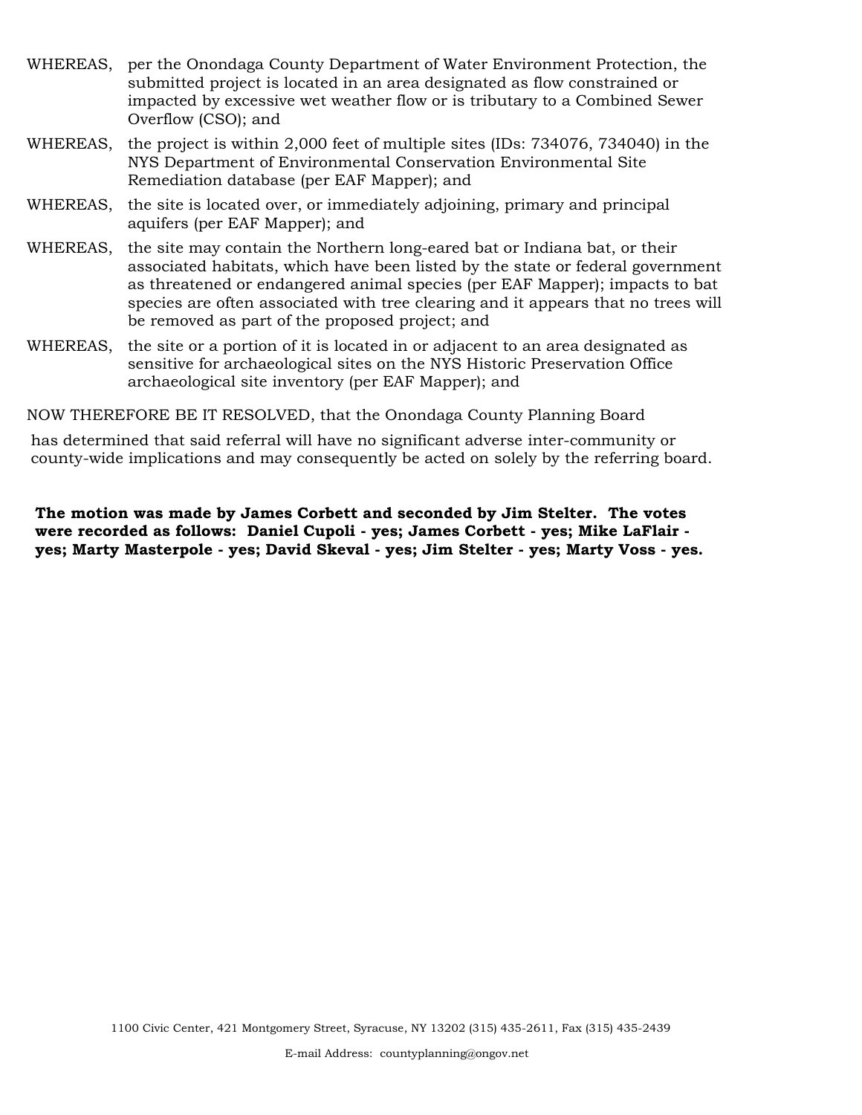- WHEREAS, per the Onondaga County Department of Water Environment Protection, the submitted project is located in an area designated as flow constrained or impacted by excessive wet weather flow or is tributary to a Combined Sewer Overflow (CSO); and
- WHEREAS, the project is within 2,000 feet of multiple sites (IDs: 734076, 734040) in the NYS Department of Environmental Conservation Environmental Site Remediation database (per EAF Mapper); and
- WHEREAS, the site is located over, or immediately adjoining, primary and principal aquifers (per EAF Mapper); and
- WHEREAS, the site may contain the Northern long-eared bat or Indiana bat, or their associated habitats, which have been listed by the state or federal government as threatened or endangered animal species (per EAF Mapper); impacts to bat species are often associated with tree clearing and it appears that no trees will be removed as part of the proposed project; and
- WHEREAS, the site or a portion of it is located in or adjacent to an area designated as sensitive for archaeological sites on the NYS Historic Preservation Office archaeological site inventory (per EAF Mapper); and

NOW THEREFORE BE IT RESOLVED, that the Onondaga County Planning Board

has determined that said referral will have no significant adverse inter-community or county-wide implications and may consequently be acted on solely by the referring board.

**The motion was made by James Corbett and seconded by Jim Stelter. The votes were recorded as follows: Daniel Cupoli - yes; James Corbett - yes; Mike LaFlair yes; Marty Masterpole - yes; David Skeval - yes; Jim Stelter - yes; Marty Voss - yes.**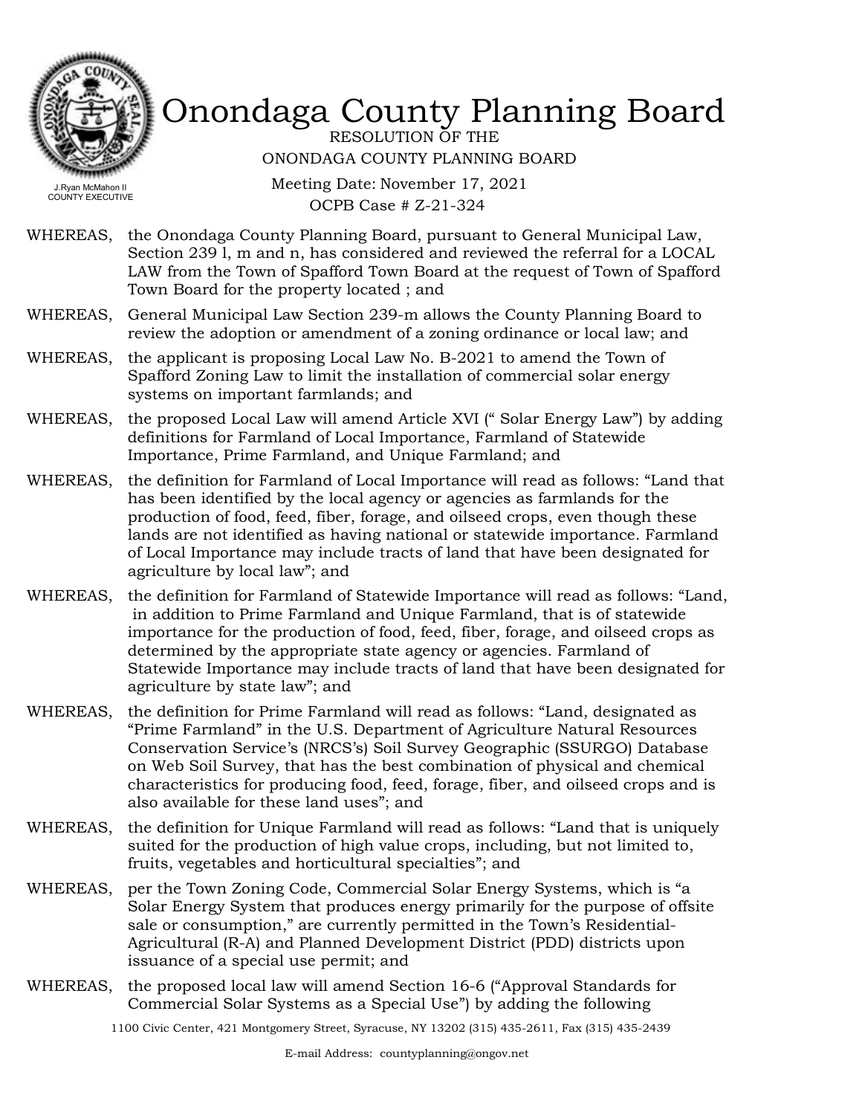

RESOLUTION OF THE ONONDAGA COUNTY PLANNING BOARD

Meeting Date: November 17, 2021 OCPB Case # Z-21-324

- WHEREAS, the Onondaga County Planning Board, pursuant to General Municipal Law, Section 239 l, m and n, has considered and reviewed the referral for a LOCAL LAW from the Town of Spafford Town Board at the request of Town of Spafford Town Board for the property located ; and
- WHEREAS, General Municipal Law Section 239-m allows the County Planning Board to review the adoption or amendment of a zoning ordinance or local law; and
- WHEREAS, the applicant is proposing Local Law No. B-2021 to amend the Town of Spafford Zoning Law to limit the installation of commercial solar energy systems on important farmlands; and
- WHEREAS, the proposed Local Law will amend Article XVI ("Solar Energy Law") by adding definitions for Farmland of Local Importance, Farmland of Statewide Importance, Prime Farmland, and Unique Farmland; and
- WHEREAS, the definition for Farmland of Local Importance will read as follows: "Land that has been identified by the local agency or agencies as farmlands for the production of food, feed, fiber, forage, and oilseed crops, even though these lands are not identified as having national or statewide importance. Farmland of Local Importance may include tracts of land that have been designated for agriculture by local law"; and
- WHEREAS, the definition for Farmland of Statewide Importance will read as follows: "Land, in addition to Prime Farmland and Unique Farmland, that is of statewide importance for the production of food, feed, fiber, forage, and oilseed crops as determined by the appropriate state agency or agencies. Farmland of Statewide Importance may include tracts of land that have been designated for agriculture by state law"; and
- the definition for Prime Farmland will read as follows: "Land, designated as "Prime Farmland" in the U.S. Department of Agriculture Natural Resources Conservation Service's (NRCS's) Soil Survey Geographic (SSURGO) Database on Web Soil Survey, that has the best combination of physical and chemical characteristics for producing food, feed, forage, fiber, and oilseed crops and is also available for these land uses"; and WHEREAS,
- WHEREAS, the definition for Unique Farmland will read as follows: "Land that is uniquely suited for the production of high value crops, including, but not limited to, fruits, vegetables and horticultural specialties"; and
- per the Town Zoning Code, Commercial Solar Energy Systems, which is "a Solar Energy System that produces energy primarily for the purpose of offsite sale or consumption," are currently permitted in the Town's Residential-Agricultural (R-A) and Planned Development District (PDD) districts upon issuance of a special use permit; and WHEREAS,
- WHEREAS, the proposed local law will amend Section 16-6 ("Approval Standards for Commercial Solar Systems as a Special Use") by adding the following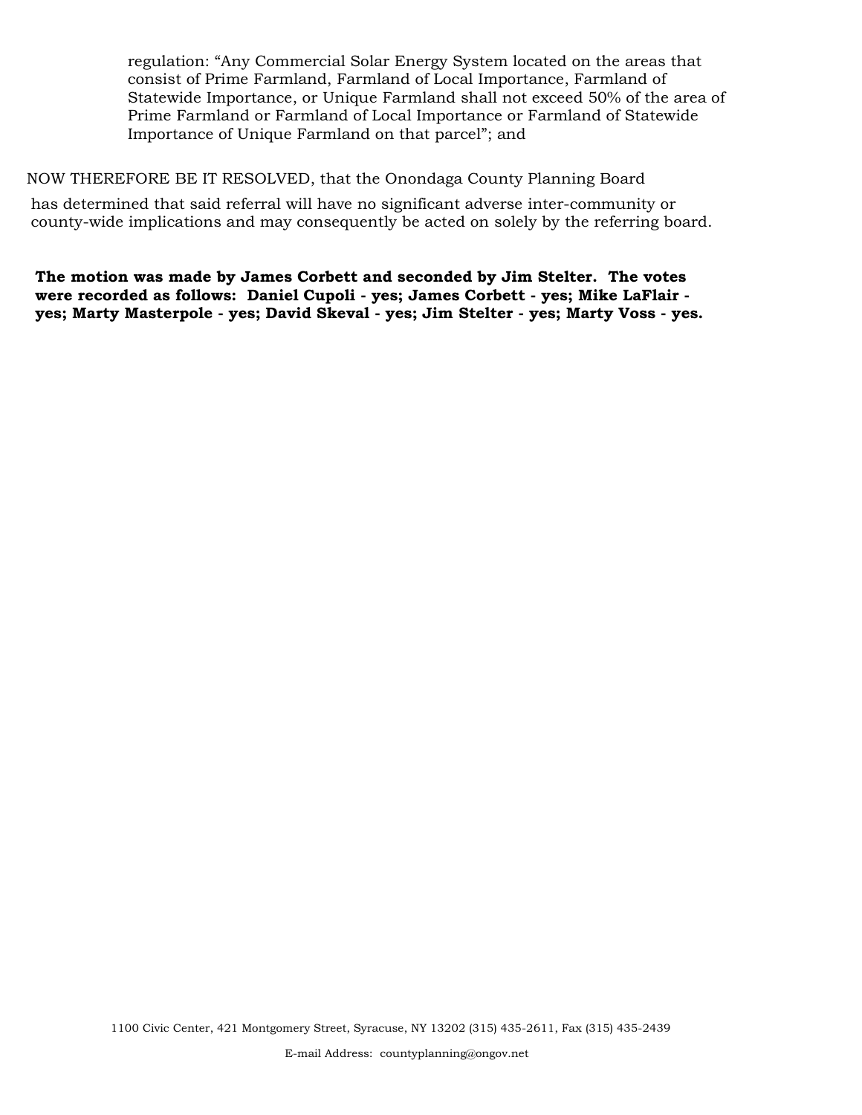regulation: "Any Commercial Solar Energy System located on the areas that consist of Prime Farmland, Farmland of Local Importance, Farmland of Statewide Importance, or Unique Farmland shall not exceed 50% of the area of Prime Farmland or Farmland of Local Importance or Farmland of Statewide Importance of Unique Farmland on that parcel"; and

NOW THEREFORE BE IT RESOLVED, that the Onondaga County Planning Board

has determined that said referral will have no significant adverse inter-community or county-wide implications and may consequently be acted on solely by the referring board.

**The motion was made by James Corbett and seconded by Jim Stelter. The votes were recorded as follows: Daniel Cupoli - yes; James Corbett - yes; Mike LaFlair yes; Marty Masterpole - yes; David Skeval - yes; Jim Stelter - yes; Marty Voss - yes.**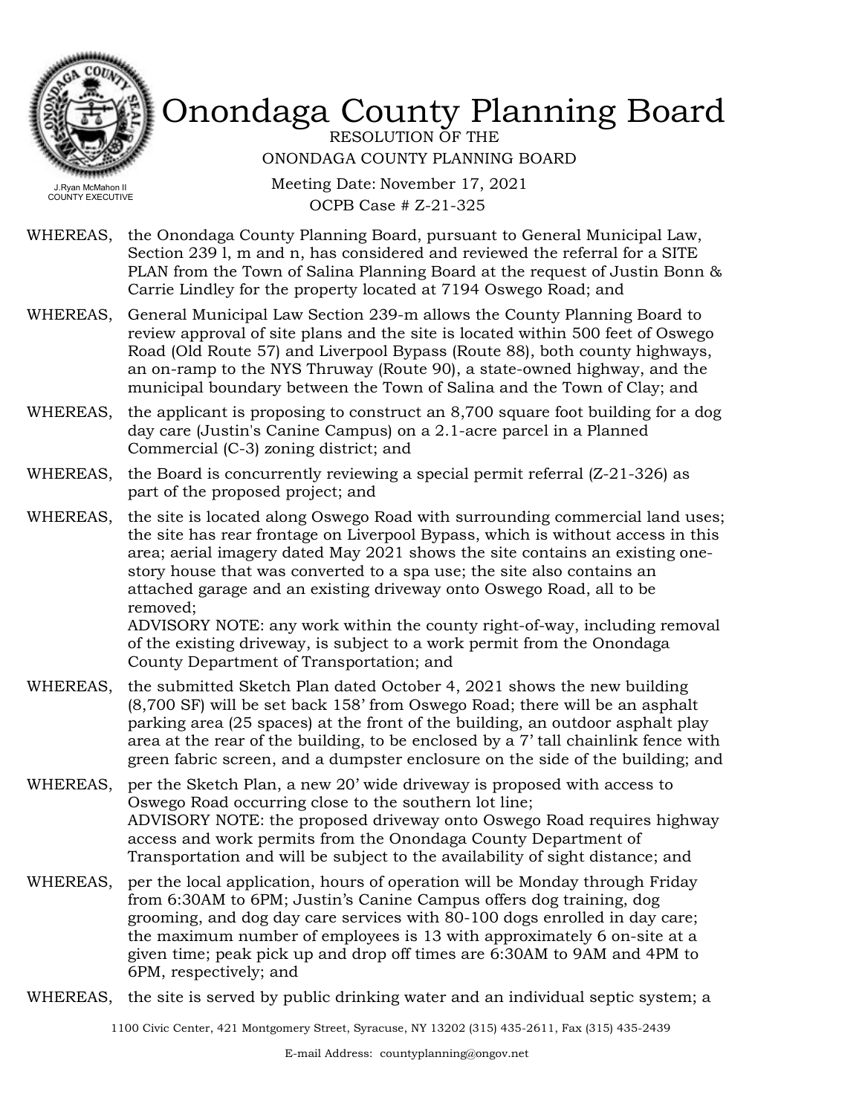

RESOLUTION OF THE ONONDAGA COUNTY PLANNING BOARD

Meeting Date: November 17, 2021 OCPB Case # Z-21-325

- WHEREAS, the Onondaga County Planning Board, pursuant to General Municipal Law, Section 239 l, m and n, has considered and reviewed the referral for a SITE PLAN from the Town of Salina Planning Board at the request of Justin Bonn & Carrie Lindley for the property located at 7194 Oswego Road; and
- WHEREAS, General Municipal Law Section 239-m allows the County Planning Board to review approval of site plans and the site is located within 500 feet of Oswego Road (Old Route 57) and Liverpool Bypass (Route 88), both county highways, an on-ramp to the NYS Thruway (Route 90), a state-owned highway, and the municipal boundary between the Town of Salina and the Town of Clay; and
- the applicant is proposing to construct an 8,700 square foot building for a dog day care (Justin's Canine Campus) on a 2.1-acre parcel in a Planned Commercial (C-3) zoning district; and WHEREAS,
- WHEREAS, the Board is concurrently reviewing a special permit referral  $(Z-21-326)$  as part of the proposed project; and
- WHEREAS, the site is located along Oswego Road with surrounding commercial land uses; the site has rear frontage on Liverpool Bypass, which is without access in this area; aerial imagery dated May 2021 shows the site contains an existing onestory house that was converted to a spa use; the site also contains an attached garage and an existing driveway onto Oswego Road, all to be removed; ADVISORY NOTE: any work within the county right-of-way, including removal

of the existing driveway, is subject to a work permit from the Onondaga County Department of Transportation; and

- WHEREAS, the submitted Sketch Plan dated October 4, 2021 shows the new building (8,700 SF) will be set back 158' from Oswego Road; there will be an asphalt parking area (25 spaces) at the front of the building, an outdoor asphalt play area at the rear of the building, to be enclosed by a 7' tall chainlink fence with green fabric screen, and a dumpster enclosure on the side of the building; and
- WHEREAS, per the Sketch Plan, a new 20' wide driveway is proposed with access to Oswego Road occurring close to the southern lot line; ADVISORY NOTE: the proposed driveway onto Oswego Road requires highway access and work permits from the Onondaga County Department of Transportation and will be subject to the availability of sight distance; and
- per the local application, hours of operation will be Monday through Friday from 6:30AM to 6PM; Justin's Canine Campus offers dog training, dog grooming, and dog day care services with 80-100 dogs enrolled in day care; the maximum number of employees is 13 with approximately 6 on-site at a given time; peak pick up and drop off times are 6:30AM to 9AM and 4PM to 6PM, respectively; and WHEREAS,
- WHEREAS, the site is served by public drinking water and an individual septic system; a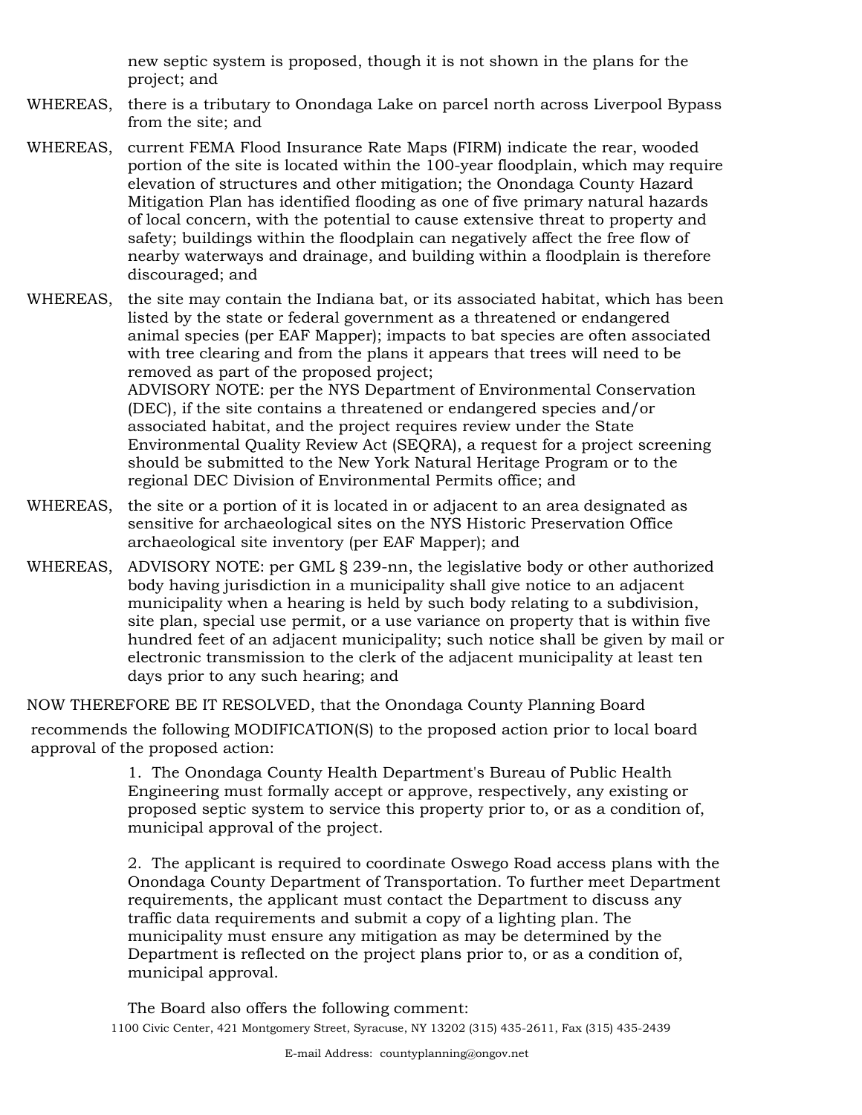new septic system is proposed, though it is not shown in the plans for the project; and

- WHEREAS, there is a tributary to Onondaga Lake on parcel north across Liverpool Bypass from the site; and
- WHEREAS, current FEMA Flood Insurance Rate Maps (FIRM) indicate the rear, wooded portion of the site is located within the 100-year floodplain, which may require elevation of structures and other mitigation; the Onondaga County Hazard Mitigation Plan has identified flooding as one of five primary natural hazards of local concern, with the potential to cause extensive threat to property and safety; buildings within the floodplain can negatively affect the free flow of nearby waterways and drainage, and building within a floodplain is therefore discouraged; and

WHEREAS, the site may contain the Indiana bat, or its associated habitat, which has been listed by the state or federal government as a threatened or endangered animal species (per EAF Mapper); impacts to bat species are often associated with tree clearing and from the plans it appears that trees will need to be removed as part of the proposed project; ADVISORY NOTE: per the NYS Department of Environmental Conservation (DEC), if the site contains a threatened or endangered species and/or associated habitat, and the project requires review under the State Environmental Quality Review Act (SEQRA), a request for a project screening should be submitted to the New York Natural Heritage Program or to the regional DEC Division of Environmental Permits office; and

- WHEREAS, the site or a portion of it is located in or adjacent to an area designated as sensitive for archaeological sites on the NYS Historic Preservation Office archaeological site inventory (per EAF Mapper); and
- WHEREAS, ADVISORY NOTE: per GML § 239-nn, the legislative body or other authorized body having jurisdiction in a municipality shall give notice to an adjacent municipality when a hearing is held by such body relating to a subdivision, site plan, special use permit, or a use variance on property that is within five hundred feet of an adjacent municipality; such notice shall be given by mail or electronic transmission to the clerk of the adjacent municipality at least ten days prior to any such hearing; and

NOW THEREFORE BE IT RESOLVED, that the Onondaga County Planning Board

recommends the following MODIFICATION(S) to the proposed action prior to local board approval of the proposed action:

> 1. The Onondaga County Health Department's Bureau of Public Health Engineering must formally accept or approve, respectively, any existing or proposed septic system to service this property prior to, or as a condition of, municipal approval of the project.

2. The applicant is required to coordinate Oswego Road access plans with the Onondaga County Department of Transportation. To further meet Department requirements, the applicant must contact the Department to discuss any traffic data requirements and submit a copy of a lighting plan. The municipality must ensure any mitigation as may be determined by the Department is reflected on the project plans prior to, or as a condition of, municipal approval.

The Board also offers the following comment: 1100 Civic Center, 421 Montgomery Street, Syracuse, NY 13202 (315) 435-2611, Fax (315) 435-2439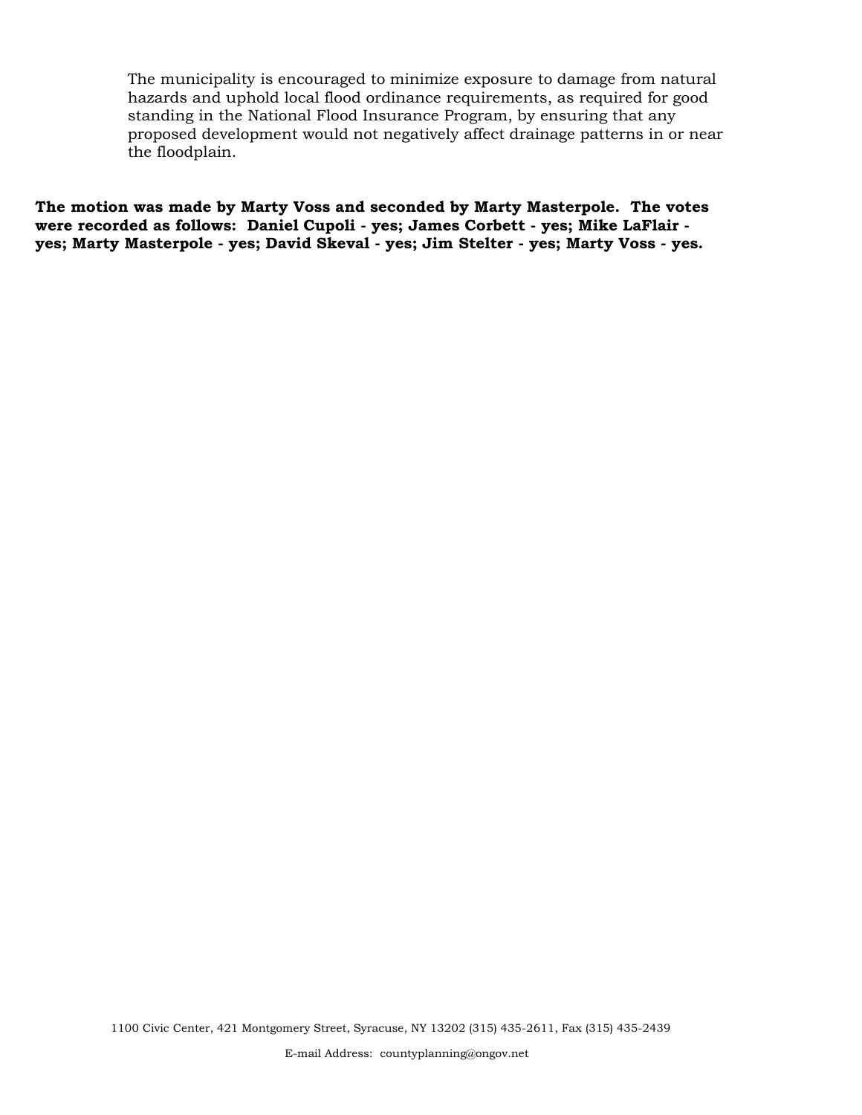The municipality is encouraged to minimize exposure to damage from natural hazards and uphold local flood ordinance requirements, as required for good standing in the National Flood Insurance Program, by ensuring that any proposed development would not negatively affect drainage patterns in or near the floodplain.

**The motion was made by Marty Voss and seconded by Marty Masterpole. The votes were recorded as follows: Daniel Cupoli - yes; James Corbett - yes; Mike LaFlair yes; Marty Masterpole - yes; David Skeval - yes; Jim Stelter - yes; Marty Voss - yes.**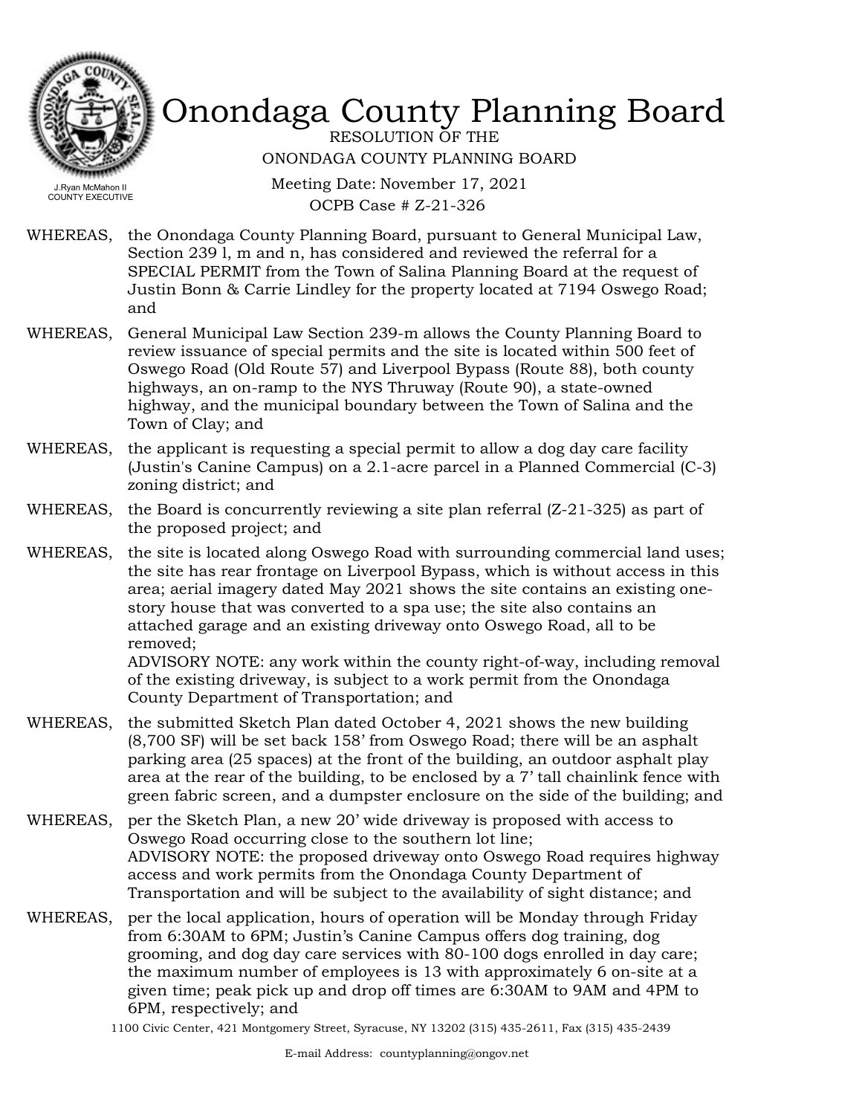

RESOLUTION OF THE ONONDAGA COUNTY PLANNING BOARD

Meeting Date: November 17, 2021 OCPB Case # Z-21-326

WHEREAS, the Onondaga County Planning Board, pursuant to General Municipal Law, Section 239 l, m and n, has considered and reviewed the referral for a SPECIAL PERMIT from the Town of Salina Planning Board at the request of Justin Bonn & Carrie Lindley for the property located at 7194 Oswego Road; and

- WHEREAS, General Municipal Law Section 239-m allows the County Planning Board to review issuance of special permits and the site is located within 500 feet of Oswego Road (Old Route 57) and Liverpool Bypass (Route 88), both county highways, an on-ramp to the NYS Thruway (Route 90), a state-owned highway, and the municipal boundary between the Town of Salina and the Town of Clay; and
- WHEREAS, the applicant is requesting a special permit to allow a dog day care facility (Justin's Canine Campus) on a 2.1-acre parcel in a Planned Commercial (C-3) zoning district; and
- WHEREAS, the Board is concurrently reviewing a site plan referral  $(Z-21-325)$  as part of the proposed project; and
- WHEREAS, the site is located along Oswego Road with surrounding commercial land uses; the site has rear frontage on Liverpool Bypass, which is without access in this area; aerial imagery dated May 2021 shows the site contains an existing onestory house that was converted to a spa use; the site also contains an attached garage and an existing driveway onto Oswego Road, all to be removed;

ADVISORY NOTE: any work within the county right-of-way, including removal of the existing driveway, is subject to a work permit from the Onondaga County Department of Transportation; and

- WHEREAS, the submitted Sketch Plan dated October 4, 2021 shows the new building (8,700 SF) will be set back 158' from Oswego Road; there will be an asphalt parking area (25 spaces) at the front of the building, an outdoor asphalt play area at the rear of the building, to be enclosed by a 7' tall chainlink fence with green fabric screen, and a dumpster enclosure on the side of the building; and
- per the Sketch Plan, a new 20' wide driveway is proposed with access to Oswego Road occurring close to the southern lot line; ADVISORY NOTE: the proposed driveway onto Oswego Road requires highway access and work permits from the Onondaga County Department of Transportation and will be subject to the availability of sight distance; and WHEREAS,
- WHEREAS, per the local application, hours of operation will be Monday through Friday from 6:30AM to 6PM; Justin's Canine Campus offers dog training, dog grooming, and dog day care services with 80-100 dogs enrolled in day care; the maximum number of employees is 13 with approximately 6 on-site at a given time; peak pick up and drop off times are 6:30AM to 9AM and 4PM to 6PM, respectively; and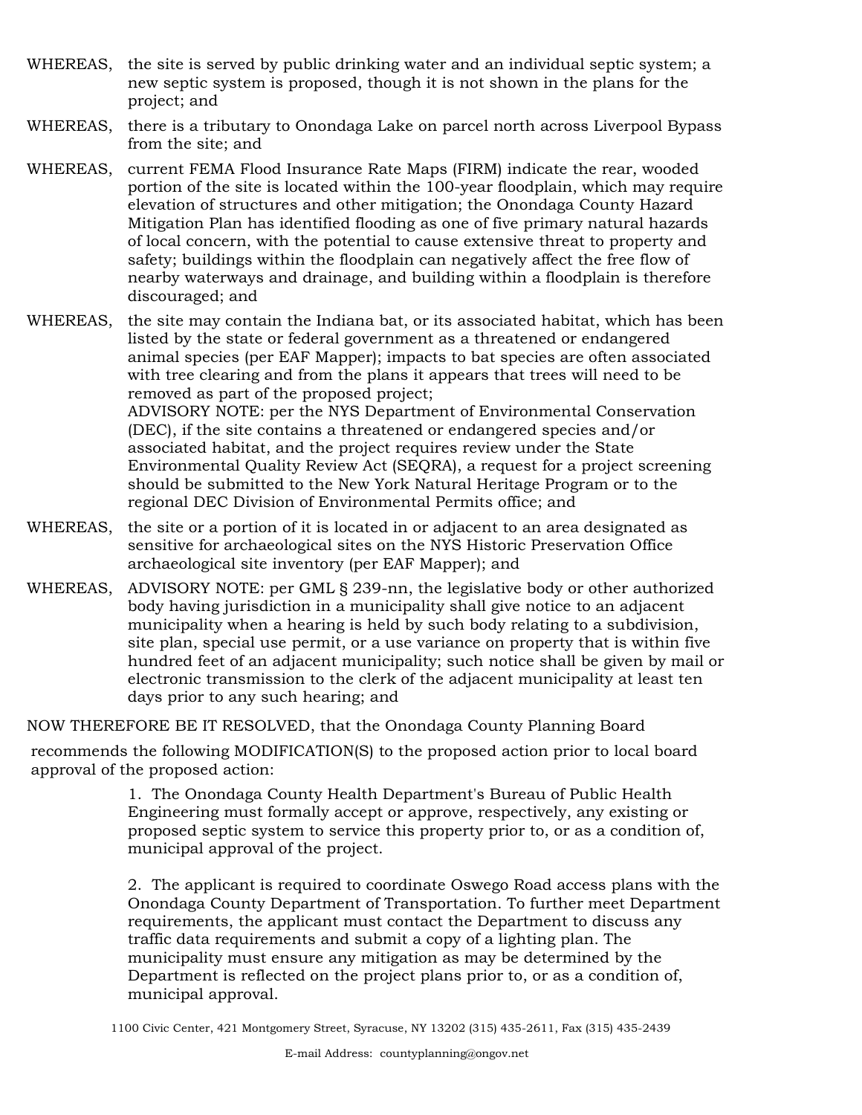- WHEREAS, the site is served by public drinking water and an individual septic system; a new septic system is proposed, though it is not shown in the plans for the project; and
- WHEREAS, there is a tributary to Onondaga Lake on parcel north across Liverpool Bypass from the site; and
- WHEREAS, current FEMA Flood Insurance Rate Maps (FIRM) indicate the rear, wooded portion of the site is located within the 100-year floodplain, which may require elevation of structures and other mitigation; the Onondaga County Hazard Mitigation Plan has identified flooding as one of five primary natural hazards of local concern, with the potential to cause extensive threat to property and safety; buildings within the floodplain can negatively affect the free flow of nearby waterways and drainage, and building within a floodplain is therefore discouraged; and

WHEREAS, the site may contain the Indiana bat, or its associated habitat, which has been listed by the state or federal government as a threatened or endangered animal species (per EAF Mapper); impacts to bat species are often associated with tree clearing and from the plans it appears that trees will need to be removed as part of the proposed project; ADVISORY NOTE: per the NYS Department of Environmental Conservation (DEC), if the site contains a threatened or endangered species and/or associated habitat, and the project requires review under the State Environmental Quality Review Act (SEQRA), a request for a project screening should be submitted to the New York Natural Heritage Program or to the regional DEC Division of Environmental Permits office; and

- WHEREAS, the site or a portion of it is located in or adjacent to an area designated as sensitive for archaeological sites on the NYS Historic Preservation Office archaeological site inventory (per EAF Mapper); and
- WHEREAS, ADVISORY NOTE: per GML § 239-nn, the legislative body or other authorized body having jurisdiction in a municipality shall give notice to an adjacent municipality when a hearing is held by such body relating to a subdivision, site plan, special use permit, or a use variance on property that is within five hundred feet of an adjacent municipality; such notice shall be given by mail or electronic transmission to the clerk of the adjacent municipality at least ten days prior to any such hearing; and

NOW THEREFORE BE IT RESOLVED, that the Onondaga County Planning Board

recommends the following MODIFICATION(S) to the proposed action prior to local board approval of the proposed action:

> 1. The Onondaga County Health Department's Bureau of Public Health Engineering must formally accept or approve, respectively, any existing or proposed septic system to service this property prior to, or as a condition of, municipal approval of the project.

2. The applicant is required to coordinate Oswego Road access plans with the Onondaga County Department of Transportation. To further meet Department requirements, the applicant must contact the Department to discuss any traffic data requirements and submit a copy of a lighting plan. The municipality must ensure any mitigation as may be determined by the Department is reflected on the project plans prior to, or as a condition of, municipal approval.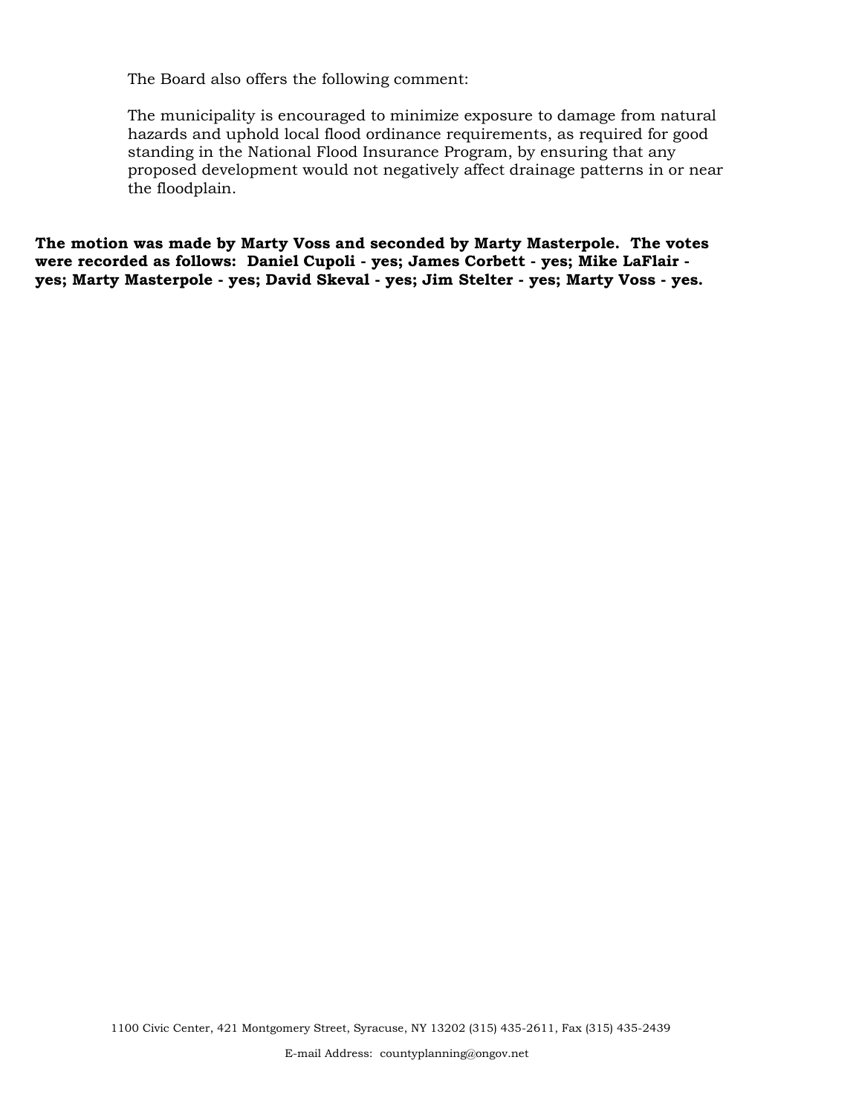The Board also offers the following comment:

The municipality is encouraged to minimize exposure to damage from natural hazards and uphold local flood ordinance requirements, as required for good standing in the National Flood Insurance Program, by ensuring that any proposed development would not negatively affect drainage patterns in or near the floodplain.

**The motion was made by Marty Voss and seconded by Marty Masterpole. The votes were recorded as follows: Daniel Cupoli - yes; James Corbett - yes; Mike LaFlair yes; Marty Masterpole - yes; David Skeval - yes; Jim Stelter - yes; Marty Voss - yes.**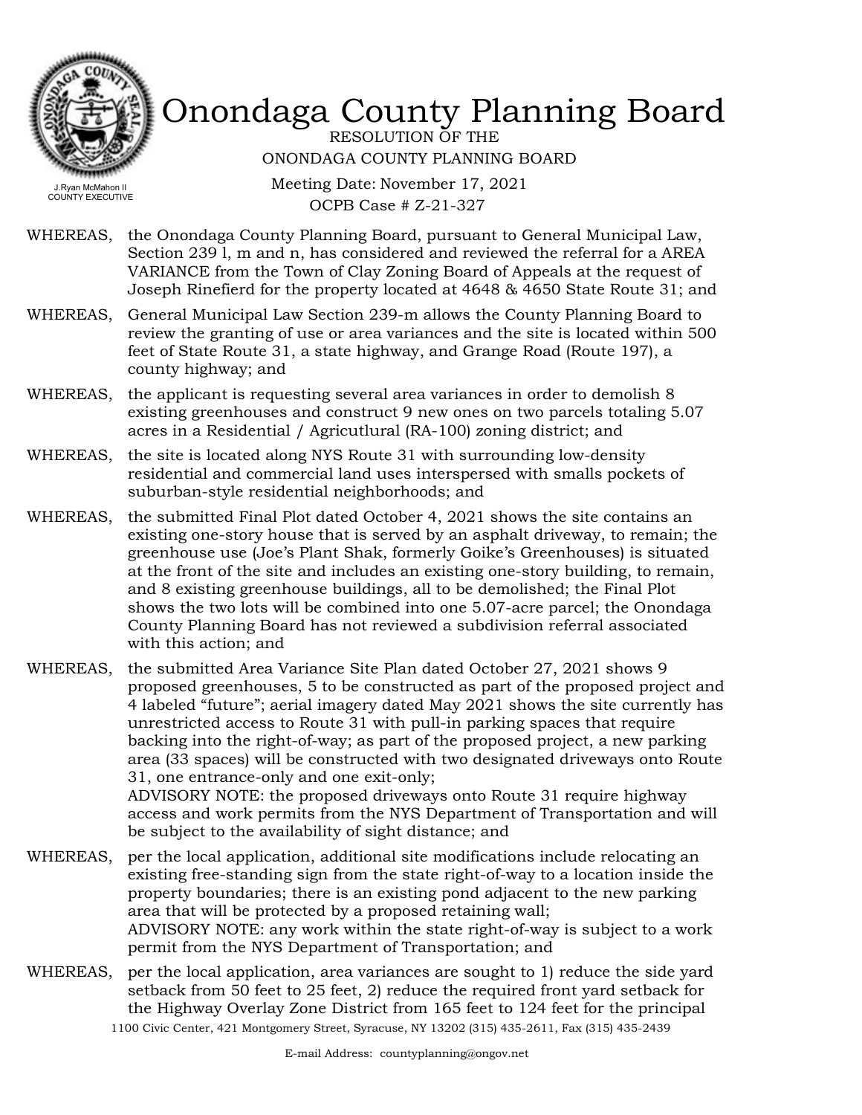

RESOLUTION OF THE ONONDAGA COUNTY PLANNING BOARD

Meeting Date: November 17, 2021 OCPB Case # Z-21-327

- WHEREAS, the Onondaga County Planning Board, pursuant to General Municipal Law, Section 239 l, m and n, has considered and reviewed the referral for a AREA VARIANCE from the Town of Clay Zoning Board of Appeals at the request of Joseph Rinefierd for the property located at 4648 & 4650 State Route 31; and
- WHEREAS, General Municipal Law Section 239-m allows the County Planning Board to review the granting of use or area variances and the site is located within 500 feet of State Route 31, a state highway, and Grange Road (Route 197), a county highway; and
- WHEREAS, the applicant is requesting several area variances in order to demolish 8 existing greenhouses and construct 9 new ones on two parcels totaling 5.07 acres in a Residential / Agricutlural (RA-100) zoning district; and
- WHEREAS, the site is located along NYS Route 31 with surrounding low-density residential and commercial land uses interspersed with smalls pockets of suburban-style residential neighborhoods; and
- WHEREAS, the submitted Final Plot dated October 4, 2021 shows the site contains an existing one-story house that is served by an asphalt driveway, to remain; the greenhouse use (Joe's Plant Shak, formerly Goike's Greenhouses) is situated at the front of the site and includes an existing one-story building, to remain, and 8 existing greenhouse buildings, all to be demolished; the Final Plot shows the two lots will be combined into one 5.07-acre parcel; the Onondaga County Planning Board has not reviewed a subdivision referral associated with this action; and
- WHEREAS, the submitted Area Variance Site Plan dated October 27, 2021 shows 9 proposed greenhouses, 5 to be constructed as part of the proposed project and 4 labeled "future"; aerial imagery dated May 2021 shows the site currently has unrestricted access to Route 31 with pull-in parking spaces that require backing into the right-of-way; as part of the proposed project, a new parking area (33 spaces) will be constructed with two designated driveways onto Route 31, one entrance-only and one exit-only; ADVISORY NOTE: the proposed driveways onto Route 31 require highway access and work permits from the NYS Department of Transportation and will be subject to the availability of sight distance; and
- per the local application, additional site modifications include relocating an existing free-standing sign from the state right-of-way to a location inside the property boundaries; there is an existing pond adjacent to the new parking area that will be protected by a proposed retaining wall; ADVISORY NOTE: any work within the state right-of-way is subject to a work permit from the NYS Department of Transportation; and WHEREAS,
- WHEREAS, per the local application, area variances are sought to 1) reduce the side yard setback from 50 feet to 25 feet, 2) reduce the required front yard setback for the Highway Overlay Zone District from 165 feet to 124 feet for the principal 1100 Civic Center, 421 Montgomery Street, Syracuse, NY 13202 (315) 435-2611, Fax (315) 435-2439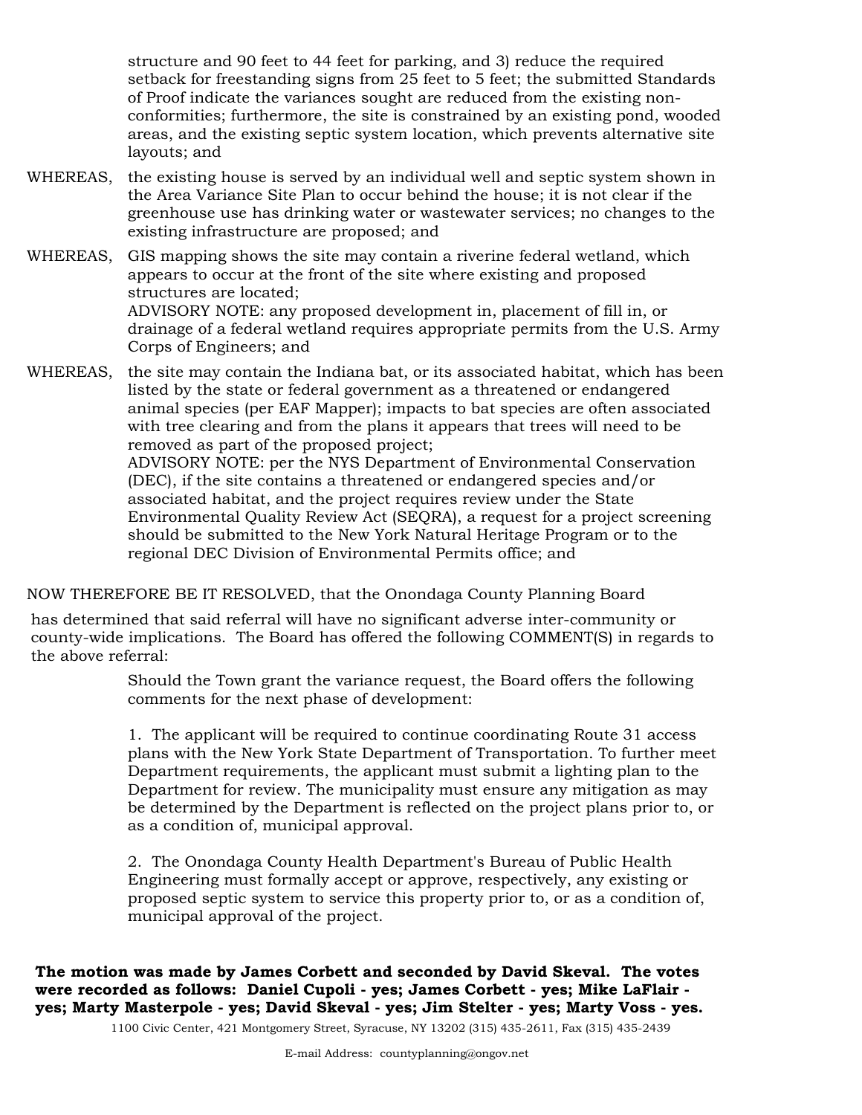structure and 90 feet to 44 feet for parking, and 3) reduce the required setback for freestanding signs from 25 feet to 5 feet; the submitted Standards of Proof indicate the variances sought are reduced from the existing nonconformities; furthermore, the site is constrained by an existing pond, wooded areas, and the existing septic system location, which prevents alternative site layouts; and

WHEREAS, the existing house is served by an individual well and septic system shown in the Area Variance Site Plan to occur behind the house; it is not clear if the greenhouse use has drinking water or wastewater services; no changes to the existing infrastructure are proposed; and

WHEREAS, GIS mapping shows the site may contain a riverine federal wetland, which appears to occur at the front of the site where existing and proposed structures are located; ADVISORY NOTE: any proposed development in, placement of fill in, or drainage of a federal wetland requires appropriate permits from the U.S. Army Corps of Engineers; and

WHEREAS, the site may contain the Indiana bat, or its associated habitat, which has been listed by the state or federal government as a threatened or endangered animal species (per EAF Mapper); impacts to bat species are often associated with tree clearing and from the plans it appears that trees will need to be removed as part of the proposed project; ADVISORY NOTE: per the NYS Department of Environmental Conservation (DEC), if the site contains a threatened or endangered species and/or associated habitat, and the project requires review under the State Environmental Quality Review Act (SEQRA), a request for a project screening should be submitted to the New York Natural Heritage Program or to the regional DEC Division of Environmental Permits office; and

NOW THEREFORE BE IT RESOLVED, that the Onondaga County Planning Board

has determined that said referral will have no significant adverse inter-community or county-wide implications. The Board has offered the following COMMENT(S) in regards to the above referral:

> Should the Town grant the variance request, the Board offers the following comments for the next phase of development:

1. The applicant will be required to continue coordinating Route 31 access plans with the New York State Department of Transportation. To further meet Department requirements, the applicant must submit a lighting plan to the Department for review. The municipality must ensure any mitigation as may be determined by the Department is reflected on the project plans prior to, or as a condition of, municipal approval.

2. The Onondaga County Health Department's Bureau of Public Health Engineering must formally accept or approve, respectively, any existing or proposed septic system to service this property prior to, or as a condition of, municipal approval of the project.

**The motion was made by James Corbett and seconded by David Skeval. The votes were recorded as follows: Daniel Cupoli - yes; James Corbett - yes; Mike LaFlair yes; Marty Masterpole - yes; David Skeval - yes; Jim Stelter - yes; Marty Voss - yes.**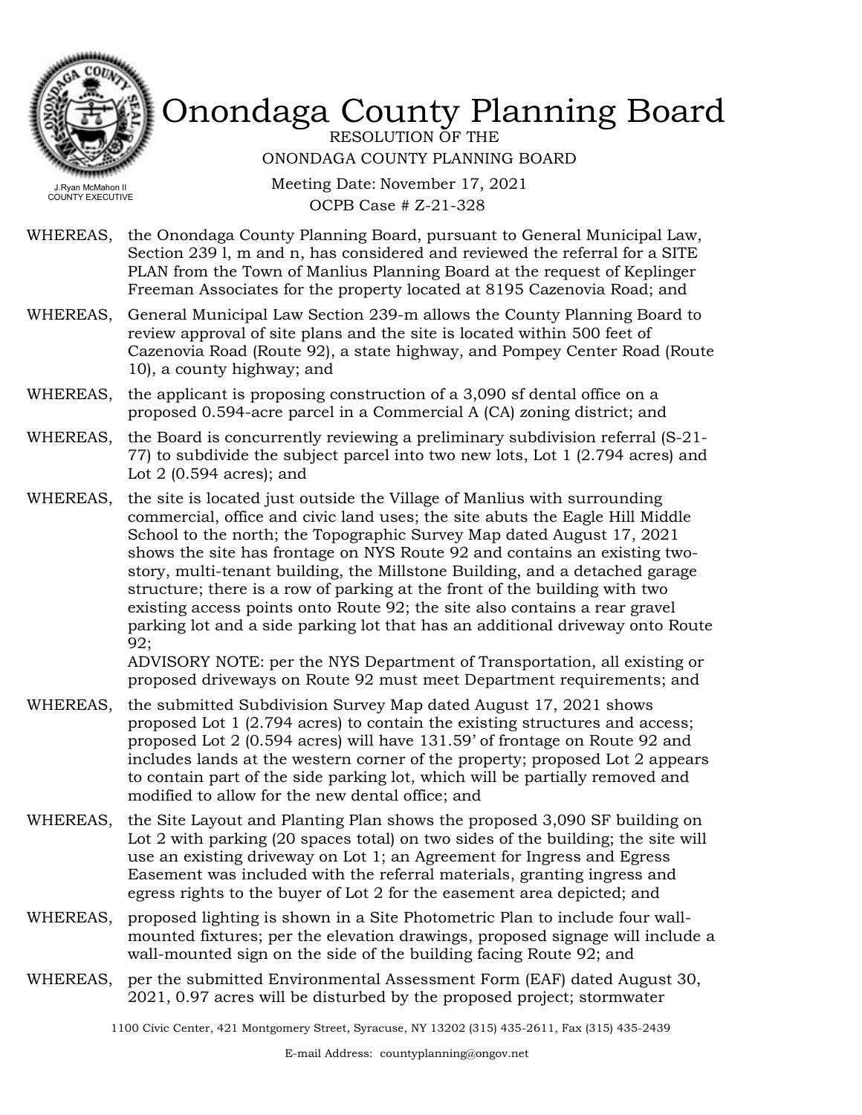

RESOLUTION OF THE ONONDAGA COUNTY PLANNING BOARD

Meeting Date: November 17, 2021 OCPB Case # Z-21-328

- WHEREAS, the Onondaga County Planning Board, pursuant to General Municipal Law, Section 239 l, m and n, has considered and reviewed the referral for a SITE PLAN from the Town of Manlius Planning Board at the request of Keplinger Freeman Associates for the property located at 8195 Cazenovia Road; and
- WHEREAS, General Municipal Law Section 239-m allows the County Planning Board to review approval of site plans and the site is located within 500 feet of Cazenovia Road (Route 92), a state highway, and Pompey Center Road (Route 10), a county highway; and
- WHEREAS, the applicant is proposing construction of a 3,090 sf dental office on a proposed 0.594-acre parcel in a Commercial A (CA) zoning district; and
- the Board is concurrently reviewing a preliminary subdivision referral (S-21- 77) to subdivide the subject parcel into two new lots, Lot 1 (2.794 acres) and Lot 2 (0.594 acres); and WHEREAS,
- the site is located just outside the Village of Manlius with surrounding commercial, office and civic land uses; the site abuts the Eagle Hill Middle School to the north; the Topographic Survey Map dated August 17, 2021 shows the site has frontage on NYS Route 92 and contains an existing twostory, multi-tenant building, the Millstone Building, and a detached garage structure; there is a row of parking at the front of the building with two existing access points onto Route 92; the site also contains a rear gravel parking lot and a side parking lot that has an additional driveway onto Route 92; WHEREAS,

ADVISORY NOTE: per the NYS Department of Transportation, all existing or proposed driveways on Route 92 must meet Department requirements; and

- WHEREAS, the submitted Subdivision Survey Map dated August 17, 2021 shows proposed Lot 1 (2.794 acres) to contain the existing structures and access; proposed Lot 2 (0.594 acres) will have 131.59' of frontage on Route 92 and includes lands at the western corner of the property; proposed Lot 2 appears to contain part of the side parking lot, which will be partially removed and modified to allow for the new dental office; and
- the Site Layout and Planting Plan shows the proposed 3,090 SF building on Lot 2 with parking (20 spaces total) on two sides of the building; the site will use an existing driveway on Lot 1; an Agreement for Ingress and Egress Easement was included with the referral materials, granting ingress and egress rights to the buyer of Lot 2 for the easement area depicted; and WHEREAS,
- WHEREAS, proposed lighting is shown in a Site Photometric Plan to include four wallmounted fixtures; per the elevation drawings, proposed signage will include a wall-mounted sign on the side of the building facing Route 92; and
- WHEREAS, per the submitted Environmental Assessment Form (EAF) dated August 30, 2021, 0.97 acres will be disturbed by the proposed project; stormwater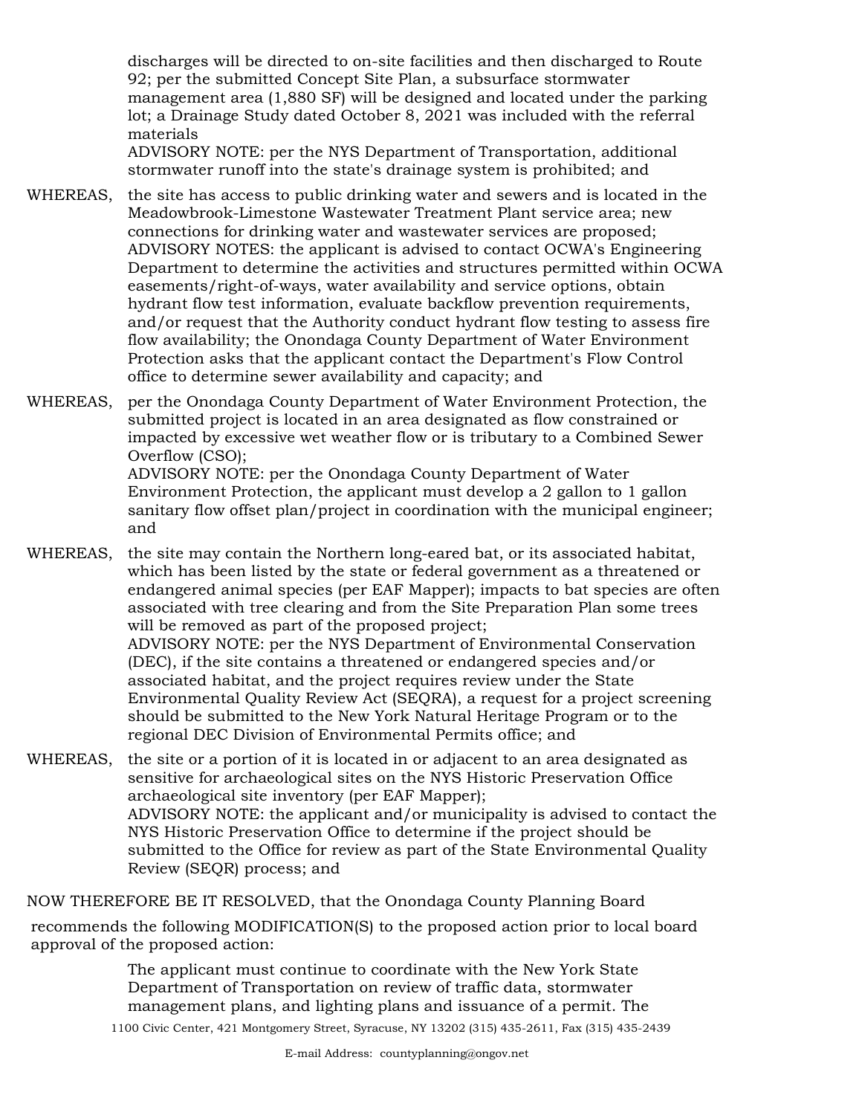discharges will be directed to on-site facilities and then discharged to Route 92; per the submitted Concept Site Plan, a subsurface stormwater management area (1,880 SF) will be designed and located under the parking lot; a Drainage Study dated October 8, 2021 was included with the referral materials

ADVISORY NOTE: per the NYS Department of Transportation, additional stormwater runoff into the state's drainage system is prohibited; and

- WHEREAS, the site has access to public drinking water and sewers and is located in the Meadowbrook-Limestone Wastewater Treatment Plant service area; new connections for drinking water and wastewater services are proposed; ADVISORY NOTES: the applicant is advised to contact OCWA's Engineering Department to determine the activities and structures permitted within OCWA easements/right-of-ways, water availability and service options, obtain hydrant flow test information, evaluate backflow prevention requirements, and/or request that the Authority conduct hydrant flow testing to assess fire flow availability; the Onondaga County Department of Water Environment Protection asks that the applicant contact the Department's Flow Control office to determine sewer availability and capacity; and
- WHEREAS, per the Onondaga County Department of Water Environment Protection, the submitted project is located in an area designated as flow constrained or impacted by excessive wet weather flow or is tributary to a Combined Sewer Overflow (CSO); ADVISORY NOTE: per the Onondaga County Department of Water Environment Protection, the applicant must develop a 2 gallon to 1 gallon sanitary flow offset plan/project in coordination with the municipal engineer;

and

WHEREAS, the site may contain the Northern long-eared bat, or its associated habitat, which has been listed by the state or federal government as a threatened or endangered animal species (per EAF Mapper); impacts to bat species are often associated with tree clearing and from the Site Preparation Plan some trees will be removed as part of the proposed project; ADVISORY NOTE: per the NYS Department of Environmental Conservation (DEC), if the site contains a threatened or endangered species and/or

associated habitat, and the project requires review under the State Environmental Quality Review Act (SEQRA), a request for a project screening should be submitted to the New York Natural Heritage Program or to the regional DEC Division of Environmental Permits office; and

WHEREAS, the site or a portion of it is located in or adjacent to an area designated as sensitive for archaeological sites on the NYS Historic Preservation Office archaeological site inventory (per EAF Mapper); ADVISORY NOTE: the applicant and/or municipality is advised to contact the NYS Historic Preservation Office to determine if the project should be submitted to the Office for review as part of the State Environmental Quality Review (SEQR) process; and

NOW THEREFORE BE IT RESOLVED, that the Onondaga County Planning Board

recommends the following MODIFICATION(S) to the proposed action prior to local board approval of the proposed action:

> The applicant must continue to coordinate with the New York State Department of Transportation on review of traffic data, stormwater management plans, and lighting plans and issuance of a permit. The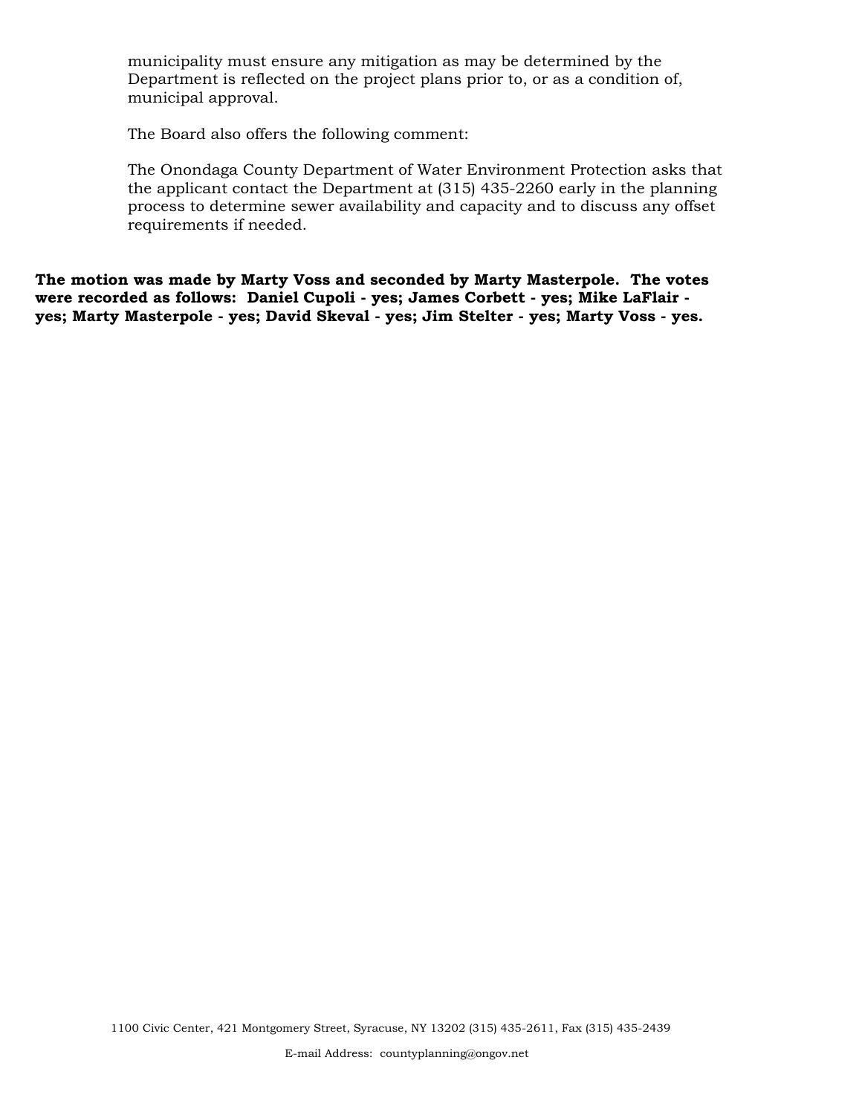municipality must ensure any mitigation as may be determined by the Department is reflected on the project plans prior to, or as a condition of, municipal approval.

The Board also offers the following comment:

The Onondaga County Department of Water Environment Protection asks that the applicant contact the Department at (315) 435-2260 early in the planning process to determine sewer availability and capacity and to discuss any offset requirements if needed.

**The motion was made by Marty Voss and seconded by Marty Masterpole. The votes were recorded as follows: Daniel Cupoli - yes; James Corbett - yes; Mike LaFlair yes; Marty Masterpole - yes; David Skeval - yes; Jim Stelter - yes; Marty Voss - yes.**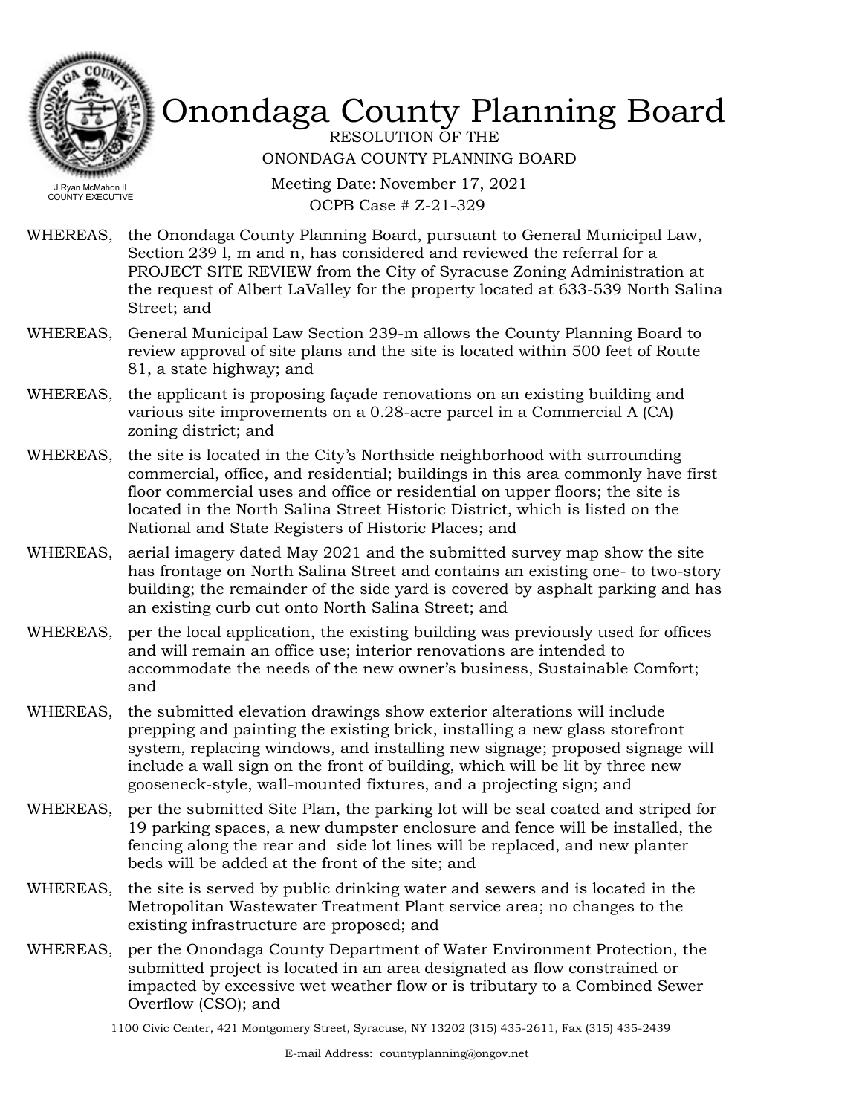

RESOLUTION OF THE ONONDAGA COUNTY PLANNING BOARD

Meeting Date: November 17, 2021 OCPB Case # Z-21-329

- WHEREAS, the Onondaga County Planning Board, pursuant to General Municipal Law, Section 239 l, m and n, has considered and reviewed the referral for a PROJECT SITE REVIEW from the City of Syracuse Zoning Administration at the request of Albert LaValley for the property located at 633-539 North Salina Street; and
- WHEREAS, General Municipal Law Section 239-m allows the County Planning Board to review approval of site plans and the site is located within 500 feet of Route 81, a state highway; and
- WHEREAS, the applicant is proposing façade renovations on an existing building and various site improvements on a 0.28-acre parcel in a Commercial A (CA) zoning district; and
- WHEREAS, the site is located in the City's Northside neighborhood with surrounding commercial, office, and residential; buildings in this area commonly have first floor commercial uses and office or residential on upper floors; the site is located in the North Salina Street Historic District, which is listed on the National and State Registers of Historic Places; and
- WHEREAS, aerial imagery dated May 2021 and the submitted survey map show the site has frontage on North Salina Street and contains an existing one- to two-story building; the remainder of the side yard is covered by asphalt parking and has an existing curb cut onto North Salina Street; and
- WHEREAS, per the local application, the existing building was previously used for offices and will remain an office use; interior renovations are intended to accommodate the needs of the new owner's business, Sustainable Comfort; and
- WHEREAS, the submitted elevation drawings show exterior alterations will include prepping and painting the existing brick, installing a new glass storefront system, replacing windows, and installing new signage; proposed signage will include a wall sign on the front of building, which will be lit by three new gooseneck-style, wall-mounted fixtures, and a projecting sign; and
- WHEREAS, per the submitted Site Plan, the parking lot will be seal coated and striped for 19 parking spaces, a new dumpster enclosure and fence will be installed, the fencing along the rear and side lot lines will be replaced, and new planter beds will be added at the front of the site; and
- WHEREAS, the site is served by public drinking water and sewers and is located in the Metropolitan Wastewater Treatment Plant service area; no changes to the existing infrastructure are proposed; and
- WHEREAS, per the Onondaga County Department of Water Environment Protection, the submitted project is located in an area designated as flow constrained or impacted by excessive wet weather flow or is tributary to a Combined Sewer Overflow (CSO); and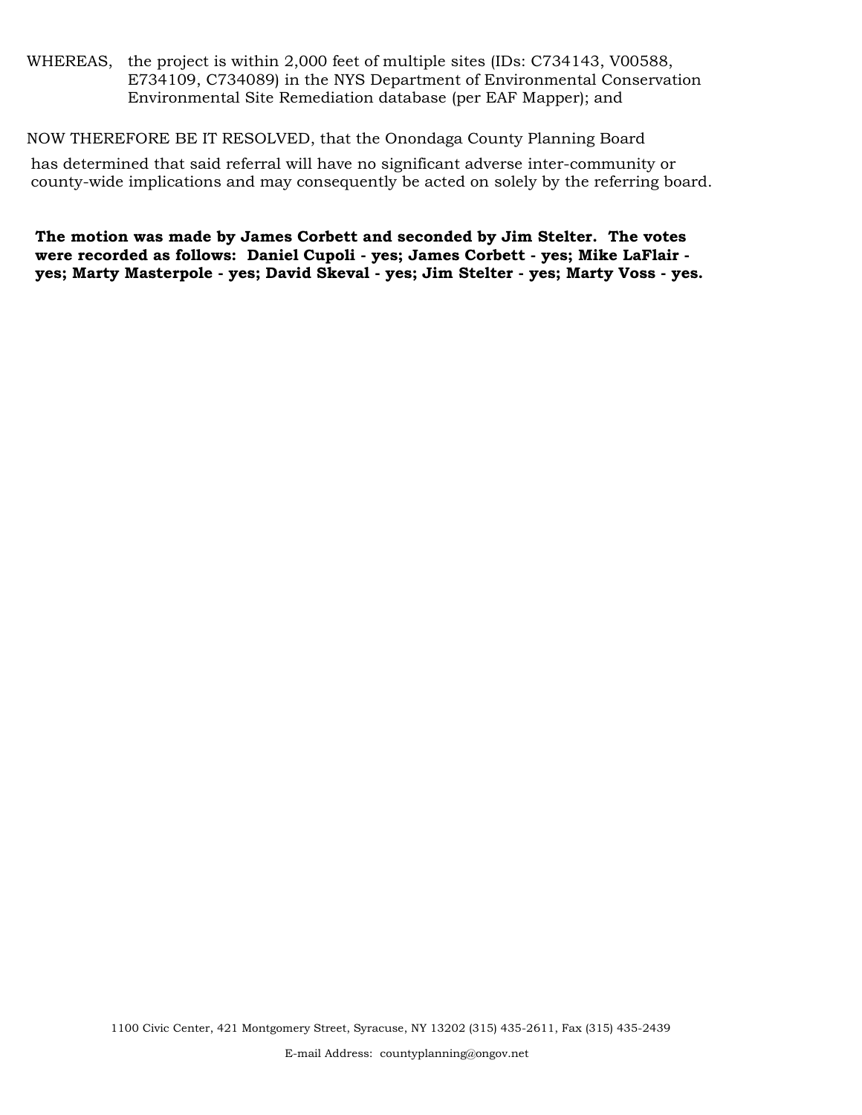WHEREAS, the project is within 2,000 feet of multiple sites (IDs: C734143, V00588, E734109, C734089) in the NYS Department of Environmental Conservation Environmental Site Remediation database (per EAF Mapper); and

NOW THEREFORE BE IT RESOLVED, that the Onondaga County Planning Board

has determined that said referral will have no significant adverse inter-community or county-wide implications and may consequently be acted on solely by the referring board.

**The motion was made by James Corbett and seconded by Jim Stelter. The votes were recorded as follows: Daniel Cupoli - yes; James Corbett - yes; Mike LaFlair yes; Marty Masterpole - yes; David Skeval - yes; Jim Stelter - yes; Marty Voss - yes.**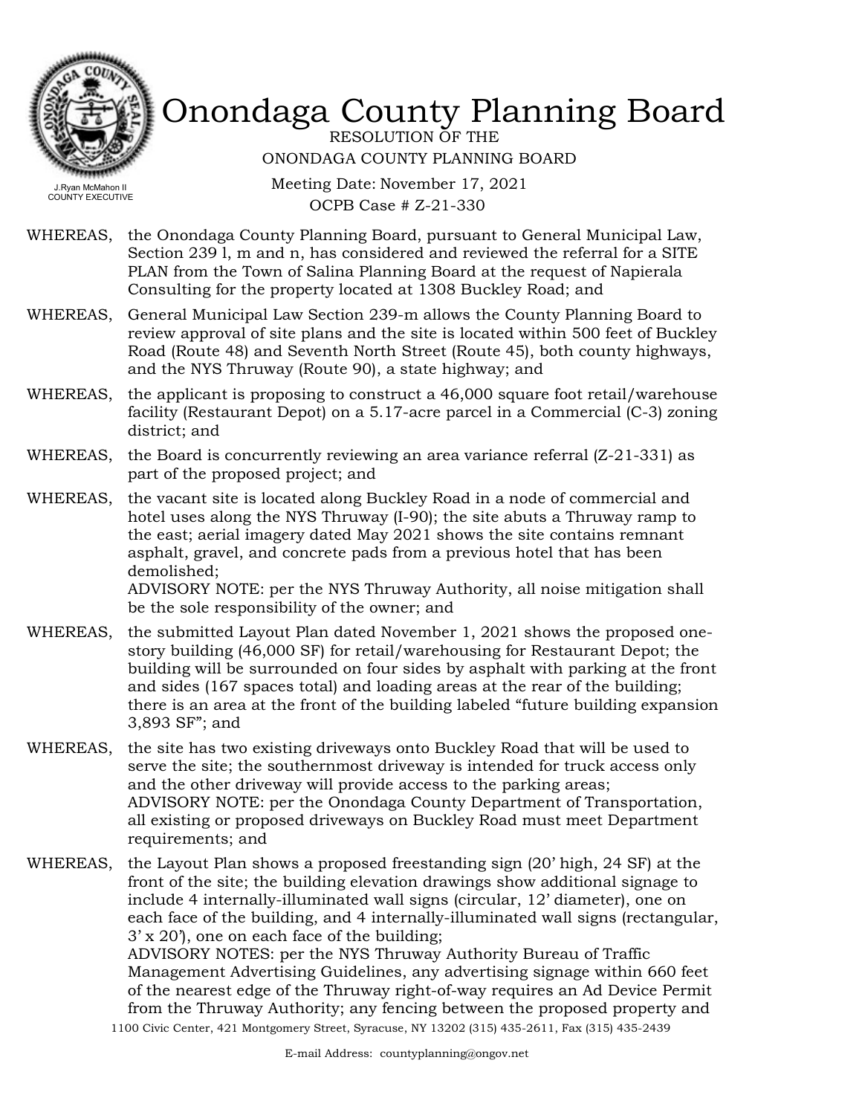

RESOLUTION OF THE ONONDAGA COUNTY PLANNING BOARD

Meeting Date: November 17, 2021 OCPB Case # Z-21-330

- WHEREAS, the Onondaga County Planning Board, pursuant to General Municipal Law, Section 239 l, m and n, has considered and reviewed the referral for a SITE PLAN from the Town of Salina Planning Board at the request of Napierala Consulting for the property located at 1308 Buckley Road; and
- WHEREAS, General Municipal Law Section 239-m allows the County Planning Board to review approval of site plans and the site is located within 500 feet of Buckley Road (Route 48) and Seventh North Street (Route 45), both county highways, and the NYS Thruway (Route 90), a state highway; and
- WHEREAS, the applicant is proposing to construct a 46,000 square foot retail/warehouse facility (Restaurant Depot) on a 5.17-acre parcel in a Commercial (C-3) zoning district; and
- WHEREAS, the Board is concurrently reviewing an area variance referral  $(Z-21-331)$  as part of the proposed project; and
- WHEREAS, the vacant site is located along Buckley Road in a node of commercial and hotel uses along the NYS Thruway (I-90); the site abuts a Thruway ramp to the east; aerial imagery dated May 2021 shows the site contains remnant asphalt, gravel, and concrete pads from a previous hotel that has been demolished; ADVISORY NOTE: per the NYS Thruway Authority, all noise mitigation shall be the sole responsibility of the owner; and
- WHEREAS, the submitted Layout Plan dated November 1, 2021 shows the proposed onestory building (46,000 SF) for retail/warehousing for Restaurant Depot; the building will be surrounded on four sides by asphalt with parking at the front and sides (167 spaces total) and loading areas at the rear of the building; there is an area at the front of the building labeled "future building expansion 3,893 SF"; and
- WHEREAS, the site has two existing driveways onto Buckley Road that will be used to serve the site; the southernmost driveway is intended for truck access only and the other driveway will provide access to the parking areas; ADVISORY NOTE: per the Onondaga County Department of Transportation, all existing or proposed driveways on Buckley Road must meet Department requirements; and
- WHEREAS, the Layout Plan shows a proposed freestanding sign (20' high, 24 SF) at the front of the site; the building elevation drawings show additional signage to include 4 internally-illuminated wall signs (circular, 12' diameter), one on each face of the building, and 4 internally-illuminated wall signs (rectangular, 3' x 20'), one on each face of the building;

ADVISORY NOTES: per the NYS Thruway Authority Bureau of Traffic Management Advertising Guidelines, any advertising signage within 660 feet of the nearest edge of the Thruway right-of-way requires an Ad Device Permit from the Thruway Authority; any fencing between the proposed property and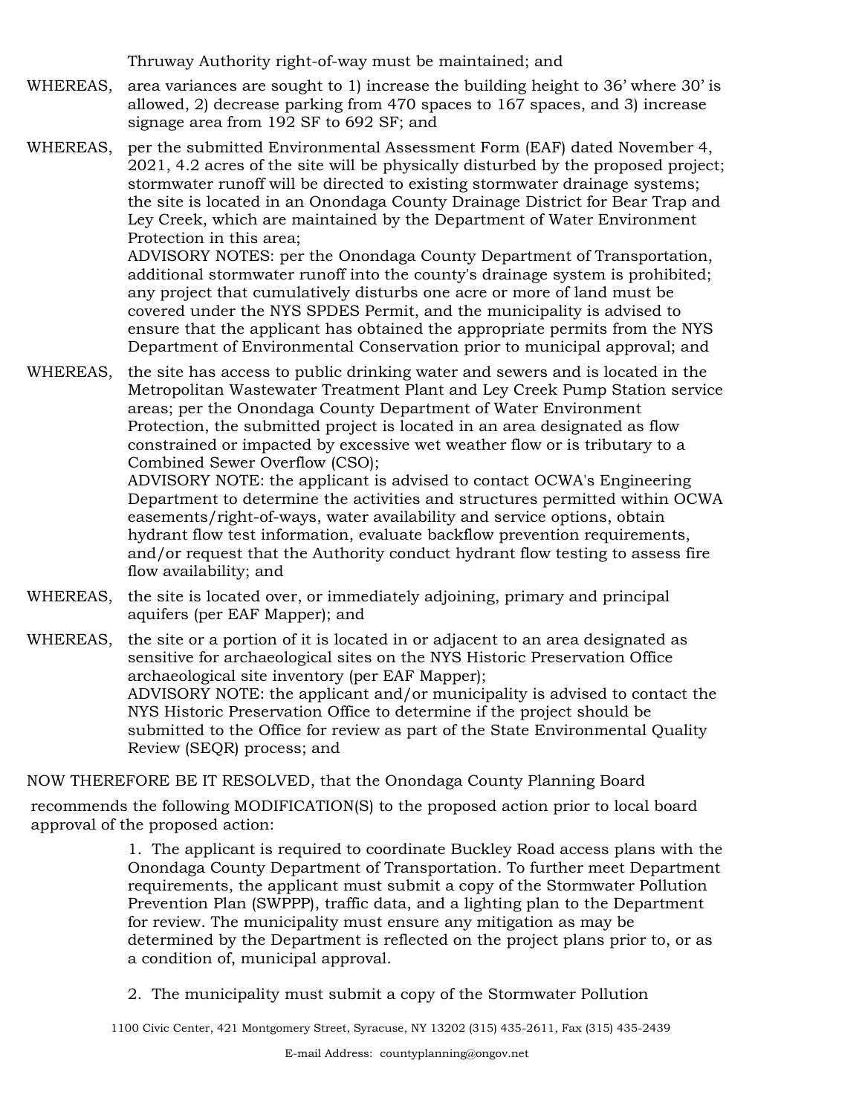Thruway Authority right-of-way must be maintained; and

- WHEREAS, area variances are sought to 1) increase the building height to  $36'$  where  $30'$  is allowed, 2) decrease parking from 470 spaces to 167 spaces, and 3) increase signage area from 192 SF to 692 SF; and
- WHEREAS, per the submitted Environmental Assessment Form (EAF) dated November 4, 2021, 4.2 acres of the site will be physically disturbed by the proposed project; stormwater runoff will be directed to existing stormwater drainage systems; the site is located in an Onondaga County Drainage District for Bear Trap and Ley Creek, which are maintained by the Department of Water Environment Protection in this area;

ADVISORY NOTES: per the Onondaga County Department of Transportation, additional stormwater runoff into the county's drainage system is prohibited; any project that cumulatively disturbs one acre or more of land must be covered under the NYS SPDES Permit, and the municipality is advised to ensure that the applicant has obtained the appropriate permits from the NYS Department of Environmental Conservation prior to municipal approval; and

WHEREAS, the site has access to public drinking water and sewers and is located in the Metropolitan Wastewater Treatment Plant and Ley Creek Pump Station service areas; per the Onondaga County Department of Water Environment Protection, the submitted project is located in an area designated as flow constrained or impacted by excessive wet weather flow or is tributary to a Combined Sewer Overflow (CSO);

ADVISORY NOTE: the applicant is advised to contact OCWA's Engineering Department to determine the activities and structures permitted within OCWA easements/right-of-ways, water availability and service options, obtain hydrant flow test information, evaluate backflow prevention requirements, and/or request that the Authority conduct hydrant flow testing to assess fire flow availability; and

- WHEREAS, the site is located over, or immediately adjoining, primary and principal aquifers (per EAF Mapper); and
- WHEREAS, the site or a portion of it is located in or adjacent to an area designated as sensitive for archaeological sites on the NYS Historic Preservation Office archaeological site inventory (per EAF Mapper); ADVISORY NOTE: the applicant and/or municipality is advised to contact the NYS Historic Preservation Office to determine if the project should be submitted to the Office for review as part of the State Environmental Quality Review (SEQR) process; and

NOW THEREFORE BE IT RESOLVED, that the Onondaga County Planning Board

recommends the following MODIFICATION(S) to the proposed action prior to local board approval of the proposed action:

> 1. The applicant is required to coordinate Buckley Road access plans with the Onondaga County Department of Transportation. To further meet Department requirements, the applicant must submit a copy of the Stormwater Pollution Prevention Plan (SWPPP), traffic data, and a lighting plan to the Department for review. The municipality must ensure any mitigation as may be determined by the Department is reflected on the project plans prior to, or as a condition of, municipal approval.

2. The municipality must submit a copy of the Stormwater Pollution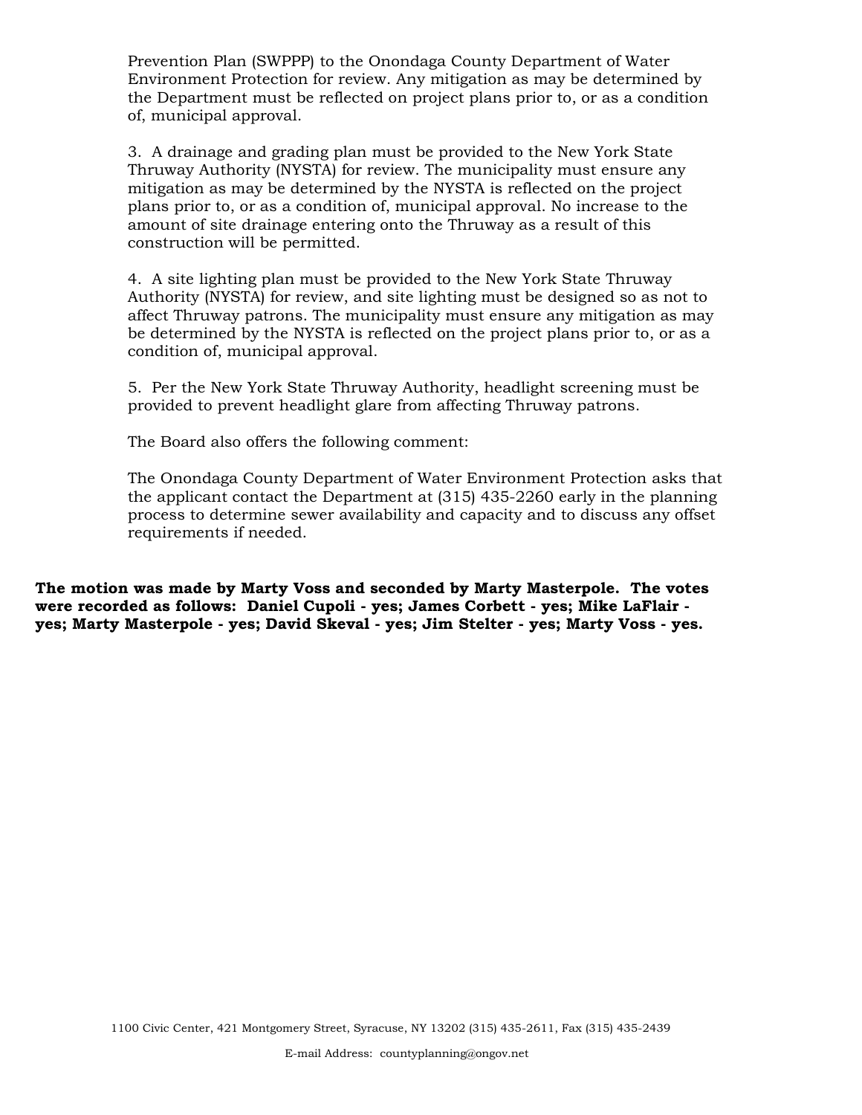Prevention Plan (SWPPP) to the Onondaga County Department of Water Environment Protection for review. Any mitigation as may be determined by the Department must be reflected on project plans prior to, or as a condition of, municipal approval.

3. A drainage and grading plan must be provided to the New York State Thruway Authority (NYSTA) for review. The municipality must ensure any mitigation as may be determined by the NYSTA is reflected on the project plans prior to, or as a condition of, municipal approval. No increase to the amount of site drainage entering onto the Thruway as a result of this construction will be permitted.

4. A site lighting plan must be provided to the New York State Thruway Authority (NYSTA) for review, and site lighting must be designed so as not to affect Thruway patrons. The municipality must ensure any mitigation as may be determined by the NYSTA is reflected on the project plans prior to, or as a condition of, municipal approval.

5. Per the New York State Thruway Authority, headlight screening must be provided to prevent headlight glare from affecting Thruway patrons.

The Board also offers the following comment:

The Onondaga County Department of Water Environment Protection asks that the applicant contact the Department at (315) 435-2260 early in the planning process to determine sewer availability and capacity and to discuss any offset requirements if needed.

**The motion was made by Marty Voss and seconded by Marty Masterpole. The votes were recorded as follows: Daniel Cupoli - yes; James Corbett - yes; Mike LaFlair yes; Marty Masterpole - yes; David Skeval - yes; Jim Stelter - yes; Marty Voss - yes.**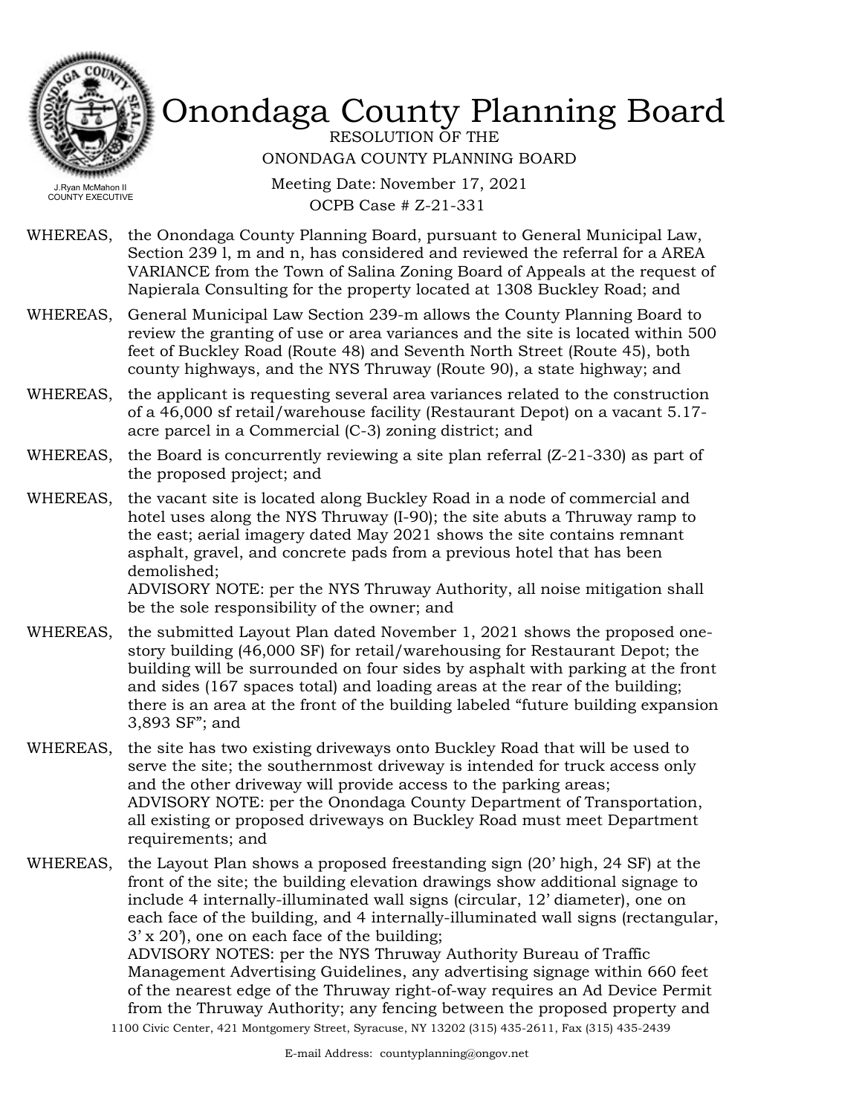

RESOLUTION OF THE ONONDAGA COUNTY PLANNING BOARD

Meeting Date: November 17, 2021 OCPB Case # Z-21-331

WHEREAS, the Onondaga County Planning Board, pursuant to General Municipal Law, Section 239 l, m and n, has considered and reviewed the referral for a AREA VARIANCE from the Town of Salina Zoning Board of Appeals at the request of Napierala Consulting for the property located at 1308 Buckley Road; and

- WHEREAS, General Municipal Law Section 239-m allows the County Planning Board to review the granting of use or area variances and the site is located within 500 feet of Buckley Road (Route 48) and Seventh North Street (Route 45), both county highways, and the NYS Thruway (Route 90), a state highway; and
- WHEREAS, the applicant is requesting several area variances related to the construction of a 46,000 sf retail/warehouse facility (Restaurant Depot) on a vacant 5.17 acre parcel in a Commercial (C-3) zoning district; and
- WHEREAS, the Board is concurrently reviewing a site plan referral  $(Z-21-330)$  as part of the proposed project; and
- WHEREAS, the vacant site is located along Buckley Road in a node of commercial and hotel uses along the NYS Thruway (I-90); the site abuts a Thruway ramp to the east; aerial imagery dated May 2021 shows the site contains remnant asphalt, gravel, and concrete pads from a previous hotel that has been demolished; ADVISORY NOTE: per the NYS Thruway Authority, all noise mitigation shall be the sole responsibility of the owner; and
- WHEREAS, the submitted Layout Plan dated November 1, 2021 shows the proposed onestory building (46,000 SF) for retail/warehousing for Restaurant Depot; the building will be surrounded on four sides by asphalt with parking at the front and sides (167 spaces total) and loading areas at the rear of the building; there is an area at the front of the building labeled "future building expansion 3,893 SF"; and
- WHEREAS, the site has two existing driveways onto Buckley Road that will be used to serve the site; the southernmost driveway is intended for truck access only and the other driveway will provide access to the parking areas; ADVISORY NOTE: per the Onondaga County Department of Transportation, all existing or proposed driveways on Buckley Road must meet Department requirements; and
- WHEREAS, the Layout Plan shows a proposed freestanding sign (20' high, 24 SF) at the front of the site; the building elevation drawings show additional signage to include 4 internally-illuminated wall signs (circular, 12' diameter), one on each face of the building, and 4 internally-illuminated wall signs (rectangular, 3' x 20'), one on each face of the building;

ADVISORY NOTES: per the NYS Thruway Authority Bureau of Traffic Management Advertising Guidelines, any advertising signage within 660 feet of the nearest edge of the Thruway right-of-way requires an Ad Device Permit from the Thruway Authority; any fencing between the proposed property and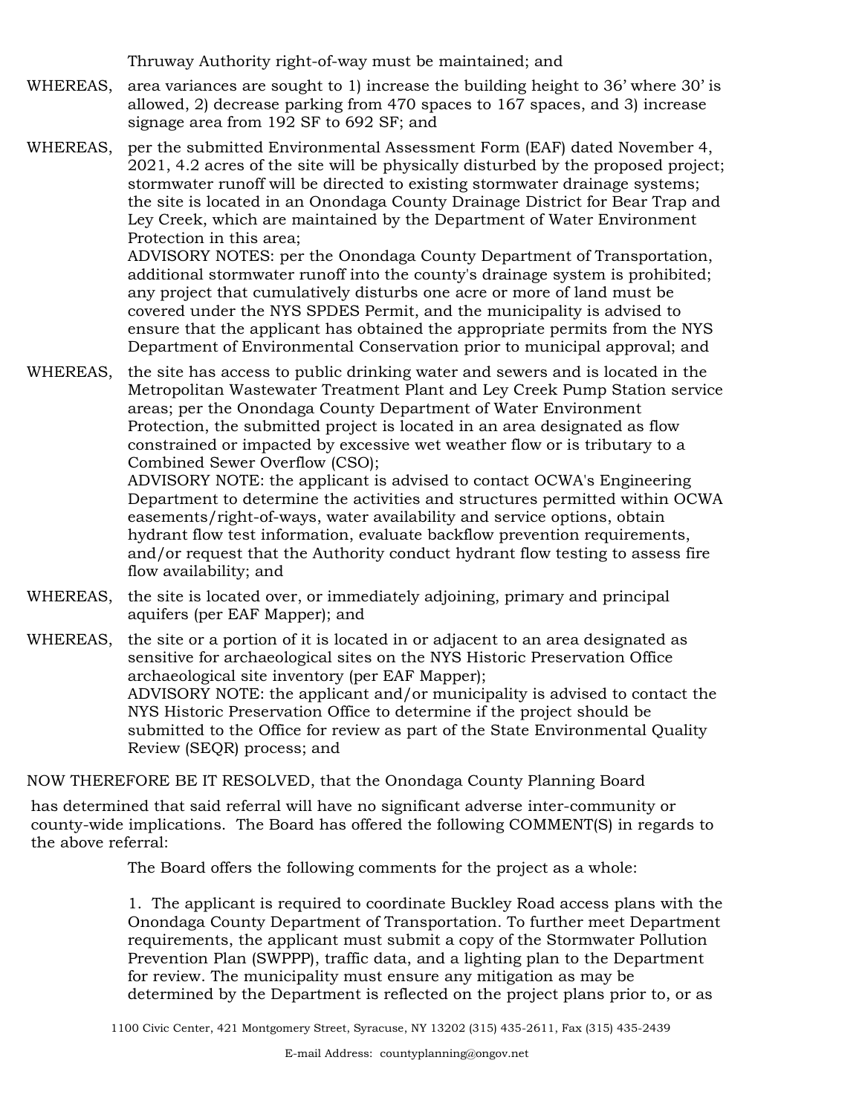Thruway Authority right-of-way must be maintained; and

- WHEREAS, area variances are sought to 1) increase the building height to  $36'$  where  $30'$  is allowed, 2) decrease parking from 470 spaces to 167 spaces, and 3) increase signage area from 192 SF to 692 SF; and
- WHEREAS, per the submitted Environmental Assessment Form (EAF) dated November 4, 2021, 4.2 acres of the site will be physically disturbed by the proposed project; stormwater runoff will be directed to existing stormwater drainage systems; the site is located in an Onondaga County Drainage District for Bear Trap and Ley Creek, which are maintained by the Department of Water Environment Protection in this area;

ADVISORY NOTES: per the Onondaga County Department of Transportation, additional stormwater runoff into the county's drainage system is prohibited; any project that cumulatively disturbs one acre or more of land must be covered under the NYS SPDES Permit, and the municipality is advised to ensure that the applicant has obtained the appropriate permits from the NYS Department of Environmental Conservation prior to municipal approval; and

WHEREAS, the site has access to public drinking water and sewers and is located in the Metropolitan Wastewater Treatment Plant and Ley Creek Pump Station service areas; per the Onondaga County Department of Water Environment Protection, the submitted project is located in an area designated as flow constrained or impacted by excessive wet weather flow or is tributary to a Combined Sewer Overflow (CSO);

ADVISORY NOTE: the applicant is advised to contact OCWA's Engineering Department to determine the activities and structures permitted within OCWA easements/right-of-ways, water availability and service options, obtain hydrant flow test information, evaluate backflow prevention requirements, and/or request that the Authority conduct hydrant flow testing to assess fire flow availability; and

- WHEREAS, the site is located over, or immediately adjoining, primary and principal aquifers (per EAF Mapper); and
- WHEREAS, the site or a portion of it is located in or adjacent to an area designated as sensitive for archaeological sites on the NYS Historic Preservation Office archaeological site inventory (per EAF Mapper); ADVISORY NOTE: the applicant and/or municipality is advised to contact the NYS Historic Preservation Office to determine if the project should be submitted to the Office for review as part of the State Environmental Quality Review (SEQR) process; and

NOW THEREFORE BE IT RESOLVED, that the Onondaga County Planning Board

has determined that said referral will have no significant adverse inter-community or county-wide implications. The Board has offered the following COMMENT(S) in regards to the above referral:

The Board offers the following comments for the project as a whole:

1. The applicant is required to coordinate Buckley Road access plans with the Onondaga County Department of Transportation. To further meet Department requirements, the applicant must submit a copy of the Stormwater Pollution Prevention Plan (SWPPP), traffic data, and a lighting plan to the Department for review. The municipality must ensure any mitigation as may be determined by the Department is reflected on the project plans prior to, or as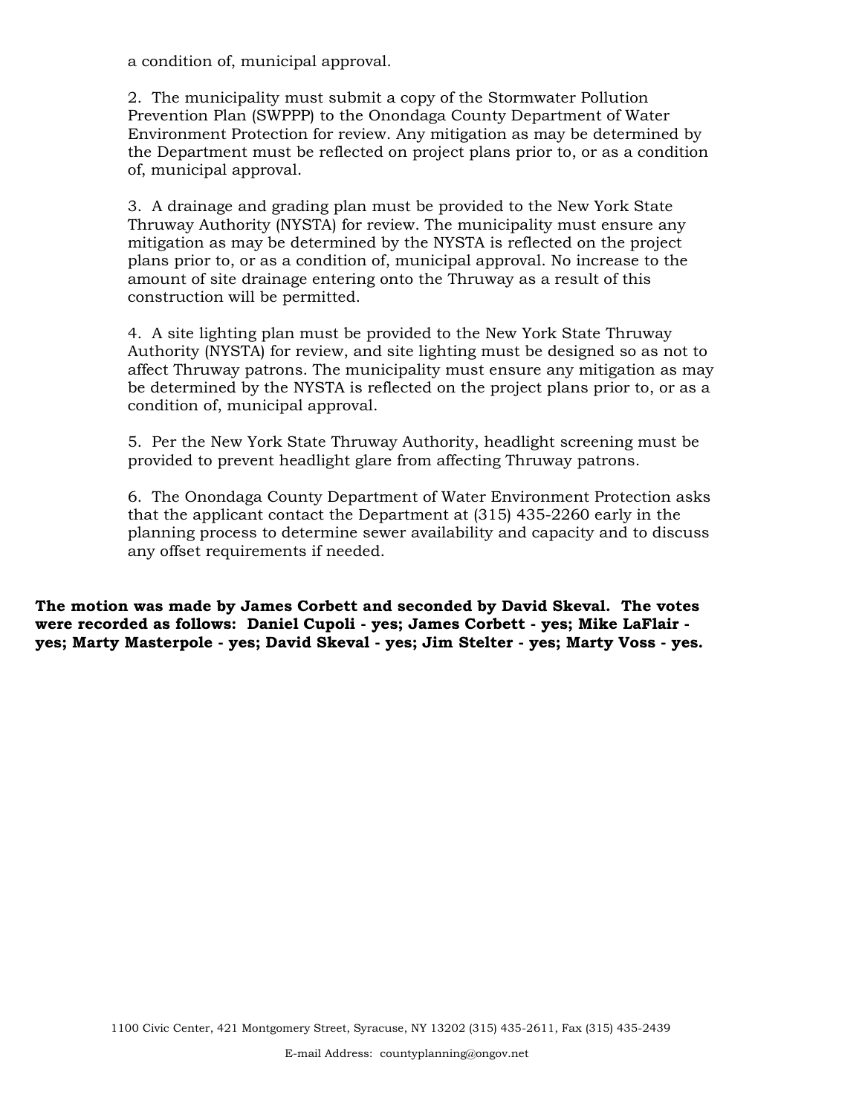a condition of, municipal approval.

2. The municipality must submit a copy of the Stormwater Pollution Prevention Plan (SWPPP) to the Onondaga County Department of Water Environment Protection for review. Any mitigation as may be determined by the Department must be reflected on project plans prior to, or as a condition of, municipal approval.

3. A drainage and grading plan must be provided to the New York State Thruway Authority (NYSTA) for review. The municipality must ensure any mitigation as may be determined by the NYSTA is reflected on the project plans prior to, or as a condition of, municipal approval. No increase to the amount of site drainage entering onto the Thruway as a result of this construction will be permitted.

4. A site lighting plan must be provided to the New York State Thruway Authority (NYSTA) for review, and site lighting must be designed so as not to affect Thruway patrons. The municipality must ensure any mitigation as may be determined by the NYSTA is reflected on the project plans prior to, or as a condition of, municipal approval.

5. Per the New York State Thruway Authority, headlight screening must be provided to prevent headlight glare from affecting Thruway patrons.

6. The Onondaga County Department of Water Environment Protection asks that the applicant contact the Department at (315) 435-2260 early in the planning process to determine sewer availability and capacity and to discuss any offset requirements if needed.

**The motion was made by James Corbett and seconded by David Skeval. The votes were recorded as follows: Daniel Cupoli - yes; James Corbett - yes; Mike LaFlair yes; Marty Masterpole - yes; David Skeval - yes; Jim Stelter - yes; Marty Voss - yes.**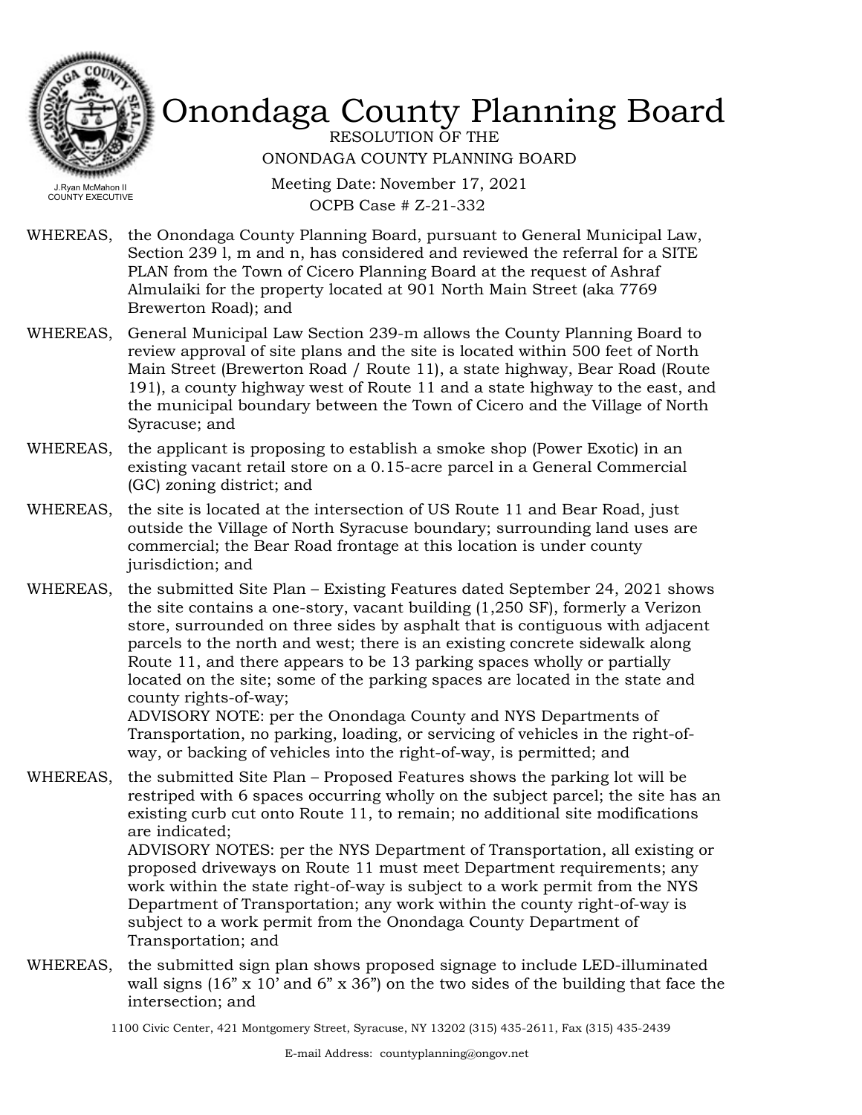

RESOLUTION OF THE ONONDAGA COUNTY PLANNING BOARD

Meeting Date: November 17, 2021 OCPB Case # Z-21-332

- WHEREAS, the Onondaga County Planning Board, pursuant to General Municipal Law, Section 239 l, m and n, has considered and reviewed the referral for a SITE PLAN from the Town of Cicero Planning Board at the request of Ashraf Almulaiki for the property located at 901 North Main Street (aka 7769 Brewerton Road); and
- WHEREAS, General Municipal Law Section 239-m allows the County Planning Board to review approval of site plans and the site is located within 500 feet of North Main Street (Brewerton Road / Route 11), a state highway, Bear Road (Route 191), a county highway west of Route 11 and a state highway to the east, and the municipal boundary between the Town of Cicero and the Village of North Syracuse; and
- WHEREAS, the applicant is proposing to establish a smoke shop (Power Exotic) in an existing vacant retail store on a 0.15-acre parcel in a General Commercial (GC) zoning district; and
- WHEREAS, the site is located at the intersection of US Route 11 and Bear Road, just outside the Village of North Syracuse boundary; surrounding land uses are commercial; the Bear Road frontage at this location is under county jurisdiction; and
- the submitted Site Plan Existing Features dated September 24, 2021 shows the site contains a one-story, vacant building (1,250 SF), formerly a Verizon store, surrounded on three sides by asphalt that is contiguous with adjacent parcels to the north and west; there is an existing concrete sidewalk along Route 11, and there appears to be 13 parking spaces wholly or partially located on the site; some of the parking spaces are located in the state and county rights-of-way; WHEREAS,

ADVISORY NOTE: per the Onondaga County and NYS Departments of Transportation, no parking, loading, or servicing of vehicles in the right-ofway, or backing of vehicles into the right-of-way, is permitted; and

WHEREAS, the submitted Site Plan – Proposed Features shows the parking lot will be restriped with 6 spaces occurring wholly on the subject parcel; the site has an existing curb cut onto Route 11, to remain; no additional site modifications are indicated; ADVISORY NOTES: per the NYS Department of Transportation, all existing or proposed driveways on Route 11 must meet Department requirements; any work within the state right-of-way is subject to a work permit from the NYS Department of Transportation; any work within the county right-of-way is subject to a work permit from the Onondaga County Department of

Transportation; and

WHEREAS, the submitted sign plan shows proposed signage to include LED-illuminated wall signs (16" x 10' and 6" x 36") on the two sides of the building that face the intersection; and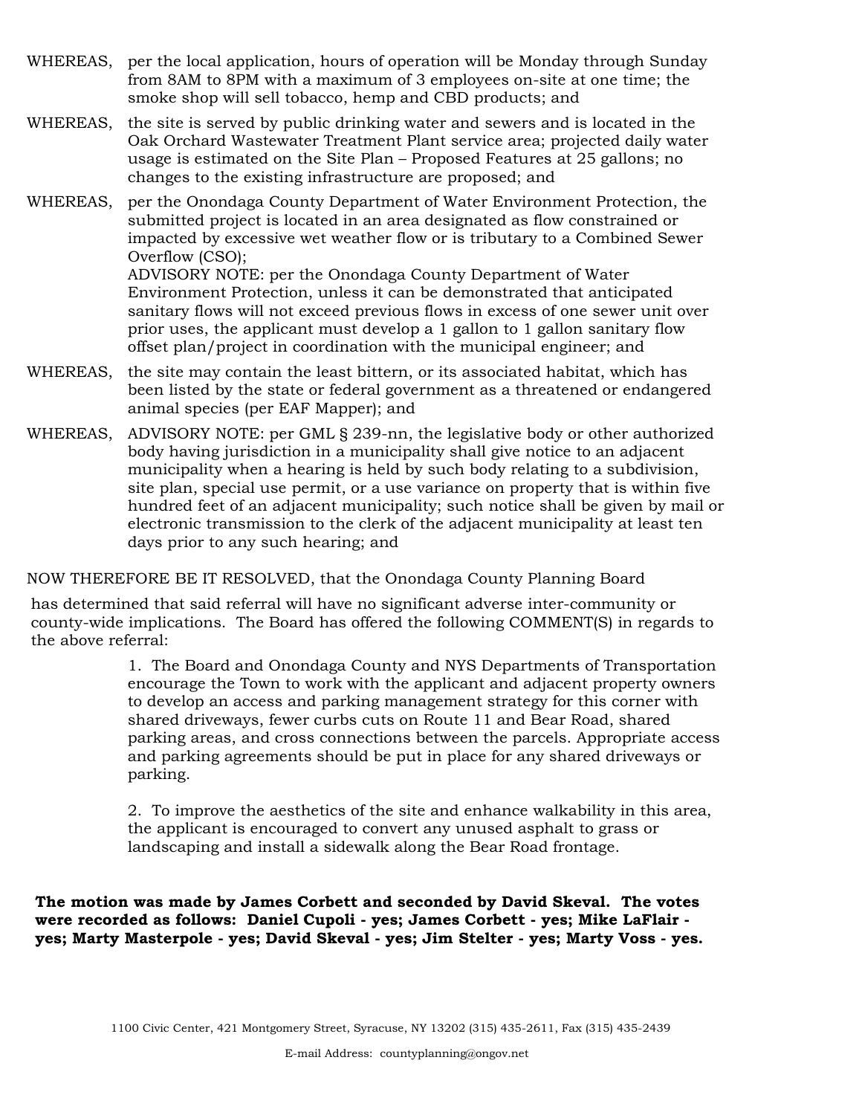- WHEREAS, per the local application, hours of operation will be Monday through Sunday from 8AM to 8PM with a maximum of 3 employees on-site at one time; the smoke shop will sell tobacco, hemp and CBD products; and
- WHEREAS, the site is served by public drinking water and sewers and is located in the Oak Orchard Wastewater Treatment Plant service area; projected daily water usage is estimated on the Site Plan – Proposed Features at 25 gallons; no changes to the existing infrastructure are proposed; and
- per the Onondaga County Department of Water Environment Protection, the submitted project is located in an area designated as flow constrained or impacted by excessive wet weather flow or is tributary to a Combined Sewer Overflow (CSO); WHEREAS,

ADVISORY NOTE: per the Onondaga County Department of Water Environment Protection, unless it can be demonstrated that anticipated sanitary flows will not exceed previous flows in excess of one sewer unit over prior uses, the applicant must develop a 1 gallon to 1 gallon sanitary flow offset plan/project in coordination with the municipal engineer; and

- WHEREAS, the site may contain the least bittern, or its associated habitat, which has been listed by the state or federal government as a threatened or endangered animal species (per EAF Mapper); and
- WHEREAS, ADVISORY NOTE: per GML § 239-nn, the legislative body or other authorized body having jurisdiction in a municipality shall give notice to an adjacent municipality when a hearing is held by such body relating to a subdivision, site plan, special use permit, or a use variance on property that is within five hundred feet of an adjacent municipality; such notice shall be given by mail or electronic transmission to the clerk of the adjacent municipality at least ten days prior to any such hearing; and

#### NOW THEREFORE BE IT RESOLVED, that the Onondaga County Planning Board

has determined that said referral will have no significant adverse inter-community or county-wide implications. The Board has offered the following COMMENT(S) in regards to the above referral:

> 1. The Board and Onondaga County and NYS Departments of Transportation encourage the Town to work with the applicant and adjacent property owners to develop an access and parking management strategy for this corner with shared driveways, fewer curbs cuts on Route 11 and Bear Road, shared parking areas, and cross connections between the parcels. Appropriate access and parking agreements should be put in place for any shared driveways or parking.

2. To improve the aesthetics of the site and enhance walkability in this area, the applicant is encouraged to convert any unused asphalt to grass or landscaping and install a sidewalk along the Bear Road frontage.

**The motion was made by James Corbett and seconded by David Skeval. The votes were recorded as follows: Daniel Cupoli - yes; James Corbett - yes; Mike LaFlair yes; Marty Masterpole - yes; David Skeval - yes; Jim Stelter - yes; Marty Voss - yes.**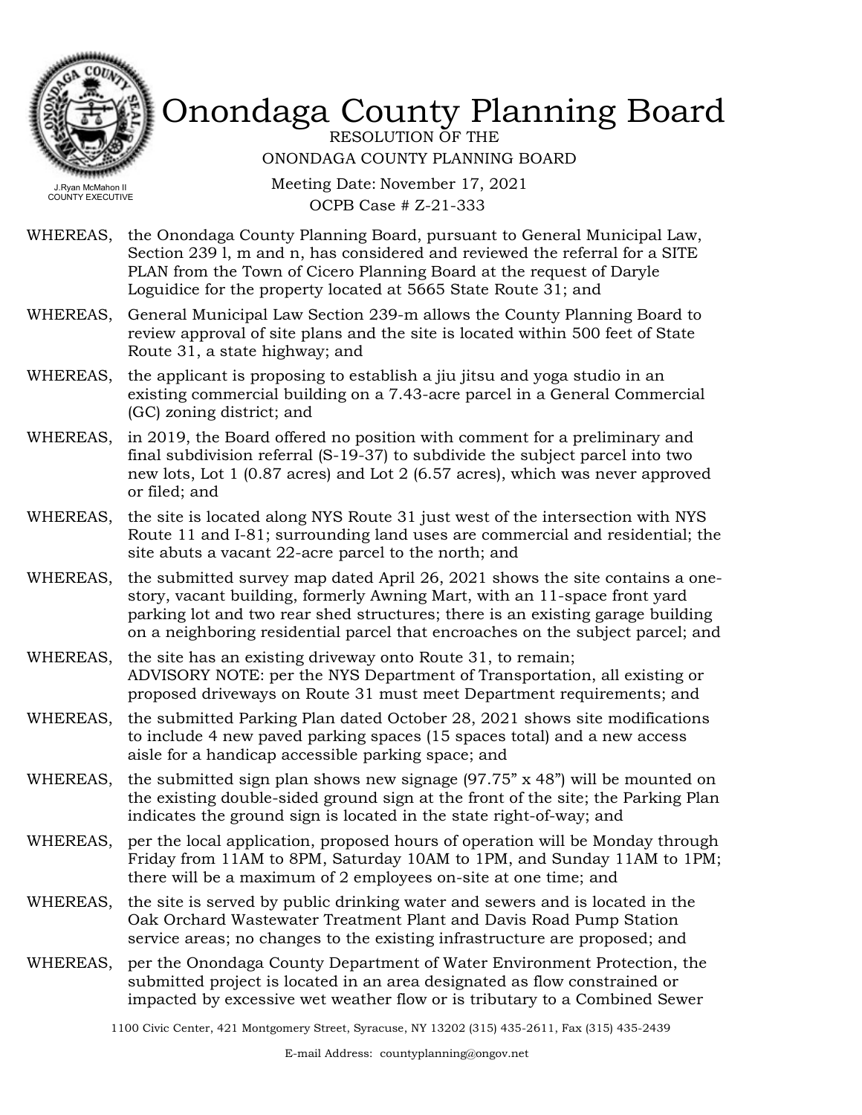

RESOLUTION OF THE ONONDAGA COUNTY PLANNING BOARD

Meeting Date: November 17, 2021 OCPB Case # Z-21-333

- WHEREAS, the Onondaga County Planning Board, pursuant to General Municipal Law, Section 239 l, m and n, has considered and reviewed the referral for a SITE PLAN from the Town of Cicero Planning Board at the request of Daryle Loguidice for the property located at 5665 State Route 31; and
- WHEREAS, General Municipal Law Section 239-m allows the County Planning Board to review approval of site plans and the site is located within 500 feet of State Route 31, a state highway; and
- WHEREAS, the applicant is proposing to establish a jiu jitsu and yoga studio in an existing commercial building on a 7.43-acre parcel in a General Commercial (GC) zoning district; and
- WHEREAS, in 2019, the Board offered no position with comment for a preliminary and final subdivision referral (S-19-37) to subdivide the subject parcel into two new lots, Lot 1 (0.87 acres) and Lot 2 (6.57 acres), which was never approved or filed; and
- WHEREAS, the site is located along NYS Route 31 just west of the intersection with NYS Route 11 and I-81; surrounding land uses are commercial and residential; the site abuts a vacant 22-acre parcel to the north; and
- WHEREAS, the submitted survey map dated April 26, 2021 shows the site contains a onestory, vacant building, formerly Awning Mart, with an 11-space front yard parking lot and two rear shed structures; there is an existing garage building on a neighboring residential parcel that encroaches on the subject parcel; and
- WHEREAS, the site has an existing driveway onto Route 31, to remain; ADVISORY NOTE: per the NYS Department of Transportation, all existing or proposed driveways on Route 31 must meet Department requirements; and
- WHEREAS, the submitted Parking Plan dated October 28, 2021 shows site modifications to include 4 new paved parking spaces (15 spaces total) and a new access aisle for a handicap accessible parking space; and
- WHEREAS, the submitted sign plan shows new signage  $(97.75" \times 48")$  will be mounted on the existing double-sided ground sign at the front of the site; the Parking Plan indicates the ground sign is located in the state right-of-way; and
- WHEREAS, per the local application, proposed hours of operation will be Monday through Friday from 11AM to 8PM, Saturday 10AM to 1PM, and Sunday 11AM to 1PM; there will be a maximum of 2 employees on-site at one time; and
- WHEREAS, the site is served by public drinking water and sewers and is located in the Oak Orchard Wastewater Treatment Plant and Davis Road Pump Station service areas; no changes to the existing infrastructure are proposed; and
- WHEREAS, per the Onondaga County Department of Water Environment Protection, the submitted project is located in an area designated as flow constrained or impacted by excessive wet weather flow or is tributary to a Combined Sewer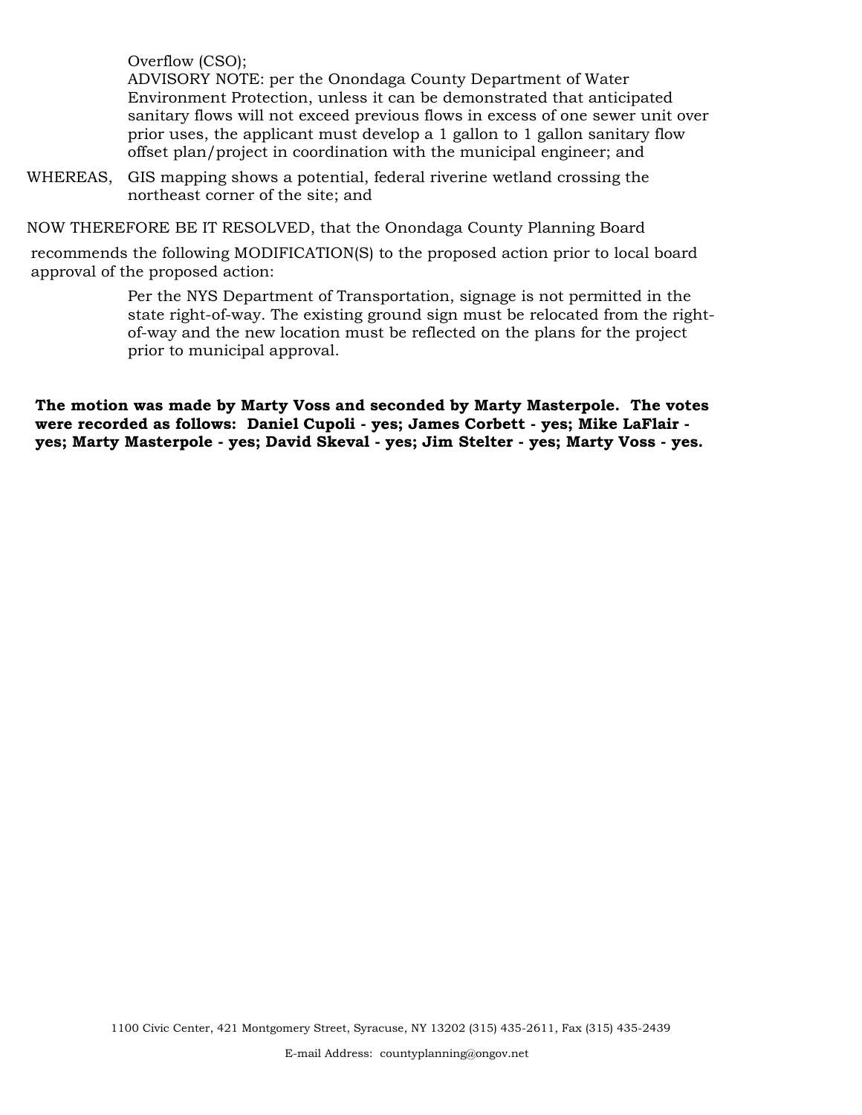Overflow (CSO); ADVISORY NOTE: per the Onondaga County Department of Water Environment Protection, unless it can be demonstrated that anticipated sanitary flows will not exceed previous flows in excess of one sewer unit over prior uses, the applicant must develop a 1 gallon to 1 gallon sanitary flow offset plan/project in coordination with the municipal engineer; and

WHEREAS, GIS mapping shows a potential, federal riverine wetland crossing the northeast corner of the site; and

NOW THEREFORE BE IT RESOLVED, that the Onondaga County Planning Board

recommends the following MODIFICATION(S) to the proposed action prior to local board approval of the proposed action:

> Per the NYS Department of Transportation, signage is not permitted in the state right-of-way. The existing ground sign must be relocated from the rightof-way and the new location must be reflected on the plans for the project prior to municipal approval.

**The motion was made by Marty Voss and seconded by Marty Masterpole. The votes were recorded as follows: Daniel Cupoli - yes; James Corbett - yes; Mike LaFlair yes; Marty Masterpole - yes; David Skeval - yes; Jim Stelter - yes; Marty Voss - yes.**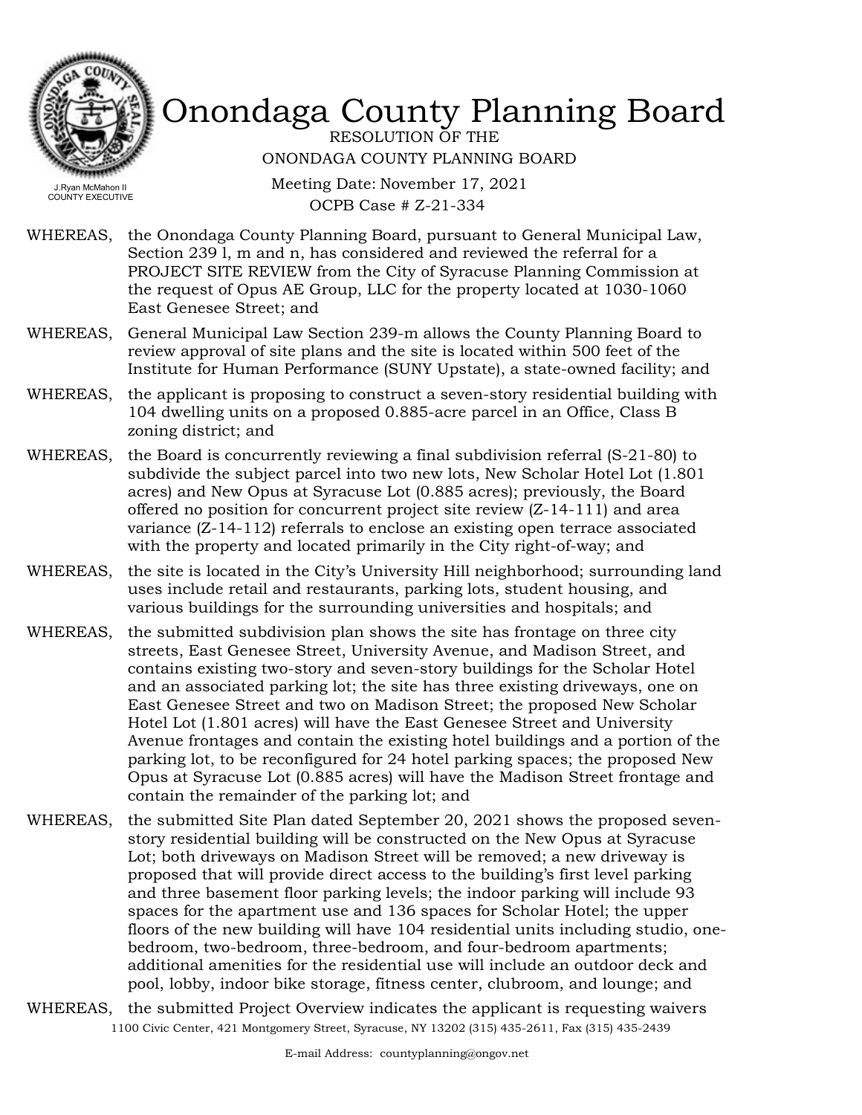

RESOLUTION OF THE ONONDAGA COUNTY PLANNING BOARD

Meeting Date: November 17, 2021 OCPB Case # Z-21-334

- WHEREAS, the Onondaga County Planning Board, pursuant to General Municipal Law, Section 239 l, m and n, has considered and reviewed the referral for a PROJECT SITE REVIEW from the City of Syracuse Planning Commission at the request of Opus AE Group, LLC for the property located at 1030-1060 East Genesee Street; and
- WHEREAS, General Municipal Law Section 239-m allows the County Planning Board to review approval of site plans and the site is located within 500 feet of the Institute for Human Performance (SUNY Upstate), a state-owned facility; and
- WHEREAS, the applicant is proposing to construct a seven-story residential building with 104 dwelling units on a proposed 0.885-acre parcel in an Office, Class B zoning district; and
- WHEREAS, the Board is concurrently reviewing a final subdivision referral (S-21-80) to subdivide the subject parcel into two new lots, New Scholar Hotel Lot (1.801 acres) and New Opus at Syracuse Lot (0.885 acres); previously, the Board offered no position for concurrent project site review (Z-14-111) and area variance (Z-14-112) referrals to enclose an existing open terrace associated with the property and located primarily in the City right-of-way; and
- WHEREAS, the site is located in the City's University Hill neighborhood; surrounding land uses include retail and restaurants, parking lots, student housing, and various buildings for the surrounding universities and hospitals; and
- WHEREAS, the submitted subdivision plan shows the site has frontage on three city streets, East Genesee Street, University Avenue, and Madison Street, and contains existing two-story and seven-story buildings for the Scholar Hotel and an associated parking lot; the site has three existing driveways, one on East Genesee Street and two on Madison Street; the proposed New Scholar Hotel Lot (1.801 acres) will have the East Genesee Street and University Avenue frontages and contain the existing hotel buildings and a portion of the parking lot, to be reconfigured for 24 hotel parking spaces; the proposed New Opus at Syracuse Lot (0.885 acres) will have the Madison Street frontage and contain the remainder of the parking lot; and
- the submitted Site Plan dated September 20, 2021 shows the proposed sevenstory residential building will be constructed on the New Opus at Syracuse Lot; both driveways on Madison Street will be removed; a new driveway is proposed that will provide direct access to the building's first level parking and three basement floor parking levels; the indoor parking will include 93 spaces for the apartment use and 136 spaces for Scholar Hotel; the upper floors of the new building will have 104 residential units including studio, onebedroom, two-bedroom, three-bedroom, and four-bedroom apartments; additional amenities for the residential use will include an outdoor deck and pool, lobby, indoor bike storage, fitness center, clubroom, and lounge; and WHEREAS,
- WHEREAS, the submitted Project Overview indicates the applicant is requesting waivers 1100 Civic Center, 421 Montgomery Street, Syracuse, NY 13202 (315) 435-2611, Fax (315) 435-2439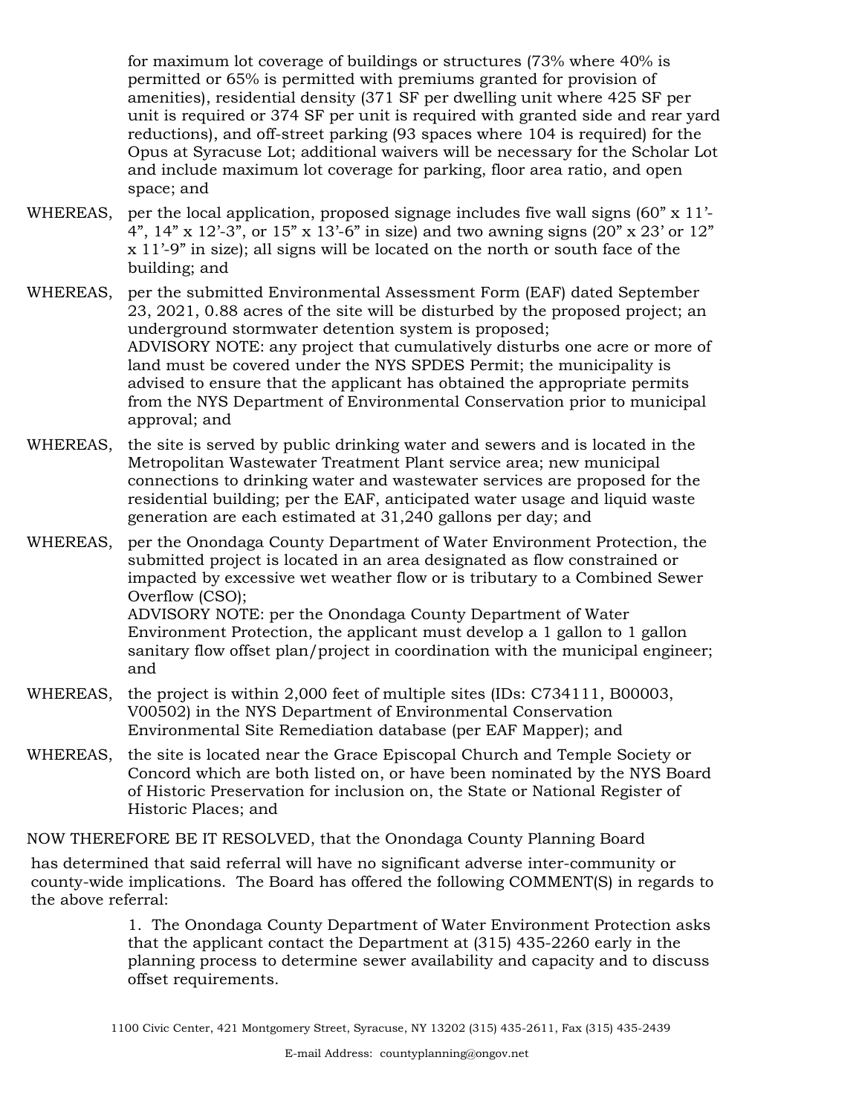for maximum lot coverage of buildings or structures (73% where 40% is permitted or 65% is permitted with premiums granted for provision of amenities), residential density (371 SF per dwelling unit where 425 SF per unit is required or 374 SF per unit is required with granted side and rear yard reductions), and off-street parking (93 spaces where 104 is required) for the Opus at Syracuse Lot; additional waivers will be necessary for the Scholar Lot and include maximum lot coverage for parking, floor area ratio, and open space; and

- WHEREAS, per the local application, proposed signage includes five wall signs  $(60" \times 11'$ -4", 14" x 12'-3", or 15" x 13'-6" in size) and two awning signs (20" x 23' or 12" x 11'-9" in size); all signs will be located on the north or south face of the building; and
- per the submitted Environmental Assessment Form (EAF) dated September 23, 2021, 0.88 acres of the site will be disturbed by the proposed project; an underground stormwater detention system is proposed; ADVISORY NOTE: any project that cumulatively disturbs one acre or more of land must be covered under the NYS SPDES Permit; the municipality is advised to ensure that the applicant has obtained the appropriate permits from the NYS Department of Environmental Conservation prior to municipal approval; and WHEREAS,
- WHEREAS, the site is served by public drinking water and sewers and is located in the Metropolitan Wastewater Treatment Plant service area; new municipal connections to drinking water and wastewater services are proposed for the residential building; per the EAF, anticipated water usage and liquid waste generation are each estimated at 31,240 gallons per day; and
- WHEREAS, per the Onondaga County Department of Water Environment Protection, the submitted project is located in an area designated as flow constrained or impacted by excessive wet weather flow or is tributary to a Combined Sewer Overflow (CSO); ADVISORY NOTE: per the Onondaga County Department of Water Environment Protection, the applicant must develop a 1 gallon to 1 gallon sanitary flow offset plan/project in coordination with the municipal engineer; and
- WHEREAS, the project is within 2,000 feet of multiple sites (IDs: C734111, B00003, V00502) in the NYS Department of Environmental Conservation Environmental Site Remediation database (per EAF Mapper); and
- WHEREAS, the site is located near the Grace Episcopal Church and Temple Society or Concord which are both listed on, or have been nominated by the NYS Board of Historic Preservation for inclusion on, the State or National Register of Historic Places; and

NOW THEREFORE BE IT RESOLVED, that the Onondaga County Planning Board

has determined that said referral will have no significant adverse inter-community or county-wide implications. The Board has offered the following COMMENT(S) in regards to the above referral:

> 1. The Onondaga County Department of Water Environment Protection asks that the applicant contact the Department at (315) 435-2260 early in the planning process to determine sewer availability and capacity and to discuss offset requirements.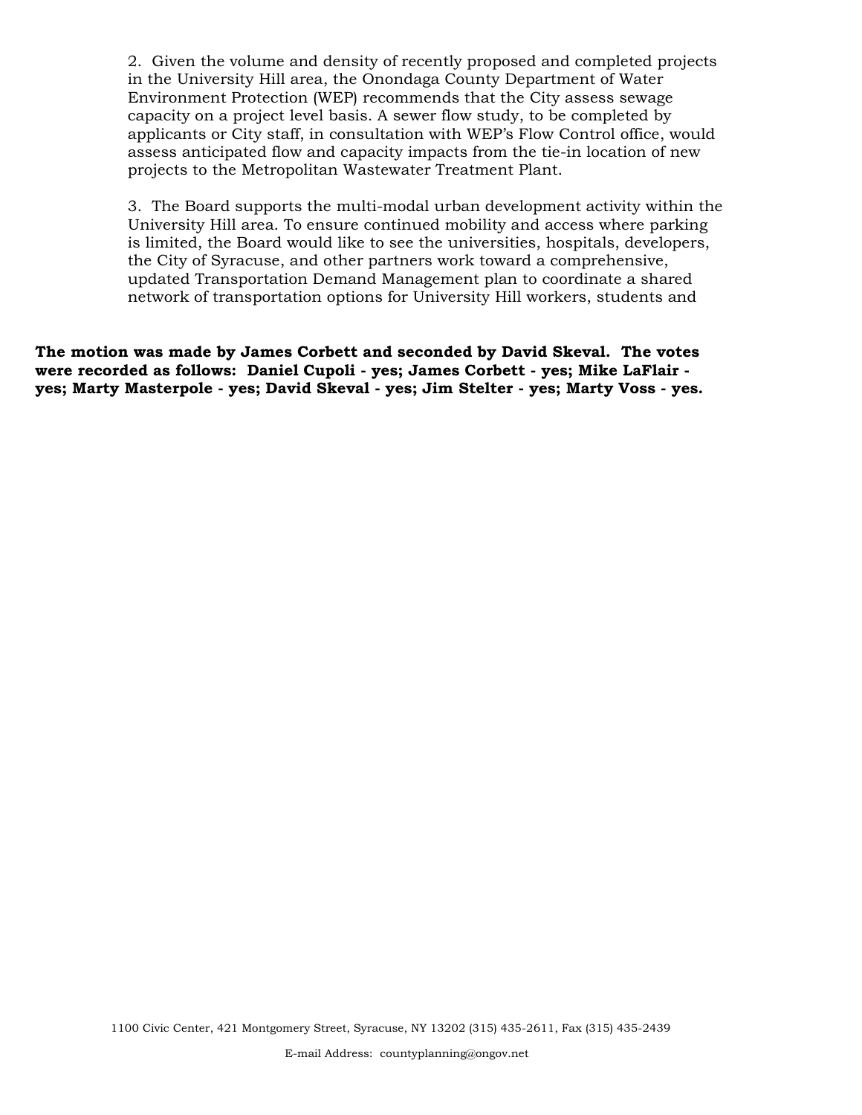2. Given the volume and density of recently proposed and completed projects in the University Hill area, the Onondaga County Department of Water Environment Protection (WEP) recommends that the City assess sewage capacity on a project level basis. A sewer flow study, to be completed by applicants or City staff, in consultation with WEP's Flow Control office, would assess anticipated flow and capacity impacts from the tie-in location of new projects to the Metropolitan Wastewater Treatment Plant.

3. The Board supports the multi-modal urban development activity within the University Hill area. To ensure continued mobility and access where parking is limited, the Board would like to see the universities, hospitals, developers, the City of Syracuse, and other partners work toward a comprehensive, updated Transportation Demand Management plan to coordinate a shared network of transportation options for University Hill workers, students and

**The motion was made by James Corbett and seconded by David Skeval. The votes were recorded as follows: Daniel Cupoli - yes; James Corbett - yes; Mike LaFlair yes; Marty Masterpole - yes; David Skeval - yes; Jim Stelter - yes; Marty Voss - yes.**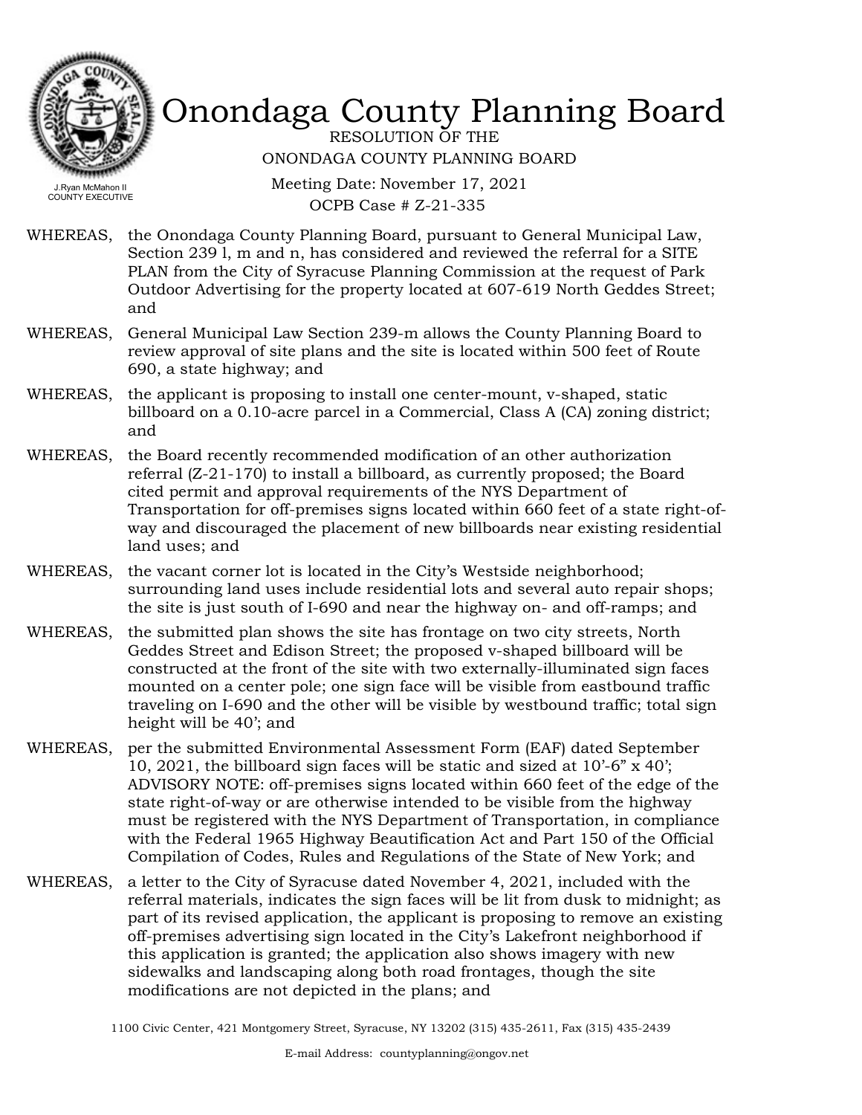

RESOLUTION OF THE ONONDAGA COUNTY PLANNING BOARD

Meeting Date: November 17, 2021 OCPB Case # Z-21-335

WHEREAS, the Onondaga County Planning Board, pursuant to General Municipal Law, Section 239 l, m and n, has considered and reviewed the referral for a SITE PLAN from the City of Syracuse Planning Commission at the request of Park Outdoor Advertising for the property located at 607-619 North Geddes Street; and

- WHEREAS, General Municipal Law Section 239-m allows the County Planning Board to review approval of site plans and the site is located within 500 feet of Route 690, a state highway; and
- WHEREAS, the applicant is proposing to install one center-mount, v-shaped, static billboard on a 0.10-acre parcel in a Commercial, Class A (CA) zoning district; and
- WHEREAS, the Board recently recommended modification of an other authorization referral (Z-21-170) to install a billboard, as currently proposed; the Board cited permit and approval requirements of the NYS Department of Transportation for off-premises signs located within 660 feet of a state right-ofway and discouraged the placement of new billboards near existing residential land uses; and
- WHEREAS, the vacant corner lot is located in the City's Westside neighborhood; surrounding land uses include residential lots and several auto repair shops; the site is just south of I-690 and near the highway on- and off-ramps; and
- WHEREAS, the submitted plan shows the site has frontage on two city streets, North Geddes Street and Edison Street; the proposed v-shaped billboard will be constructed at the front of the site with two externally-illuminated sign faces mounted on a center pole; one sign face will be visible from eastbound traffic traveling on I-690 and the other will be visible by westbound traffic; total sign height will be 40'; and
- WHEREAS, per the submitted Environmental Assessment Form (EAF) dated September 10, 2021, the billboard sign faces will be static and sized at 10'-6" x 40'; ADVISORY NOTE: off-premises signs located within 660 feet of the edge of the state right-of-way or are otherwise intended to be visible from the highway must be registered with the NYS Department of Transportation, in compliance with the Federal 1965 Highway Beautification Act and Part 150 of the Official Compilation of Codes, Rules and Regulations of the State of New York; and
- WHEREAS, a letter to the City of Syracuse dated November 4, 2021, included with the referral materials, indicates the sign faces will be lit from dusk to midnight; as part of its revised application, the applicant is proposing to remove an existing off-premises advertising sign located in the City's Lakefront neighborhood if this application is granted; the application also shows imagery with new sidewalks and landscaping along both road frontages, though the site modifications are not depicted in the plans; and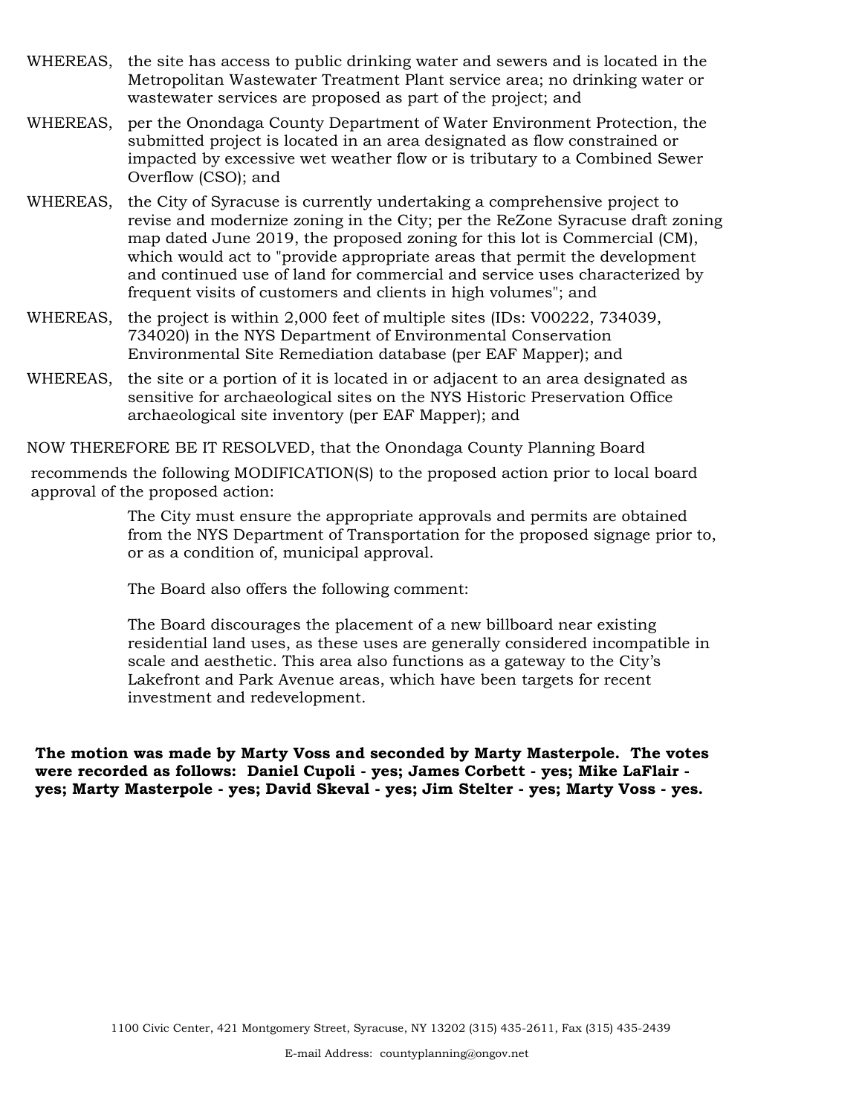- WHEREAS, the site has access to public drinking water and sewers and is located in the Metropolitan Wastewater Treatment Plant service area; no drinking water or wastewater services are proposed as part of the project; and
- WHEREAS, per the Onondaga County Department of Water Environment Protection, the submitted project is located in an area designated as flow constrained or impacted by excessive wet weather flow or is tributary to a Combined Sewer Overflow (CSO); and
- WHEREAS, the City of Syracuse is currently undertaking a comprehensive project to revise and modernize zoning in the City; per the ReZone Syracuse draft zoning map dated June 2019, the proposed zoning for this lot is Commercial (CM), which would act to "provide appropriate areas that permit the development and continued use of land for commercial and service uses characterized by frequent visits of customers and clients in high volumes"; and
- WHEREAS, the project is within 2,000 feet of multiple sites (IDs: V00222, 734039, 734020) in the NYS Department of Environmental Conservation Environmental Site Remediation database (per EAF Mapper); and
- WHEREAS, the site or a portion of it is located in or adjacent to an area designated as sensitive for archaeological sites on the NYS Historic Preservation Office archaeological site inventory (per EAF Mapper); and

NOW THEREFORE BE IT RESOLVED, that the Onondaga County Planning Board

recommends the following MODIFICATION(S) to the proposed action prior to local board approval of the proposed action:

> The City must ensure the appropriate approvals and permits are obtained from the NYS Department of Transportation for the proposed signage prior to, or as a condition of, municipal approval.

The Board also offers the following comment:

The Board discourages the placement of a new billboard near existing residential land uses, as these uses are generally considered incompatible in scale and aesthetic. This area also functions as a gateway to the City's Lakefront and Park Avenue areas, which have been targets for recent investment and redevelopment.

**The motion was made by Marty Voss and seconded by Marty Masterpole. The votes were recorded as follows: Daniel Cupoli - yes; James Corbett - yes; Mike LaFlair yes; Marty Masterpole - yes; David Skeval - yes; Jim Stelter - yes; Marty Voss - yes.**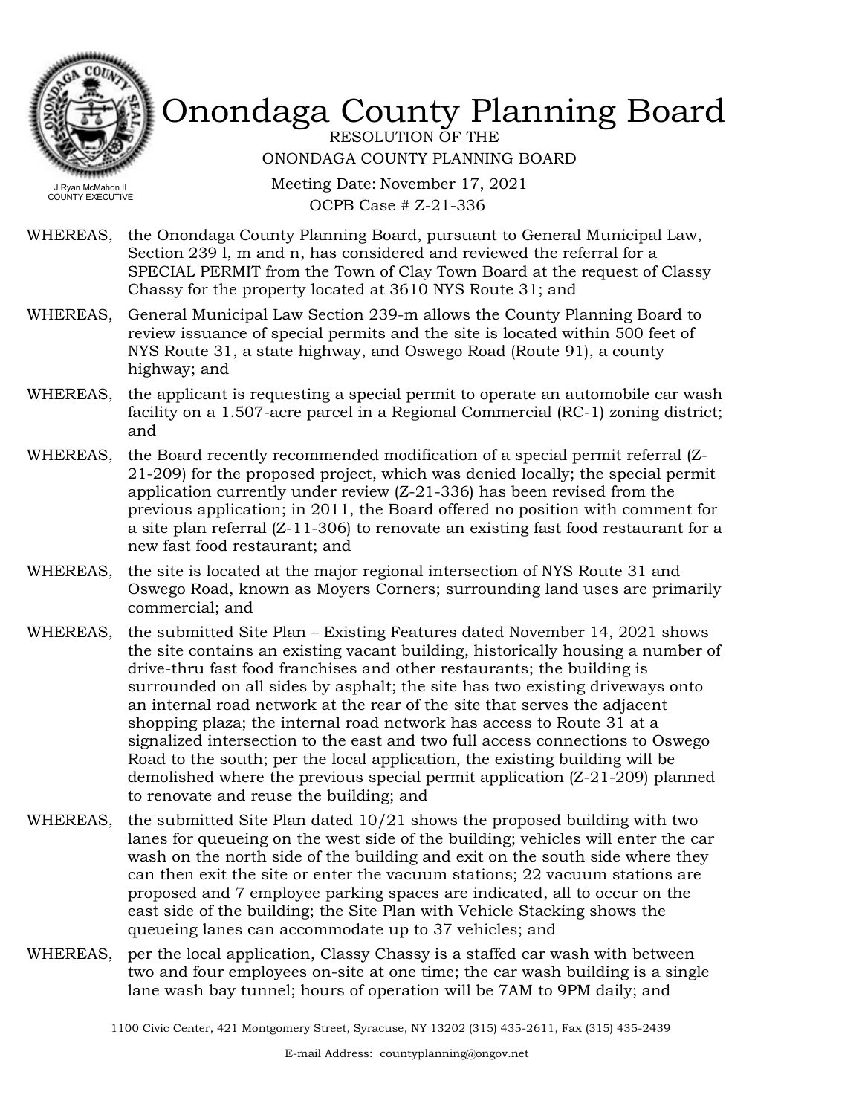

RESOLUTION OF THE ONONDAGA COUNTY PLANNING BOARD

Meeting Date: November 17, 2021 OCPB Case # Z-21-336

- WHEREAS, the Onondaga County Planning Board, pursuant to General Municipal Law, Section 239 l, m and n, has considered and reviewed the referral for a SPECIAL PERMIT from the Town of Clay Town Board at the request of Classy Chassy for the property located at 3610 NYS Route 31; and
- WHEREAS, General Municipal Law Section 239-m allows the County Planning Board to review issuance of special permits and the site is located within 500 feet of NYS Route 31, a state highway, and Oswego Road (Route 91), a county highway; and
- WHEREAS, the applicant is requesting a special permit to operate an automobile car wash facility on a 1.507-acre parcel in a Regional Commercial (RC-1) zoning district; and
- WHEREAS, the Board recently recommended modification of a special permit referral (Z-21-209) for the proposed project, which was denied locally; the special permit application currently under review (Z-21-336) has been revised from the previous application; in 2011, the Board offered no position with comment for a site plan referral (Z-11-306) to renovate an existing fast food restaurant for a new fast food restaurant; and
- WHEREAS, the site is located at the major regional intersection of NYS Route 31 and Oswego Road, known as Moyers Corners; surrounding land uses are primarily commercial; and
- WHEREAS, the submitted Site Plan Existing Features dated November 14, 2021 shows the site contains an existing vacant building, historically housing a number of drive-thru fast food franchises and other restaurants; the building is surrounded on all sides by asphalt; the site has two existing driveways onto an internal road network at the rear of the site that serves the adjacent shopping plaza; the internal road network has access to Route 31 at a signalized intersection to the east and two full access connections to Oswego Road to the south; per the local application, the existing building will be demolished where the previous special permit application (Z-21-209) planned to renovate and reuse the building; and
- the submitted Site Plan dated 10/21 shows the proposed building with two lanes for queueing on the west side of the building; vehicles will enter the car wash on the north side of the building and exit on the south side where they can then exit the site or enter the vacuum stations; 22 vacuum stations are proposed and 7 employee parking spaces are indicated, all to occur on the east side of the building; the Site Plan with Vehicle Stacking shows the queueing lanes can accommodate up to 37 vehicles; and WHEREAS,
- WHEREAS, per the local application, Classy Chassy is a staffed car wash with between two and four employees on-site at one time; the car wash building is a single lane wash bay tunnel; hours of operation will be 7AM to 9PM daily; and